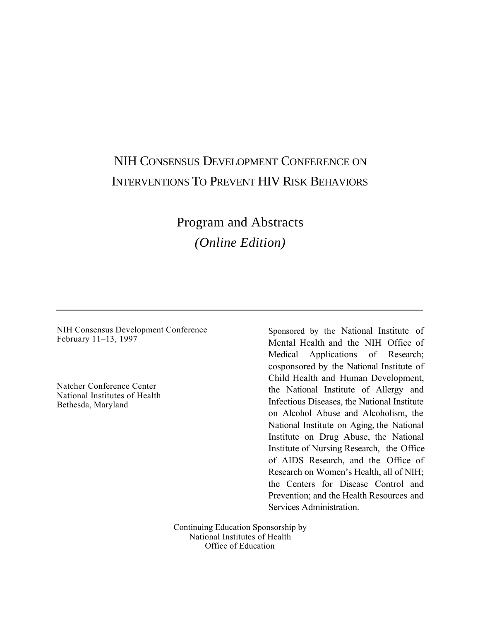# NIH CONSENSUS DEVELOPMENT CONFERENCE ON INTERVENTIONS TO PREVENT HIV RISK BEHAVIORS

Program and Abstracts *(Online Edition)* 

NIH Consensus Development Conference Sponsored by the National Institute of

 $\overline{a}$ 

February 11-13, 1997 Mental Health and the NIH Office of Medical Applications of Research; cosponsored by the National Institute of Child Health and Human Development, the National Institute of Allergy and on Alcohol Abuse and Alcoholism, the National Institute on Aging, the National Institute on Drug Abuse, the National Institute of Nursing Research, the Office of AIDS Research, and the Office of the Centers for Disease Control and Natcher Conference Center<br>
National Institutes of Health Institute of Allergy and<br>
Infectious Diseases, the National Institute<br>
Infectious Diseases, the National Institute Research on Women's Health, all of NIH; Prevention; and the Health Resources and Services Administration.

> Continuing Education Sponsorship by National Institutes of Health Office of Education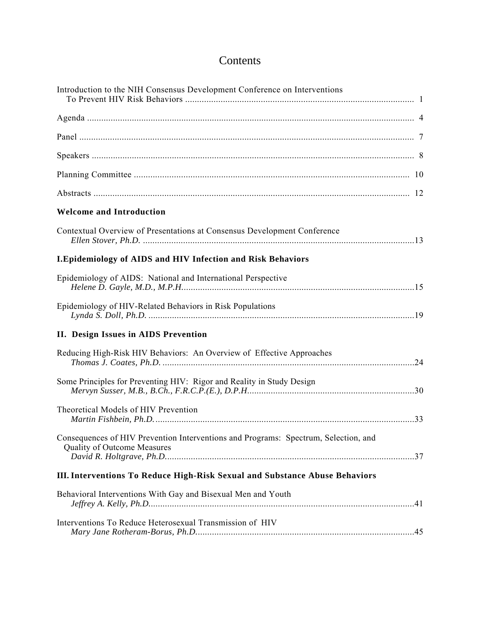# Contents

| Introduction to the NIH Consensus Development Conference on Interventions                                                 |  |
|---------------------------------------------------------------------------------------------------------------------------|--|
|                                                                                                                           |  |
|                                                                                                                           |  |
|                                                                                                                           |  |
|                                                                                                                           |  |
|                                                                                                                           |  |
| <b>Welcome and Introduction</b>                                                                                           |  |
| Contextual Overview of Presentations at Consensus Development Conference                                                  |  |
| <b>I.Epidemiology of AIDS and HIV Infection and Risk Behaviors</b>                                                        |  |
| Epidemiology of AIDS: National and International Perspective                                                              |  |
| Epidemiology of HIV-Related Behaviors in Risk Populations                                                                 |  |
| <b>II. Design Issues in AIDS Prevention</b>                                                                               |  |
| Reducing High-Risk HIV Behaviors: An Overview of Effective Approaches                                                     |  |
| Some Principles for Preventing HIV: Rigor and Reality in Study Design                                                     |  |
| Theoretical Models of HIV Prevention                                                                                      |  |
| Consequences of HIV Prevention Interventions and Programs: Spectrum, Selection, and<br><b>Quality of Outcome Measures</b> |  |
| III. Interventions To Reduce High-Risk Sexual and Substance Abuse Behaviors                                               |  |
| Behavioral Interventions With Gay and Bisexual Men and Youth                                                              |  |
| Interventions To Reduce Heterosexual Transmission of HIV                                                                  |  |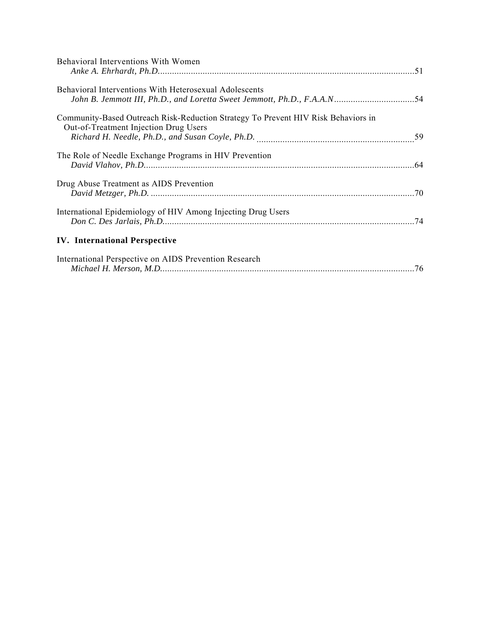| Behavioral Interventions With Women                                                                                        |  |
|----------------------------------------------------------------------------------------------------------------------------|--|
| <b>Behavioral Interventions With Heterosexual Adolescents</b>                                                              |  |
| Community-Based Outreach Risk-Reduction Strategy To Prevent HIV Risk Behaviors in<br>Out-of-Treatment Injection Drug Users |  |
| The Role of Needle Exchange Programs in HIV Prevention                                                                     |  |
| Drug Abuse Treatment as AIDS Prevention                                                                                    |  |
| International Epidemiology of HIV Among Injecting Drug Users                                                               |  |
| <b>IV.</b> International Perspective                                                                                       |  |
| International Perspective on AIDS Prevention Research                                                                      |  |

*Michael H. Merson, M.D.*[...........................................................................................................76](#page-78-0)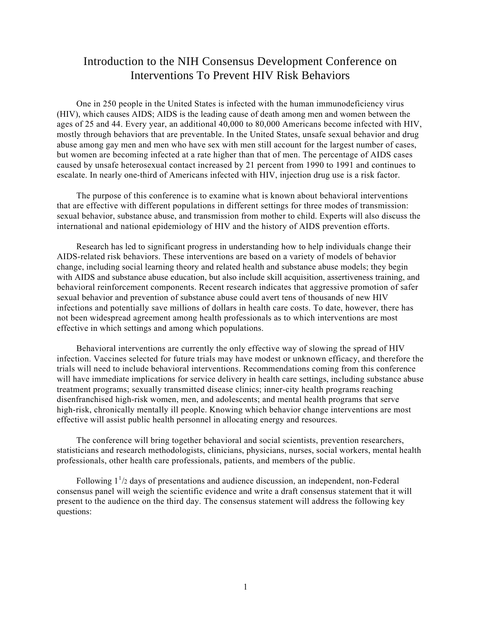## <span id="page-3-0"></span>Introduction to the NIH Consensus Development Conference on Interventions To Prevent HIV Risk Behaviors

One in 250 people in the United States is infected with the human immunodeficiency virus (HIV), which causes AIDS; AIDS is the leading cause of death among men and women between the ages of 25 and 44. Every year, an additional 40,000 to 80,000 Americans become infected with HIV, mostly through behaviors that are preventable. In the United States, unsafe sexual behavior and drug abuse among gay men and men who have sex with men still account for the largest number of cases, but women are becoming infected at a rate higher than that of men. The percentage of AIDS cases caused by unsafe heterosexual contact increased by 21 percent from 1990 to 1991 and continues to escalate. In nearly one-third of Americans infected with HIV, injection drug use is a risk factor.

The purpose of this conference is to examine what is known about behavioral interventions that are effective with different populations in different settings for three modes of transmission: sexual behavior, substance abuse, and transmission from mother to child. Experts will also discuss the international and national epidemiology of HIV and the history of AIDS prevention efforts.

Research has led to significant progress in understanding how to help individuals change their AIDS-related risk behaviors. These interventions are based on a variety of models of behavior change, including social learning theory and related health and substance abuse models; they begin with AIDS and substance abuse education, but also include skill acquisition, assertiveness training, and behavioral reinforcement components. Recent research indicates that aggressive promotion of safer sexual behavior and prevention of substance abuse could avert tens of thousands of new HIV infections and potentially save millions of dollars in health care costs. To date, however, there has not been widespread agreement among health professionals as to which interventions are most effective in which settings and among which populations.

Behavioral interventions are currently the only effective way of slowing the spread of HIV infection. Vaccines selected for future trials may have modest or unknown efficacy, and therefore the trials will need to include behavioral interventions. Recommendations coming from this conference will have immediate implications for service delivery in health care settings, including substance abuse treatment programs; sexually transmitted disease clinics; inner-city health programs reaching disenfranchised high-risk women, men, and adolescents; and mental health programs that serve high-risk, chronically mentally ill people. Knowing which behavior change interventions are most effective will assist public health personnel in allocating energy and resources.

The conference will bring together behavioral and social scientists, prevention researchers, statisticians and research methodologists, clinicians, physicians, nurses, social workers, mental health professionals, other health care professionals, patients, and members of the public.

Following  $1<sup>1</sup>/2$  days of presentations and audience discussion, an independent, non-Federal consensus panel will weigh the scientific evidence and write a draft consensus statement that it will present to the audience on the third day. The consensus statement will address the following key questions: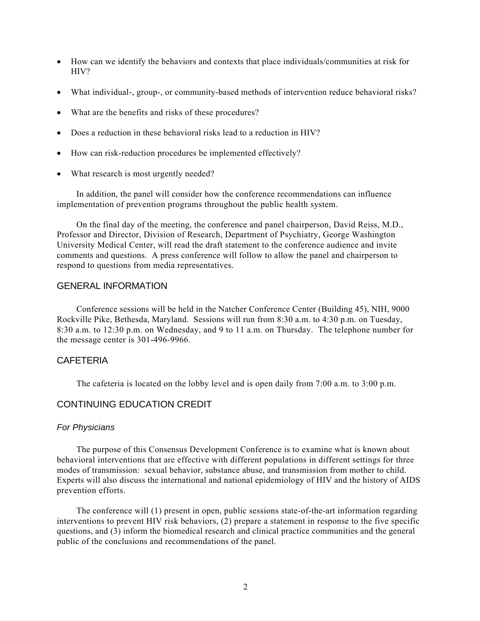- How can we identify the behaviors and contexts that place individuals/communities at risk for HIV?
- What individual-, group-, or community-based methods of intervention reduce behavioral risks?
- What are the benefits and risks of these procedures?
- Does a reduction in these behavioral risks lead to a reduction in HIV?
- How can risk-reduction procedures be implemented effectively?
- What research is most urgently needed?

In addition, the panel will consider how the conference recommendations can influence implementation of prevention programs throughout the public health system.

On the final day of the meeting, the conference and panel chairperson, David Reiss, M.D., Professor and Director, Division of Research, Department of Psychiatry, George Washington University Medical Center, will read the draft statement to the conference audience and invite comments and questions. A press conference will follow to allow the panel and chairperson to respond to questions from media representatives.

#### GENERAL INFORMATION

Conference sessions will be held in the Natcher Conference Center (Building 45), NIH, 9000 Rockville Pike, Bethesda, Maryland. Sessions will run from 8:30 a.m. to 4:30 p.m. on Tuesday, 8:30 a.m. to 12:30 p.m. on Wednesday, and 9 to 11 a.m. on Thursday. The telephone number for the message center is 301-496-9966.

#### CAFETERIA

The cafeteria is located on the lobby level and is open daily from 7:00 a.m. to 3:00 p.m.

### CONTINUING EDUCATION CREDIT

#### *For Physicians*

The purpose of this Consensus Development Conference is to examine what is known about behavioral interventions that are effective with different populations in different settings for three modes of transmission: sexual behavior, substance abuse, and transmission from mother to child. Experts will also discuss the international and national epidemiology of HIV and the history of AIDS prevention efforts.

The conference will (1) present in open, public sessions state-of-the-art information regarding interventions to prevent HIV risk behaviors, (2) prepare a statement in response to the five specific questions, and (3) inform the biomedical research and clinical practice communities and the general public of the conclusions and recommendations of the panel.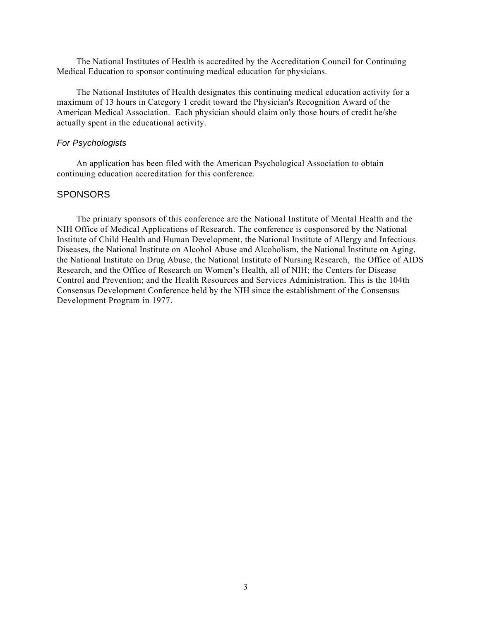The National Institutes of Health is accredited by the Accreditation Council for Continuing Medical Education to sponsor continuing medical education for physicians.

The National Institutes of Health designates this continuing medical education activity for a maximum of 13 hours in Category 1 credit toward the Physician's Recognition Award of the American Medical Association. Each physician should claim only those hours of credit he/she actually spent in the educational activity.

#### *For Psychologists*

An application has been filed with the American Psychological Association to obtain continuing education accreditation for this conference.

#### **SPONSORS**

The primary sponsors of this conference are the National Institute of Mental Health and the NIH Office of Medical Applications of Research. The conference is cosponsored by the National Institute of Child Health and Human Development, the National Institute of Allergy and Infectious Diseases, the National Institute on Alcohol Abuse and Alcoholism, the National Institute on Aging, the National Institute on Drug Abuse, the National Institute of Nursing Research, the Office of AIDS Research, and the Office of Research on Women's Health, all of NIH; the Centers for Disease Control and Prevention; and the Health Resources and Services Administration. This is the 104th Consensus Development Conference held by the NIH since the establishment of the Consensus Development Program in 1977.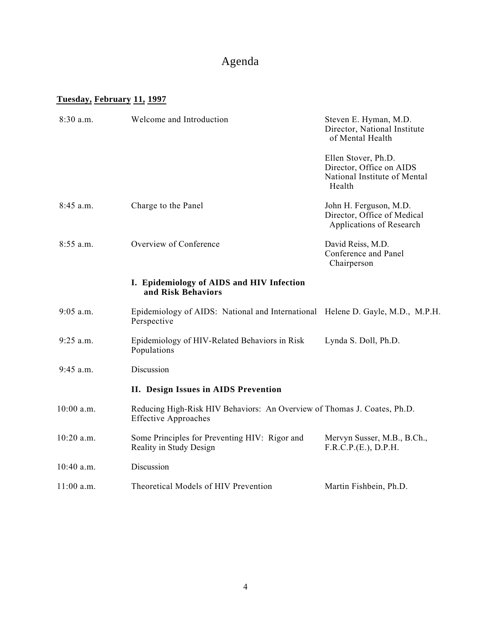# Agenda

# **Tuesday, February 11, 1997**

| 8:30 a.m.    | Welcome and Introduction                                                                                | Steven E. Hyman, M.D.<br>Director, National Institute<br>of Mental Health                 |
|--------------|---------------------------------------------------------------------------------------------------------|-------------------------------------------------------------------------------------------|
|              |                                                                                                         | Ellen Stover, Ph.D.<br>Director, Office on AIDS<br>National Institute of Mental<br>Health |
| $8:45$ a.m.  | Charge to the Panel                                                                                     | John H. Ferguson, M.D.<br>Director, Office of Medical<br>Applications of Research         |
| 8:55 a.m.    | Overview of Conference                                                                                  | David Reiss, M.D.<br>Conference and Panel<br>Chairperson                                  |
|              | I. Epidemiology of AIDS and HIV Infection<br>and Risk Behaviors                                         |                                                                                           |
| $9:05$ a.m.  | Epidemiology of AIDS: National and International Helene D. Gayle, M.D., M.P.H.<br>Perspective           |                                                                                           |
| $9:25$ a.m.  | Epidemiology of HIV-Related Behaviors in Risk<br>Populations                                            | Lynda S. Doll, Ph.D.                                                                      |
| $9:45$ a.m.  | Discussion                                                                                              |                                                                                           |
|              | II. Design Issues in AIDS Prevention                                                                    |                                                                                           |
| 10:00 a.m.   | Reducing High-Risk HIV Behaviors: An Overview of Thomas J. Coates, Ph.D.<br><b>Effective Approaches</b> |                                                                                           |
| 10:20 a.m.   | Some Principles for Preventing HIV: Rigor and<br>Reality in Study Design                                | Mervyn Susser, M.B., B.Ch.,<br>F.R.C.P.(E.), D.P.H.                                       |
| 10:40 a.m.   | Discussion                                                                                              |                                                                                           |
| $11:00$ a.m. | Theoretical Models of HIV Prevention                                                                    | Martin Fishbein, Ph.D.                                                                    |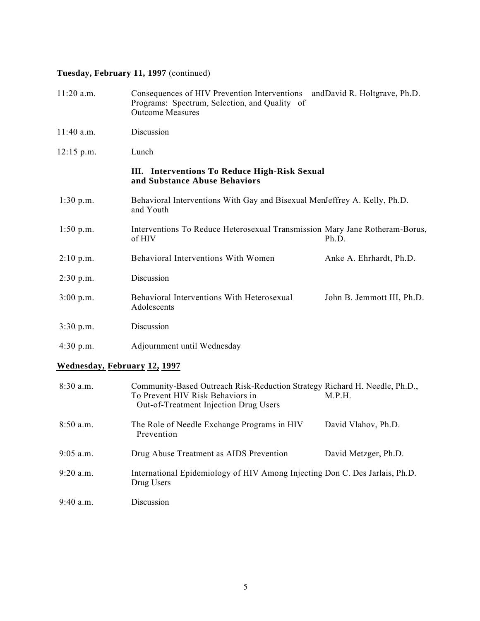# **Tuesday, February 11, 1997** (continued)

| $11:20$ a.m. | Consequences of HIV Prevention Interventions and David R. Holtgrave, Ph.D.<br>Programs: Spectrum, Selection, and Quality of<br><b>Outcome Measures</b> |                            |
|--------------|--------------------------------------------------------------------------------------------------------------------------------------------------------|----------------------------|
| $11:40$ a.m. | Discussion                                                                                                                                             |                            |
| $12:15$ p.m. | Lunch                                                                                                                                                  |                            |
|              | III. Interventions To Reduce High-Risk Sexual<br>and Substance Abuse Behaviors                                                                         |                            |
| $1:30$ p.m.  | Behavioral Interventions With Gay and Bisexual MenJeffrey A. Kelly, Ph.D.<br>and Youth                                                                 |                            |
| $1:50$ p.m.  | Interventions To Reduce Heterosexual Transmission Mary Jane Rotheram-Borus,<br>of HIV                                                                  | Ph.D.                      |
| 2:10 p.m.    | Behavioral Interventions With Women                                                                                                                    | Anke A. Ehrhardt, Ph.D.    |
| 2:30 p.m.    | Discussion                                                                                                                                             |                            |
| 3:00 p.m.    | Behavioral Interventions With Heterosexual<br>Adolescents                                                                                              | John B. Jemmott III, Ph.D. |
| $3:30$ p.m.  | Discussion                                                                                                                                             |                            |
| 4:30 p.m.    | Adjournment until Wednesday                                                                                                                            |                            |

### **Wednesday, February 12, 1997**

| $8:30$ a.m. | Community-Based Outreach Risk-Reduction Strategy Richard H. Needle, Ph.D.,<br>To Prevent HIV Risk Behaviors in<br><b>Out-of-Treatment Injection Drug Users</b> | M.P.H.               |
|-------------|----------------------------------------------------------------------------------------------------------------------------------------------------------------|----------------------|
| $8:50$ a.m. | The Role of Needle Exchange Programs in HIV<br>Prevention                                                                                                      | David Vlahov, Ph.D.  |
| $9:05$ a.m. | Drug Abuse Treatment as AIDS Prevention                                                                                                                        | David Metzger, Ph.D. |
| $9:20$ a.m. | International Epidemiology of HIV Among Injecting Don C. Des Jarlais, Ph.D.<br>Drug Users                                                                      |                      |
| $9:40$ a.m. | Discussion                                                                                                                                                     |                      |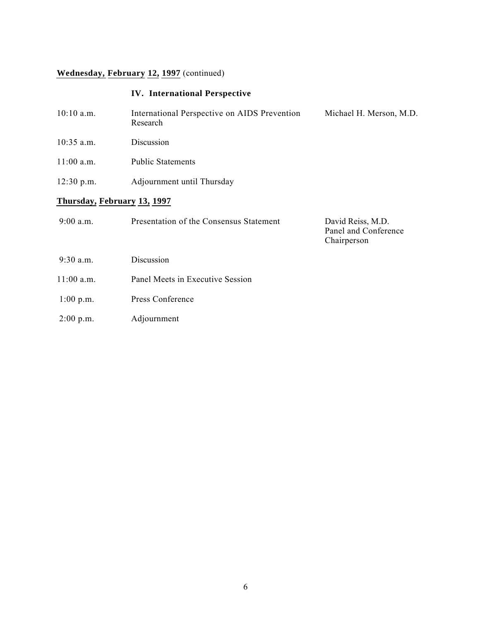# **Wednesday, February 12, 1997** (continued)

### **IV. International Perspective**

| $10:10$ a.m.                | International Perspective on AIDS Prevention<br>Research | Michael H. Merson, M.D. |
|-----------------------------|----------------------------------------------------------|-------------------------|
| $10:35$ a.m.                | Discussion                                               |                         |
| $11:00$ a.m.                | <b>Public Statements</b>                                 |                         |
| $12:30$ p.m.                | Adjournment until Thursday                               |                         |
| Thursday, February 13, 1997 |                                                          |                         |
| $9.00a$ m                   | Presentation of the Consensus Statement                  | David Reiss M D         |

| 2.00 a.iii.  | Treschiation of the Consensus Statement | $D$ avių Iglios, IVI. $D$ .<br>Panel and Conference<br>Chairperson |
|--------------|-----------------------------------------|--------------------------------------------------------------------|
| $9:30$ a.m.  | Discussion                              |                                                                    |
| $11:00$ a.m. | Panel Meets in Executive Session        |                                                                    |
| $1:00$ p.m.  | Press Conference                        |                                                                    |

- 
- 2:00 p.m. Adjournment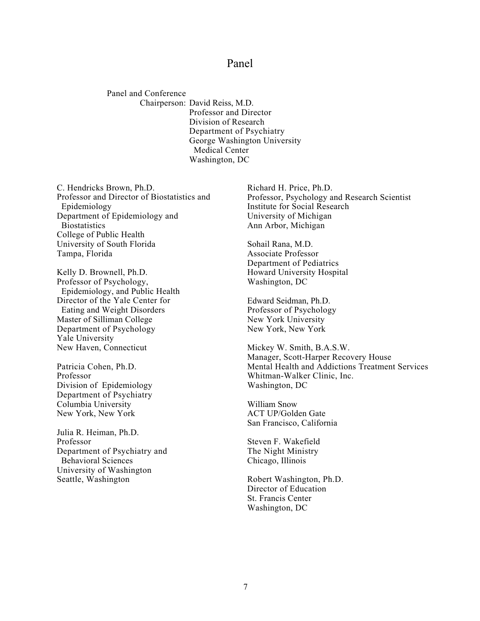### Panel

<span id="page-9-0"></span> Panel and Conference Chairperson: David Reiss, M.D. Professor and Director Division of Research Department of Psychiatry George Washington University Medical Center Washington, DC

C. Hendricks Brown, Ph.D. Professor and Director of Biostatistics and Epidemiology Department of Epidemiology and **Biostatistics** College of Public Health University of South Florida Tampa, Florida

Kelly D. Brownell, Ph.D. Professor of Psychology, Epidemiology, and Public Health Director of the Yale Center for Eating and Weight Disorders Master of Silliman College Department of Psychology Yale University New Haven, Connecticut

Patricia Cohen, Ph.D. Professor Division of Epidemiology Department of Psychiatry Columbia University New York, New York

Julia R. Heiman, Ph.D. Professor Department of Psychiatry and Behavioral Sciences University of Washington Seattle, Washington

Richard H. Price, Ph.D. Professor, Psychology and Research Scientist Institute for Social Research University of Michigan Ann Arbor, Michigan

Sohail Rana, M.D. Associate Professor Department of Pediatrics Howard University Hospital Washington, DC

Edward Seidman, Ph.D. Professor of Psychology New York University New York, New York

Mickey W. Smith, B.A.S.W. Manager, Scott-Harper Recovery House Mental Health and Addictions Treatment Services Whitman-Walker Clinic, Inc. Washington, DC

William Snow ACT UP/Golden Gate San Francisco, California

Steven F. Wakefield The Night Ministry Chicago, Illinois

Robert Washington, Ph.D. Director of Education St. Francis Center Washington, DC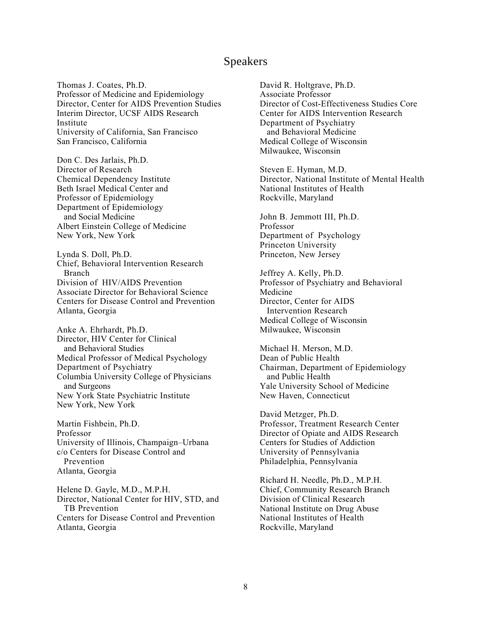### Speakers

<span id="page-10-0"></span>Thomas J. Coates, Ph.D. Professor of Medicine and Epidemiology Director, Center for AIDS Prevention Studies Interim Director, UCSF AIDS Research Institute University of California, San Francisco San Francisco, California

Don C. Des Jarlais, Ph.D. Director of Research Chemical Dependency Institute Beth Israel Medical Center and Professor of Epidemiology Department of Epidemiology and Social Medicine Albert Einstein College of Medicine New York, New York

Lynda S. Doll, Ph.D. Chief, Behavioral Intervention Research Branch Division of HIV/AIDS Prevention Associate Director for Behavioral Science Centers for Disease Control and Prevention Atlanta, Georgia

Anke A. Ehrhardt, Ph.D. Director, HIV Center for Clinical and Behavioral Studies Medical Professor of Medical Psychology Department of Psychiatry Columbia University College of Physicians and Surgeons New York State Psychiatric Institute New York, New York

Martin Fishbein, Ph.D. Professor University of Illinois, Champaign–Urbana c/o Centers for Disease Control and Prevention Atlanta, Georgia

Helene D. Gayle, M.D., M.P.H. Director, National Center for HIV, STD, and TB Prevention Centers for Disease Control and Prevention Atlanta, Georgia

David R. Holtgrave, Ph.D. Associate Professor Director of Cost-Effectiveness Studies Core Center for AIDS Intervention Research Department of Psychiatry and Behavioral Medicine Medical College of Wisconsin Milwaukee, Wisconsin

Steven E. Hyman, M.D. Director, National Institute of Mental Health National Institutes of Health Rockville, Maryland

John B. Jemmott III, Ph.D. Professor Department of Psychology Princeton University Princeton, New Jersey

Jeffrey A. Kelly, Ph.D. Professor of Psychiatry and Behavioral Medicine Director, Center for AIDS Intervention Research Medical College of Wisconsin Milwaukee, Wisconsin

Michael H. Merson, M.D. Dean of Public Health Chairman, Department of Epidemiology and Public Health Yale University School of Medicine New Haven, Connecticut

David Metzger, Ph.D. Professor, Treatment Research Center Director of Opiate and AIDS Research Centers for Studies of Addiction University of Pennsylvania Philadelphia, Pennsylvania

Richard H. Needle, Ph.D., M.P.H. Chief, Community Research Branch Division of Clinical Research National Institute on Drug Abuse National Institutes of Health Rockville, Maryland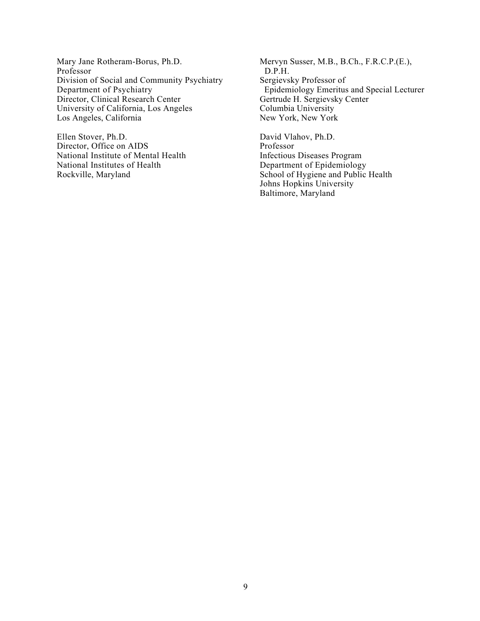Mary Jane Rotheram-Borus, Ph.D. Professor Division of Social and Community Psychiatry Department of Psychiatry Director, Clinical Research Center University of California, Los Angeles Los Angeles, California

Ellen Stover, Ph.D. Director, Office on AIDS National Institute of Mental Health National Institutes of Health Rockville, Maryland

Mervyn Susser, M.B., B.Ch., F.R.C.P.(E.), D.P.H. Sergievsky Professor of Epidemiology Emeritus and Special Lecturer Gertrude H. Sergievsky Center Columbia University New York, New York

David Vlahov, Ph.D. Professor Infectious Diseases Program Department of Epidemiology School of Hygiene and Public Health Johns Hopkins University Baltimore, Maryland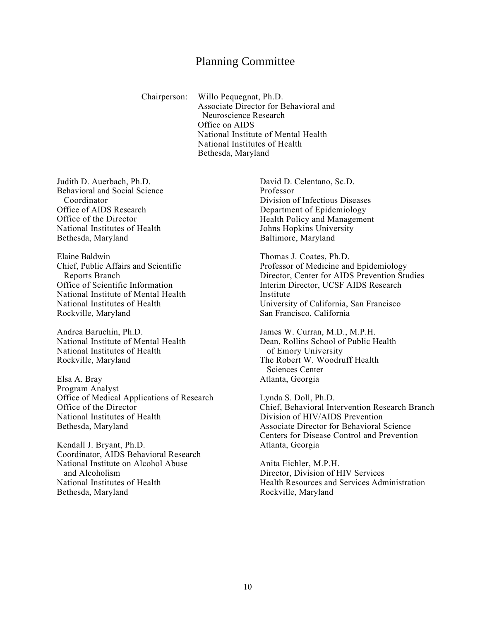### Planning Committee

<span id="page-12-0"></span>Chairperson: Willo Pequegnat, Ph.D. Associate Director for Behavioral and Neuroscience Research Office on AIDS National Institute of Mental Health National Institutes of Health Bethesda, Maryland

Judith D. Auerbach, Ph.D. Behavioral and Social Science Coordinator Office of AIDS Research Office of the Director National Institutes of Health Bethesda, Maryland

Elaine Baldwin Chief, Public Affairs and Scientific Reports Branch Office of Scientific Information National Institute of Mental Health National Institutes of Health Rockville, Maryland

Andrea Baruchin, Ph.D. National Institute of Mental Health National Institutes of Health Rockville, Maryland

Elsa A. Bray Program Analyst Office of Medical Applications of Research Office of the Director National Institutes of Health Bethesda, Maryland

Kendall J. Bryant, Ph.D. Coordinator, AIDS Behavioral Research National Institute on Alcohol Abuse and Alcoholism National Institutes of Health Bethesda, Maryland

David D. Celentano, Sc.D. Professor Division of Infectious Diseases Department of Epidemiology Health Policy and Management Johns Hopkins University Baltimore, Maryland

Thomas J. Coates, Ph.D. Professor of Medicine and Epidemiology Director, Center for AIDS Prevention Studies Interim Director, UCSF AIDS Research Institute University of California, San Francisco San Francisco, California

James W. Curran, M.D., M.P.H. Dean, Rollins School of Public Health of Emory University The Robert W. Woodruff Health Sciences Center Atlanta, Georgia

Lynda S. Doll, Ph.D. Chief, Behavioral Intervention Research Branch Division of HIV/AIDS Prevention Associate Director for Behavioral Science Centers for Disease Control and Prevention Atlanta, Georgia

Anita Eichler, M.P.H. Director, Division of HIV Services Health Resources and Services Administration Rockville, Maryland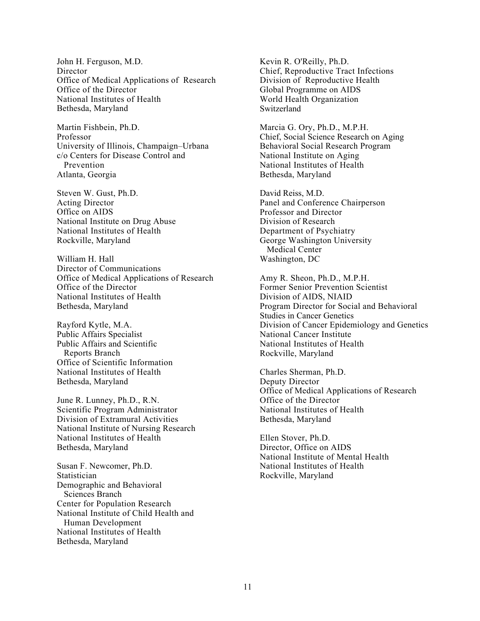John H. Ferguson, M.D. **Director** Office of Medical Applications of Research Office of the Director National Institutes of Health Bethesda, Maryland

Martin Fishbein, Ph.D. Professor University of Illinois, Champaign–Urbana c/o Centers for Disease Control and Prevention Atlanta, Georgia

Steven W. Gust, Ph.D. Acting Director Office on AIDS National Institute on Drug Abuse National Institutes of Health Rockville, Maryland

William H. Hall Director of Communications Office of Medical Applications of Research Office of the Director National Institutes of Health Bethesda, Maryland

Rayford Kytle, M.A. Public Affairs Specialist Public Affairs and Scientific Reports Branch Office of Scientific Information National Institutes of Health Bethesda, Maryland

June R. Lunney, Ph.D., R.N. Scientific Program Administrator Division of Extramural Activities National Institute of Nursing Research National Institutes of Health Bethesda, Maryland

Susan F. Newcomer, Ph.D. Statistician Demographic and Behavioral Sciences Branch Center for Population Research National Institute of Child Health and Human Development National Institutes of Health Bethesda, Maryland

Kevin R. O'Reilly, Ph.D. Chief, Reproductive Tract Infections Division of Reproductive Health Global Programme on AIDS World Health Organization Switzerland

Marcia G. Ory, Ph.D., M.P.H. Chief, Social Science Research on Aging Behavioral Social Research Program National Institute on Aging National Institutes of Health Bethesda, Maryland

David Reiss, M.D. Panel and Conference Chairperson Professor and Director Division of Research Department of Psychiatry George Washington University Medical Center Washington, DC

Amy R. Sheon, Ph.D., M.P.H. Former Senior Prevention Scientist Division of AIDS, NIAID Program Director for Social and Behavioral Studies in Cancer Genetics Division of Cancer Epidemiology and Genetics National Cancer Institute National Institutes of Health Rockville, Maryland

Charles Sherman, Ph.D. Deputy Director Office of Medical Applications of Research Office of the Director National Institutes of Health Bethesda, Maryland

Ellen Stover, Ph.D. Director, Office on AIDS National Institute of Mental Health National Institutes of Health Rockville, Maryland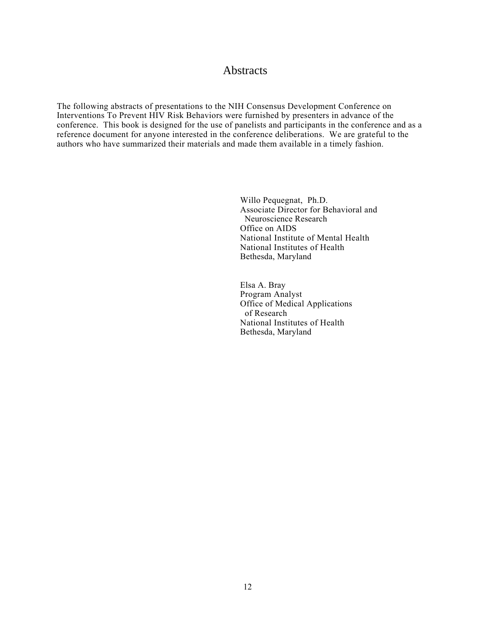### **Abstracts**

<span id="page-14-0"></span>The following abstracts of presentations to the NIH Consensus Development Conference on Interventions To Prevent HIV Risk Behaviors were furnished by presenters in advance of the conference. This book is designed for the use of panelists and participants in the conference and as a reference document for anyone interested in the conference deliberations. We are grateful to the authors who have summarized their materials and made them available in a timely fashion.

> Willo Pequegnat, Ph.D. Associate Director for Behavioral and Neuroscience Research Office on AIDS National Institute of Mental Health National Institutes of Health Bethesda, Maryland

Elsa A. Bray Program Analyst Office of Medical Applications of Research National Institutes of Health Bethesda, Maryland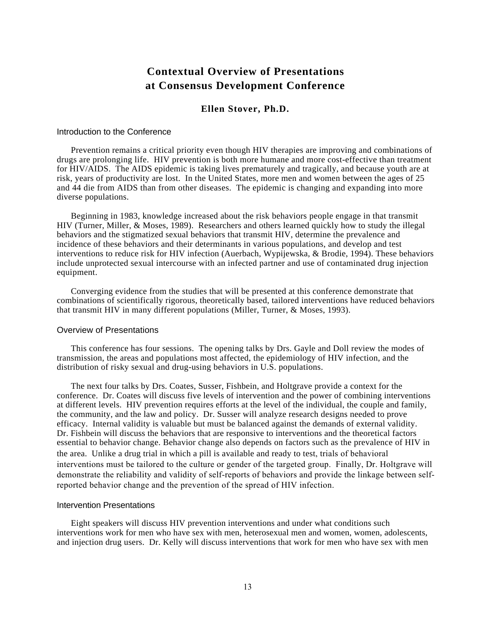# **Contextual Overview of Presentations at Consensus Development Conference**

#### **Ellen Stover, Ph.D.**

#### <span id="page-15-0"></span>Introduction to the Conference

Prevention remains a critical priority even though HIV therapies are improving and combinations of drugs are prolonging life. HIV prevention is both more humane and more cost-effective than treatment for HIV/AIDS. The AIDS epidemic is taking lives prematurely and tragically, and because youth are at risk, years of productivity are lost. In the United States, more men and women between the ages of 25 and 44 die from AIDS than from other diseases. The epidemic is changing and expanding into more diverse populations.

Beginning in 1983, knowledge increased about the risk behaviors people engage in that transmit HIV (Turner, Miller, & Moses, 1989). Researchers and others learned quickly how to study the illegal behaviors and the stigmatized sexual behaviors that transmit HIV, determine the prevalence and incidence of these behaviors and their determinants in various populations, and develop and test interventions to reduce risk for HIV infection (Auerbach, Wypijewska, & Brodie, 1994). These behaviors include unprotected sexual intercourse with an infected partner and use of contaminated drug injection equipment.

Converging evidence from the studies that will be presented at this conference demonstrate that combinations of scientifically rigorous, theoretically based, tailored interventions have reduced behaviors that transmit HIV in many different populations (Miller, Turner, & Moses, 1993).

#### Overview of Presentations

This conference has four sessions. The opening talks by Drs. Gayle and Doll review the modes of transmission, the areas and populations most affected, the epidemiology of HIV infection, and the distribution of risky sexual and drug-using behaviors in U.S. populations.

The next four talks by Drs. Coates, Susser, Fishbein, and Holtgrave provide a context for the conference. Dr. Coates will discuss five levels of intervention and the power of combining interventions at different levels. HIV prevention requires efforts at the level of the individual, the couple and family, the community, and the law and policy. Dr. Susser will analyze research designs needed to prove efficacy. Internal validity is valuable but must be balanced against the demands of external validity. Dr. Fishbein will discuss the behaviors that are responsive to interventions and the theoretical factors essential to behavior change. Behavior change also depends on factors such as the prevalence of HIV in the area. Unlike a drug trial in which a pill is available and ready to test, trials of behavioral interventions must be tailored to the culture or gender of the targeted group. Finally, Dr. Holtgrave will demonstrate the reliability and validity of self-reports of behaviors and provide the linkage between selfreported behavior change and the prevention of the spread of HIV infection.

#### Intervention Presentations

Eight speakers will discuss HIV prevention interventions and under what conditions such interventions work for men who have sex with men, heterosexual men and women, women, adolescents, and injection drug users. Dr. Kelly will discuss interventions that work for men who have sex with men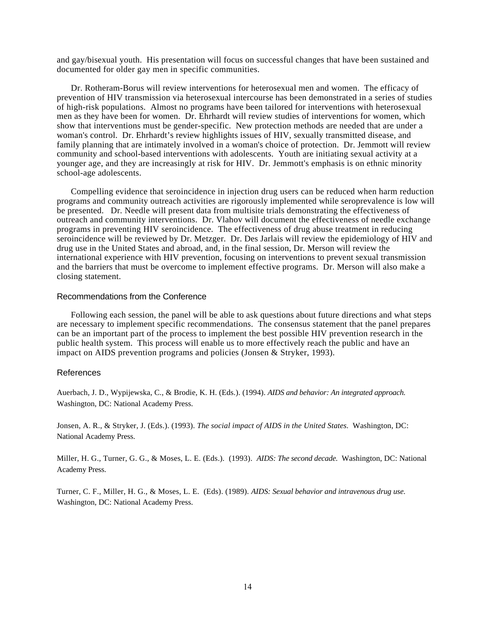and gay/bisexual youth. His presentation will focus on successful changes that have been sustained and documented for older gay men in specific communities.

Dr. Rotheram-Borus will review interventions for heterosexual men and women. The efficacy of prevention of HIV transmission via heterosexual intercourse has been demonstrated in a series of studies of high-risk populations. Almost no programs have been tailored for interventions with heterosexual men as they have been for women. Dr. Ehrhardt will review studies of interventions for women, which show that interventions must be gender-specific. New protection methods are needed that are under a woman's control. Dr. Ehrhardt's review highlights issues of HIV, sexually transmitted disease, and family planning that are intimately involved in a woman's choice of protection. Dr. Jemmott will review community and school-based interventions with adolescents. Youth are initiating sexual activity at a younger age, and they are increasingly at risk for HIV. Dr. Jemmott's emphasis is on ethnic minority school-age adolescents.

Compelling evidence that seroincidence in injection drug users can be reduced when harm reduction programs and community outreach activities are rigorously implemented while seroprevalence is low will be presented. Dr. Needle will present data from multisite trials demonstrating the effectiveness of outreach and community interventions. Dr. Vlahov will document the effectiveness of needle exchange programs in preventing HIV seroincidence. The effectiveness of drug abuse treatment in reducing seroincidence will be reviewed by Dr. Metzger. Dr. Des Jarlais will review the epidemiology of HIV and drug use in the United States and abroad, and, in the final session, Dr. Merson will review the international experience with HIV prevention, focusing on interventions to prevent sexual transmission and the barriers that must be overcome to implement effective programs. Dr. Merson will also make a closing statement.

#### Recommendations from the Conference

Following each session, the panel will be able to ask questions about future directions and what steps are necessary to implement specific recommendations. The consensus statement that the panel prepares can be an important part of the process to implement the best possible HIV prevention research in the public health system. This process will enable us to more effectively reach the public and have an impact on AIDS prevention programs and policies (Jonsen & Stryker, 1993).

#### References

Auerbach, J. D., Wypijewska, C., & Brodie, K. H. (Eds.). (1994). *AIDS and behavior: An integrated approach.*  Washington, DC: National Academy Press.

Jonsen, A. R., & Stryker, J. (Eds.). (1993). *The social impact of AIDS in the United States.* Washington, DC: National Academy Press.

Miller, H. G., Turner, G. G., & Moses, L. E. (Eds.). (1993). *AIDS: The second decade.* Washington, DC: National Academy Press.

Turner, C. F., Miller, H. G., & Moses, L. E. (Eds). (1989). *AIDS: Sexual behavior and intravenous drug use.*  Washington, DC: National Academy Press.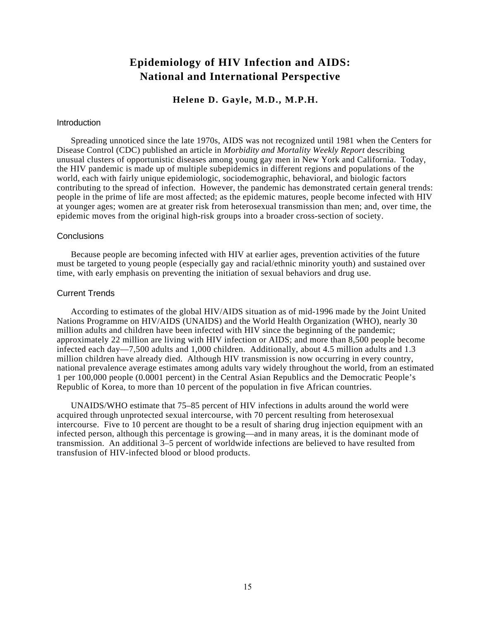# **Epidemiology of HIV Infection and AIDS: National and International Perspective**

**Helene D. Gayle, M.D., M.P.H.** 

#### <span id="page-17-0"></span>**Introduction**

Spreading unnoticed since the late 1970s, AIDS was not recognized until 1981 when the Centers for Disease Control (CDC) published an article in *Morbidity and Mortality Weekly Report* describing unusual clusters of opportunistic diseases among young gay men in New York and California. Today, the HIV pandemic is made up of multiple subepidemics in different regions and populations of the world, each with fairly unique epidemiologic, sociodemographic, behavioral, and biologic factors contributing to the spread of infection. However, the pandemic has demonstrated certain general trends: people in the prime of life are most affected; as the epidemic matures, people become infected with HIV at younger ages; women are at greater risk from heterosexual transmission than men; and, over time, the epidemic moves from the original high-risk groups into a broader cross-section of society.

#### **Conclusions**

Because people are becoming infected with HIV at earlier ages, prevention activities of the future must be targeted to young people (especially gay and racial/ethnic minority youth) and sustained over time, with early emphasis on preventing the initiation of sexual behaviors and drug use.

#### Current Trends

According to estimates of the global HIV/AIDS situation as of mid-1996 made by the Joint United Nations Programme on HIV/AIDS (UNAIDS) and the World Health Organization (WHO), nearly 30 million adults and children have been infected with HIV since the beginning of the pandemic; approximately 22 million are living with HIV infection or AIDS; and more than 8,500 people become infected each day—7,500 adults and 1,000 children. Additionally, about 4.5 million adults and 1.3 million children have already died. Although HIV transmission is now occurring in every country, national prevalence average estimates among adults vary widely throughout the world, from an estimated 1 per 100,000 people (0.0001 percent) in the Central Asian Republics and the Democratic People's Republic of Korea, to more than 10 percent of the population in five African countries.

UNAIDS/WHO estimate that 75–85 percent of HIV infections in adults around the world were acquired through unprotected sexual intercourse, with 70 percent resulting from heterosexual intercourse. Five to 10 percent are thought to be a result of sharing drug injection equipment with an infected person, although this percentage is growing—and in many areas, it is the dominant mode of transmission. An additional 3–5 percent of worldwide infections are believed to have resulted from transfusion of HIV-infected blood or blood products.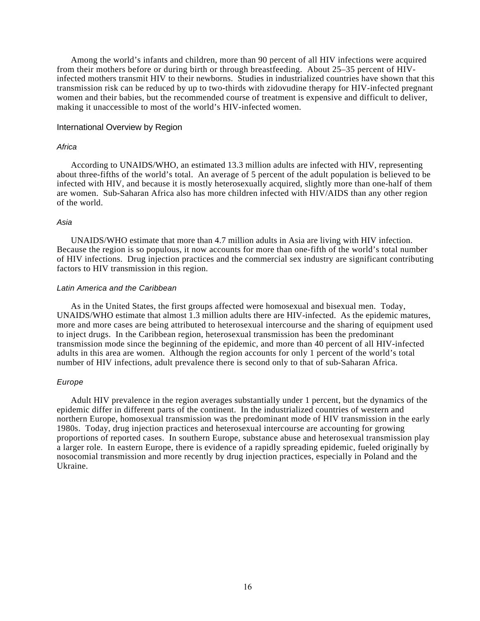Among the world's infants and children, more than 90 percent of all HIV infections were acquired from their mothers before or during birth or through breastfeeding. About 25–35 percent of HIVinfected mothers transmit HIV to their newborns. Studies in industrialized countries have shown that this transmission risk can be reduced by up to two-thirds with zidovudine therapy for HIV-infected pregnant women and their babies, but the recommended course of treatment is expensive and difficult to deliver, making it unaccessible to most of the world's HIV-infected women.

#### International Overview by Region

#### *Africa*

According to UNAIDS/WHO, an estimated 13.3 million adults are infected with HIV, representing about three-fifths of the world's total. An average of 5 percent of the adult population is believed to be infected with HIV, and because it is mostly heterosexually acquired, slightly more than one-half of them are women. Sub-Saharan Africa also has more children infected with HIV/AIDS than any other region of the world.

#### *Asia*

UNAIDS/WHO estimate that more than 4.7 million adults in Asia are living with HIV infection. Because the region is so populous, it now accounts for more than one-fifth of the world's total number of HIV infections. Drug injection practices and the commercial sex industry are significant contributing factors to HIV transmission in this region.

#### *Latin America and the Caribbean*

As in the United States, the first groups affected were homosexual and bisexual men. Today, UNAIDS/WHO estimate that almost 1.3 million adults there are HIV-infected. As the epidemic matures, more and more cases are being attributed to heterosexual intercourse and the sharing of equipment used to inject drugs. In the Caribbean region, heterosexual transmission has been the predominant transmission mode since the beginning of the epidemic, and more than 40 percent of all HIV-infected adults in this area are women. Although the region accounts for only 1 percent of the world's total number of HIV infections, adult prevalence there is second only to that of sub-Saharan Africa.

#### *Europe*

Adult HIV prevalence in the region averages substantially under 1 percent, but the dynamics of the epidemic differ in different parts of the continent. In the industrialized countries of western and northern Europe, homosexual transmission was the predominant mode of HIV transmission in the early 1980s. Today, drug injection practices and heterosexual intercourse are accounting for growing proportions of reported cases. In southern Europe, substance abuse and heterosexual transmission play a larger role. In eastern Europe, there is evidence of a rapidly spreading epidemic, fueled originally by nosocomial transmission and more recently by drug injection practices, especially in Poland and the Ukraine.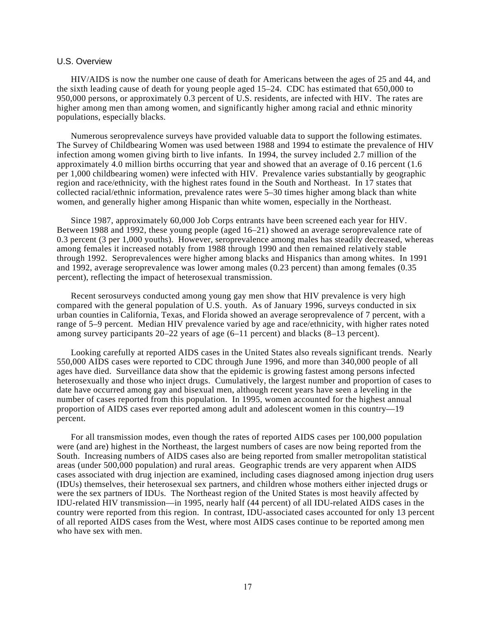#### U.S. Overview

HIV/AIDS is now the number one cause of death for Americans between the ages of 25 and 44, and the sixth leading cause of death for young people aged 15–24. CDC has estimated that 650,000 to 950,000 persons, or approximately 0.3 percent of U.S. residents, are infected with HIV. The rates are higher among men than among women, and significantly higher among racial and ethnic minority populations, especially blacks.

Numerous seroprevalence surveys have provided valuable data to support the following estimates. The Survey of Childbearing Women was used between 1988 and 1994 to estimate the prevalence of HIV infection among women giving birth to live infants. In 1994, the survey included 2.7 million of the approximately 4.0 million births occurring that year and showed that an average of 0.16 percent (1.6 per 1,000 childbearing women) were infected with HIV. Prevalence varies substantially by geographic region and race/ethnicity, with the highest rates found in the South and Northeast. In 17 states that collected racial/ethnic information, prevalence rates were 5–30 times higher among black than white women, and generally higher among Hispanic than white women, especially in the Northeast.

Since 1987, approximately 60,000 Job Corps entrants have been screened each year for HIV. Between 1988 and 1992, these young people (aged 16–21) showed an average seroprevalence rate of 0.3 percent (3 per 1,000 youths). However, seroprevalence among males has steadily decreased, whereas among females it increased notably from 1988 through 1990 and then remained relatively stable through 1992. Seroprevalences were higher among blacks and Hispanics than among whites. In 1991 and 1992, average seroprevalence was lower among males (0.23 percent) than among females (0.35 percent), reflecting the impact of heterosexual transmission.

Recent serosurveys conducted among young gay men show that HIV prevalence is very high compared with the general population of U.S. youth. As of January 1996, surveys conducted in six urban counties in California, Texas, and Florida showed an average seroprevalence of 7 percent, with a range of 5–9 percent. Median HIV prevalence varied by age and race/ethnicity, with higher rates noted among survey participants  $20-22$  years of age (6–11 percent) and blacks (8–13 percent).

Looking carefully at reported AIDS cases in the United States also reveals significant trends. Nearly 550,000 AIDS cases were reported to CDC through June 1996, and more than 340,000 people of all ages have died. Surveillance data show that the epidemic is growing fastest among persons infected heterosexually and those who inject drugs. Cumulatively, the largest number and proportion of cases to date have occurred among gay and bisexual men, although recent years have seen a leveling in the number of cases reported from this population. In 1995, women accounted for the highest annual proportion of AIDS cases ever reported among adult and adolescent women in this country—19 percent.

For all transmission modes, even though the rates of reported AIDS cases per 100,000 population were (and are) highest in the Northeast, the largest numbers of cases are now being reported from the South. Increasing numbers of AIDS cases also are being reported from smaller metropolitan statistical areas (under 500,000 population) and rural areas. Geographic trends are very apparent when AIDS cases associated with drug injection are examined, including cases diagnosed among injection drug users (IDUs) themselves, their heterosexual sex partners, and children whose mothers either injected drugs or were the sex partners of IDUs. The Northeast region of the United States is most heavily affected by IDU-related HIV transmission—in 1995, nearly half (44 percent) of all IDU-related AIDS cases in the country were reported from this region. In contrast, IDU-associated cases accounted for only 13 percent of all reported AIDS cases from the West, where most AIDS cases continue to be reported among men who have sex with men.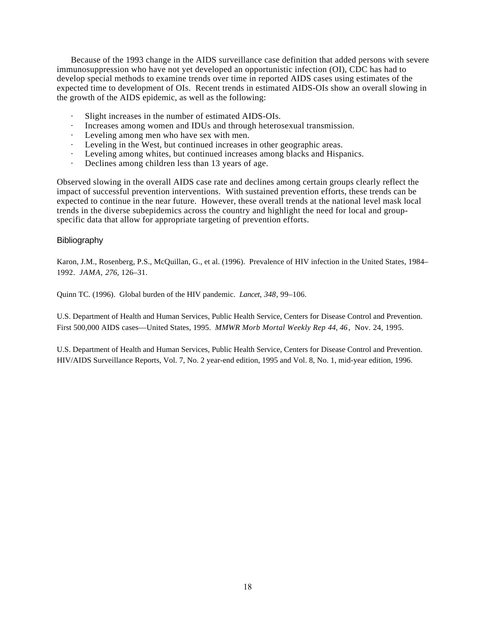Because of the 1993 change in the AIDS surveillance case definition that added persons with severe immunosuppression who have not yet developed an opportunistic infection (OI), CDC has had to develop special methods to examine trends over time in reported AIDS cases using estimates of the expected time to development of OIs. Recent trends in estimated AIDS-OIs show an overall slowing in the growth of the AIDS epidemic, as well as the following:

- Slight increases in the number of estimated AIDS-OIs.
- · Increases among women and IDUs and through heterosexual transmission.
- · Leveling among men who have sex with men.
- · Leveling in the West, but continued increases in other geographic areas.
- · Leveling among whites, but continued increases among blacks and Hispanics.
- · Declines among children less than 13 years of age.

Observed slowing in the overall AIDS case rate and declines among certain groups clearly reflect the impact of successful prevention interventions. With sustained prevention efforts, these trends can be expected to continue in the near future. However, these overall trends at the national level mask local trends in the diverse subepidemics across the country and highlight the need for local and groupspecific data that allow for appropriate targeting of prevention efforts.

#### **Bibliography**

Karon, J.M., Rosenberg, P.S., McQuillan, G., et al. (1996). Prevalence of HIV infection in the United States, 1984– 1992. *JAMA*, *276*, 126–31.

Quinn TC. (1996). Global burden of the HIV pandemic. *Lancet*, *348*, 99–106.

U.S. Department of Health and Human Services, Public Health Service, Centers for Disease Control and Prevention. First 500,000 AIDS cases—United States, 1995. *MMWR Morb Mortal Weekly Rep 44, 46*, Nov. 24, 1995.

U.S. Department of Health and Human Services, Public Health Service, Centers for Disease Control and Prevention. HIV/AIDS Surveillance Reports, Vol. 7, No. 2 year-end edition, 1995 and Vol. 8, No. 1, mid-year edition, 1996.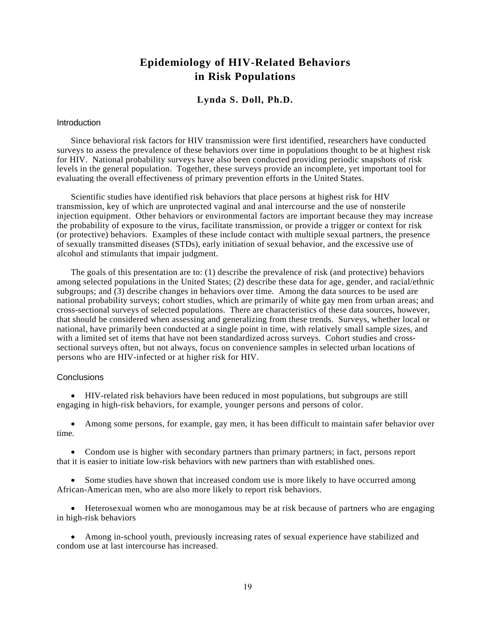# **Epidemiology of HIV-Related Behaviors in Risk Populations**

#### **Lynda S. Doll, Ph.D.**

#### <span id="page-21-0"></span>**Introduction**

Since behavioral risk factors for HIV transmission were first identified, researchers have conducted surveys to assess the prevalence of these behaviors over time in populations thought to be at highest risk for HIV. National probability surveys have also been conducted providing periodic snapshots of risk levels in the general population. Together, these surveys provide an incomplete, yet important tool for evaluating the overall effectiveness of primary prevention efforts in the United States.

Scientific studies have identified risk behaviors that place persons at highest risk for HIV transmission, key of which are unprotected vaginal and anal intercourse and the use of nonsterile injection equipment. Other behaviors or environmental factors are important because they may increase the probability of exposure to the virus, facilitate transmission, or provide a trigger or context for risk (or protective) behaviors. Examples of these include contact with multiple sexual partners, the presence of sexually transmitted diseases (STDs), early initiation of sexual behavior, and the excessive use of alcohol and stimulants that impair judgment.

The goals of this presentation are to: (1) describe the prevalence of risk (and protective) behaviors among selected populations in the United States; (2) describe these data for age, gender, and racial/ethnic subgroups; and (3) describe changes in behaviors over time. Among the data sources to be used are national probability surveys; cohort studies, which are primarily of white gay men from urban areas; and cross-sectional surveys of selected populations. There are characteristics of these data sources, however, that should be considered when assessing and generalizing from these trends. Surveys, whether local or national, have primarily been conducted at a single point in time, with relatively small sample sizes, and with a limited set of items that have not been standardized across surveys. Cohort studies and crosssectional surveys often, but not always, focus on convenience samples in selected urban locations of persons who are HIV-infected or at higher risk for HIV.

#### **Conclusions**

• HIV-related risk behaviors have been reduced in most populations, but subgroups are still engaging in high-risk behaviors, for example, younger persons and persons of color.

• Among some persons, for example, gay men, it has been difficult to maintain safer behavior over time.

• Condom use is higher with secondary partners than primary partners; in fact, persons report that it is easier to initiate low-risk behaviors with new partners than with established ones.

• Some studies have shown that increased condom use is more likely to have occurred among African-American men, who are also more likely to report risk behaviors.

• Heterosexual women who are monogamous may be at risk because of partners who are engaging in high-risk behaviors

• Among in-school youth, previously increasing rates of sexual experience have stabilized and condom use at last intercourse has increased.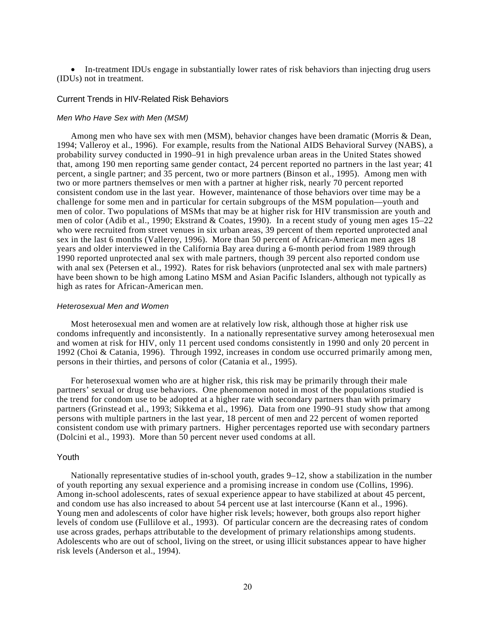• In-treatment IDUs engage in substantially lower rates of risk behaviors than injecting drug users (IDUs) not in treatment.

#### Current Trends in HIV-Related Risk Behaviors

#### *Men Who Have Sex with Men (MSM)*

Among men who have sex with men (MSM), behavior changes have been dramatic (Morris & Dean, 1994; Valleroy et al., 1996). For example, results from the National AIDS Behavioral Survey (NABS), a probability survey conducted in 1990–91 in high prevalence urban areas in the United States showed that, among 190 men reporting same gender contact, 24 percent reported no partners in the last year; 41 percent, a single partner; and 35 percent, two or more partners (Binson et al., 1995). Among men with two or more partners themselves or men with a partner at higher risk, nearly 70 percent reported consistent condom use in the last year. However, maintenance of those behaviors over time may be a challenge for some men and in particular for certain subgroups of the MSM population—youth and men of color. Two populations of MSMs that may be at higher risk for HIV transmission are youth and men of color (Adib et al., 1990; Ekstrand & Coates, 1990). In a recent study of young men ages 15–22 who were recruited from street venues in six urban areas, 39 percent of them reported unprotected anal sex in the last 6 months (Valleroy, 1996). More than 50 percent of African-American men ages 18 years and older interviewed in the California Bay area during a 6-month period from 1989 through 1990 reported unprotected anal sex with male partners, though 39 percent also reported condom use with anal sex (Petersen et al., 1992). Rates for risk behaviors (unprotected anal sex with male partners) have been shown to be high among Latino MSM and Asian Pacific Islanders, although not typically as high as rates for African-American men.

#### *Heterosexual Men and Women*

Most heterosexual men and women are at relatively low risk, although those at higher risk use condoms infrequently and inconsistently. In a nationally representative survey among heterosexual men and women at risk for HIV, only 11 percent used condoms consistently in 1990 and only 20 percent in 1992 (Choi & Catania, 1996). Through 1992, increases in condom use occurred primarily among men, persons in their thirties, and persons of color (Catania et al., 1995).

For heterosexual women who are at higher risk, this risk may be primarily through their male partners' sexual or drug use behaviors. One phenomenon noted in most of the populations studied is the trend for condom use to be adopted at a higher rate with secondary partners than with primary partners (Grinstead et al., 1993; Sikkema et al., 1996). Data from one 1990–91 study show that among persons with multiple partners in the last year, 18 percent of men and 22 percent of women reported consistent condom use with primary partners. Higher percentages reported use with secondary partners (Dolcini et al., 1993). More than 50 percent never used condoms at all.

#### Youth

Nationally representative studies of in-school youth, grades 9–12, show a stabilization in the number of youth reporting any sexual experience and a promising increase in condom use (Collins, 1996). Among in-school adolescents, rates of sexual experience appear to have stabilized at about 45 percent, and condom use has also increased to about 54 percent use at last intercourse (Kann et al., 1996). Young men and adolescents of color have higher risk levels; however, both groups also report higher levels of condom use (Fullilove et al., 1993). Of particular concern are the decreasing rates of condom use across grades, perhaps attributable to the development of primary relationships among students. Adolescents who are out of school, living on the street, or using illicit substances appear to have higher risk levels (Anderson et al., 1994).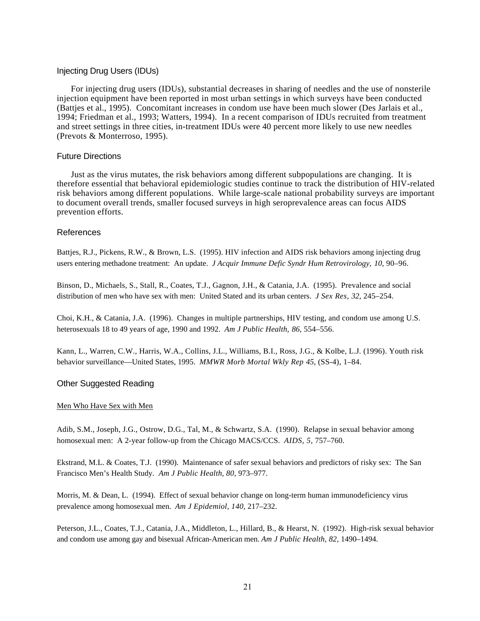#### Injecting Drug Users (IDUs)

For injecting drug users (IDUs), substantial decreases in sharing of needles and the use of nonsterile injection equipment have been reported in most urban settings in which surveys have been conducted (Battjes et al., 1995). Concomitant increases in condom use have been much slower (Des Jarlais et al., 1994; Friedman et al., 1993; Watters, 1994). In a recent comparison of IDUs recruited from treatment and street settings in three cities, in-treatment IDUs were 40 percent more likely to use new needles (Prevots & Monterroso, 1995).

#### Future Directions

Just as the virus mutates, the risk behaviors among different subpopulations are changing. It is therefore essential that behavioral epidemiologic studies continue to track the distribution of HIV-related risk behaviors among different populations. While large-scale national probability surveys are important to document overall trends, smaller focused surveys in high seroprevalence areas can focus AIDS prevention efforts.

#### References

Battjes, R.J., Pickens, R.W., & Brown, L.S. (1995). HIV infection and AIDS risk behaviors among injecting drug users entering methadone treatment: An update. *J Acquir Immune Defic Syndr Hum Retrovirology*, *10*, 90–96.

Binson, D., Michaels, S., Stall, R., Coates, T.J., Gagnon, J.H., & Catania, J.A. (1995). Prevalence and social distribution of men who have sex with men: United Stated and its urban centers. *J Sex Res, 32*, 245–254.

Choi, K.H., & Catania, J.A. (1996). Changes in multiple partnerships, HIV testing, and condom use among U.S. heterosexuals 18 to 49 years of age, 1990 and 1992. *Am J Public Health*, *86*, 554–556.

Kann, L., Warren, C.W., Harris, W.A., Collins, J.L., Williams, B.I., Ross, J.G., & Kolbe, L.J. (1996). Youth risk behavior surveillance—United States, 1995. *MMWR Morb Mortal Wkly Rep 45*, (SS-4), 1–84.

#### Other Suggested Reading

#### Men Who Have Sex with Men

Adib, S.M., Joseph, J.G., Ostrow, D.G., Tal, M., & Schwartz, S.A. (1990). Relapse in sexual behavior among homosexual men: A 2-year follow-up from the Chicago MACS/CCS. *AIDS, 5,* 757–760.

Ekstrand, M.L. & Coates, T.J. (1990). Maintenance of safer sexual behaviors and predictors of risky sex: The San Francisco Men's Health Study. *Am J Public Health, 80,* 973–977.

Morris, M. & Dean, L. (1994). Effect of sexual behavior change on long-term human immunodeficiency virus prevalence among homosexual men. *Am J Epidemiol, 140,* 217–232.

Peterson, J.L., Coates, T.J., Catania, J.A., Middleton, L., Hillard, B., & Hearst, N. (1992). High-risk sexual behavior and condom use among gay and bisexual African-American men. *Am J Public Health, 82,* 1490–1494.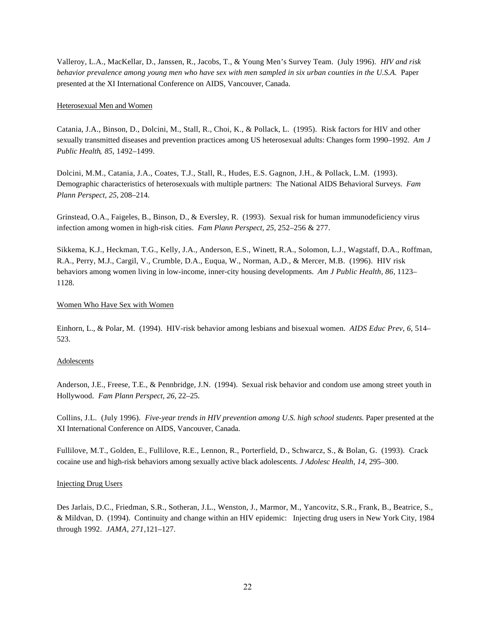Valleroy, L.A., MacKellar, D., Janssen, R., Jacobs, T., & Young Men's Survey Team. (July 1996). *HIV and risk behavior prevalence among young men who have sex with men sampled in six urban counties in the U.S.A.* Paper presented at the XI International Conference on AIDS, Vancouver, Canada.

#### Heterosexual Men and Women

Catania, J.A., Binson, D., Dolcini, M., Stall, R., Choi, K., & Pollack, L. (1995). Risk factors for HIV and other sexually transmitted diseases and prevention practices among US heterosexual adults: Changes form 1990–1992. *Am J Public Health*, *85*, 1492–1499.

Dolcini, M.M., Catania, J.A., Coates, T.J., Stall, R., Hudes, E.S. Gagnon, J.H., & Pollack, L.M. (1993). Demographic characteristics of heterosexuals with multiple partners: The National AIDS Behavioral Surveys. *Fam Plann Perspect, 25,* 208–214.

Grinstead, O.A., Faigeles, B., Binson, D., & Eversley, R. (1993). Sexual risk for human immunodeficiency virus infection among women in high-risk cities. *Fam Plann Perspect, 25,* 252–256 & 277.

Sikkema, K.J., Heckman, T.G., Kelly, J.A., Anderson, E.S., Winett, R.A., Solomon, L.J., Wagstaff, D.A., Roffman, R.A., Perry, M.J., Cargil, V., Crumble, D.A., Euqua, W., Norman, A.D., & Mercer, M.B. (1996). HIV risk behaviors among women living in low-income, inner-city housing developments. *Am J Public Health, 86,* 1123– 1128.

#### Women Who Have Sex with Women

Einhorn, L., & Polar, M. (1994). HIV-risk behavior among lesbians and bisexual women. *AIDS Educ Prev, 6,* 514– 523.

#### Adolescents

Anderson, J.E., Freese, T.E., & Pennbridge, J.N. (1994). Sexual risk behavior and condom use among street youth in Hollywood. *Fam Plann Perspect, 26,* 22–25.

Collins, J.L. (July 1996). *Five-year trends in HIV prevention among U.S. high school students.* Paper presented at the XI International Conference on AIDS, Vancouver, Canada.

Fullilove, M.T., Golden, E., Fullilove, R.E., Lennon, R., Porterfield, D., Schwarcz, S., & Bolan, G. (1993). Crack cocaine use and high-risk behaviors among sexually active black adolescents. *J Adolesc Health, 14,* 295–300.

#### Injecting Drug Users

Des Jarlais, D.C., Friedman, S.R., Sotheran, J.L., Wenston, J., Marmor, M., Yancovitz, S.R., Frank, B., Beatrice, S., & Mildvan, D. (1994). Continuity and change within an HIV epidemic: Injecting drug users in New York City, 1984 through 1992. *JAMA, 271,*121–127.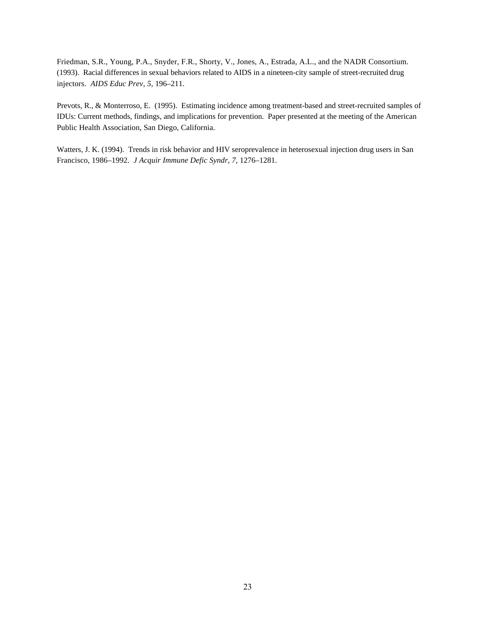Friedman, S.R., Young, P.A., Snyder, F.R., Shorty, V., Jones, A., Estrada, A.L., and the NADR Consortium. (1993). Racial differences in sexual behaviors related to AIDS in a nineteen-city sample of street-recruited drug injectors. *AIDS Educ Prev, 5,* 196–211.

Prevots, R., & Monterroso, E. (1995). Estimating incidence among treatment-based and street-recruited samples of IDUs: Current methods, findings, and implications for prevention. Paper presented at the meeting of the American Public Health Association, San Diego, California.

Watters, J. K. (1994). Trends in risk behavior and HIV seroprevalence in heterosexual injection drug users in San Francisco, 1986–1992. *J Acquir Immune Defic Syndr, 7,* 1276–1281.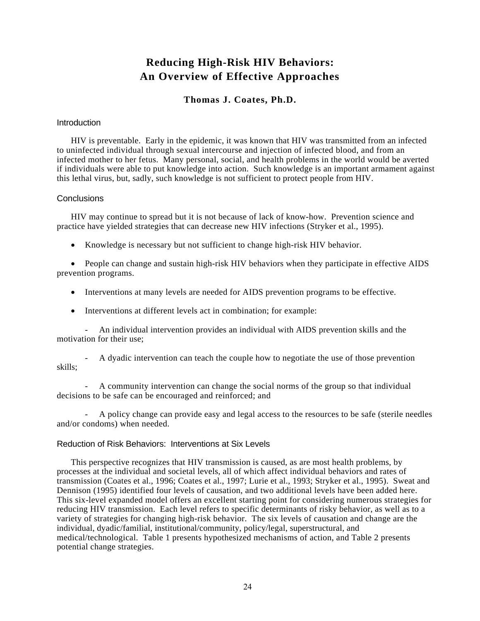# **Reducing High-Risk HIV Behaviors: An Overview of Effective Approaches**

### **Thomas J. Coates, Ph.D.**

#### <span id="page-26-0"></span>**Introduction**

HIV is preventable. Early in the epidemic, it was known that HIV was transmitted from an infected to uninfected individual through sexual intercourse and injection of infected blood, and from an infected mother to her fetus. Many personal, social, and health problems in the world would be averted if individuals were able to put knowledge into action. Such knowledge is an important armament against this lethal virus, but, sadly, such knowledge is not sufficient to protect people from HIV.

#### **Conclusions**

HIV may continue to spread but it is not because of lack of know-how. Prevention science and practice have yielded strategies that can decrease new HIV infections (Stryker et al., 1995).

• Knowledge is necessary but not sufficient to change high-risk HIV behavior.

• People can change and sustain high-risk HIV behaviors when they participate in effective AIDS prevention programs.

- Interventions at many levels are needed for AIDS prevention programs to be effective.
- Interventions at different levels act in combination; for example:

- An individual intervention provides an individual with AIDS prevention skills and the motivation for their use;

- A dyadic intervention can teach the couple how to negotiate the use of those prevention skills;

- A community intervention can change the social norms of the group so that individual decisions to be safe can be encouraged and reinforced; and

- A policy change can provide easy and legal access to the resources to be safe (sterile needles and/or condoms) when needed.

#### Reduction of Risk Behaviors: Interventions at Six Levels

This perspective recognizes that HIV transmission is caused, as are most health problems, by processes at the individual and societal levels, all of which affect individual behaviors and rates of transmission (Coates et al., 1996; Coates et al., 1997; Lurie et al., 1993; Stryker et al., 1995). Sweat and Dennison (1995) identified four levels of causation, and two additional levels have been added here. This six-level expanded model offers an excellent starting point for considering numerous strategies for reducing HIV transmission. Each level refers to specific determinants of risky behavior, as well as to a variety of strategies for changing high-risk behavior. The six levels of causation and change are the individual, dyadic/familial, institutional/community, policy/legal, superstructural, and medical/technological. Table 1 presents hypothesized mechanisms of action, and Table 2 presents potential change strategies.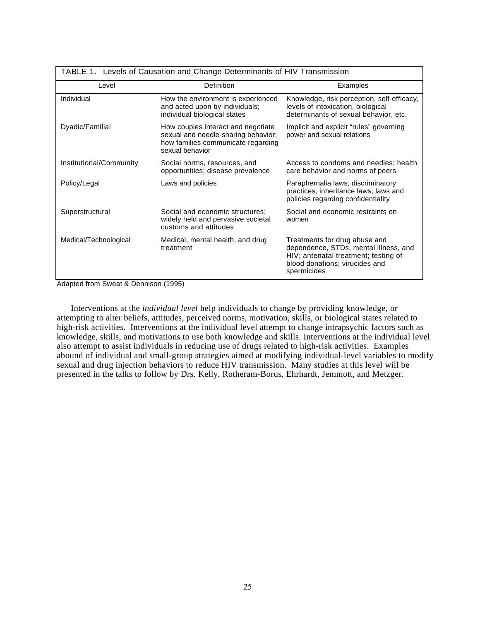| TABLE 1. Levels of Causation and Change Determinants of HIV Transmission |                                                                                                                                    |                                                                                                                                                                 |
|--------------------------------------------------------------------------|------------------------------------------------------------------------------------------------------------------------------------|-----------------------------------------------------------------------------------------------------------------------------------------------------------------|
| Level                                                                    | Definition                                                                                                                         | Examples                                                                                                                                                        |
| Individual                                                               | How the environment is experienced<br>and acted upon by individuals;<br>individual biological states                               | Knowledge, risk perception, self-efficacy,<br>levels of intoxication, biological<br>determinants of sexual behavior, etc.                                       |
| Dyadic/Familial                                                          | How couples interact and negotiate<br>sexual and needle-sharing behavior;<br>how families communicate regarding<br>sexual behavior | Implicit and explicit "rules" governing<br>power and sexual relations                                                                                           |
| Institutional/Community                                                  | Social norms, resources, and<br>opportunities; disease prevalence                                                                  | Access to condoms and needles; health<br>care behavior and norms of peers                                                                                       |
| Policy/Legal                                                             | Laws and policies                                                                                                                  | Paraphernalia laws, discriminatory<br>practices, inheritance laws, laws and<br>policies regarding confidentiality                                               |
| Superstructural                                                          | Social and economic structures:<br>widely held and pervasive societal<br>customs and attitudes                                     | Social and economic restraints on<br>women                                                                                                                      |
| Medical/Technological                                                    | Medical, mental health, and drug<br>treatment                                                                                      | Treatments for drug abuse and<br>dependence, STDs, mental illness, and<br>HIV; antenatal treatment; testing of<br>blood donations; virucides and<br>spermicides |

Adapted from Sweat & Dennison (1995)

Interventions at the *individual level* help individuals to change by providing knowledge, or attempting to alter beliefs, attitudes, perceived norms, motivation, skills, or biological states related to high-risk activities. Interventions at the individual level attempt to change intrapsychic factors such as knowledge, skills, and motivations to use both knowledge and skills. Interventions at the individual level also attempt to assist individuals in reducing use of drugs related to high-risk activities. Examples abound of individual and small-group strategies aimed at modifying individual-level variables to modify sexual and drug injection behaviors to reduce HIV transmission. Many studies at this level will be presented in the talks to follow by Drs. Kelly, Rotheram-Borus, Ehrhardt, Jemmott, and Metzger.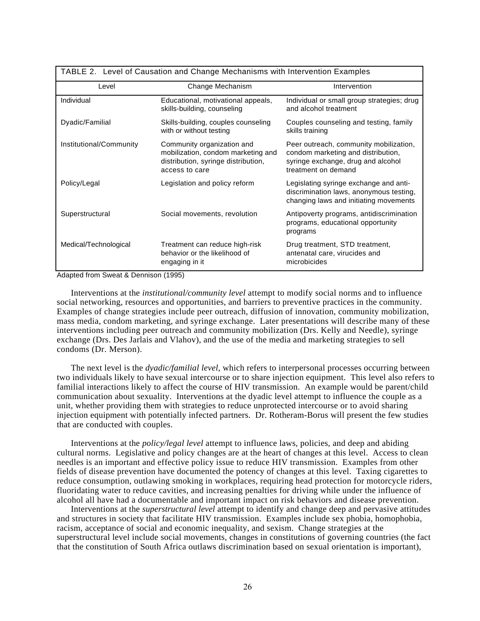| TABLE 2. Level of Causation and Change Mechanisms with Intervention Examples |                                                                                                                           |                                                                                                                                           |  |
|------------------------------------------------------------------------------|---------------------------------------------------------------------------------------------------------------------------|-------------------------------------------------------------------------------------------------------------------------------------------|--|
| Level                                                                        | Change Mechanism                                                                                                          | Intervention                                                                                                                              |  |
| Individual                                                                   | Educational, motivational appeals,<br>skills-building, counseling                                                         | Individual or small group strategies; drug<br>and alcohol treatment                                                                       |  |
| Dyadic/Familial                                                              | Skills-building, couples counseling<br>with or without testing                                                            | Couples counseling and testing, family<br>skills training                                                                                 |  |
| Institutional/Community                                                      | Community organization and<br>mobilization, condom marketing and<br>distribution, syringe distribution,<br>access to care | Peer outreach, community mobilization,<br>condom marketing and distribution,<br>syringe exchange, drug and alcohol<br>treatment on demand |  |
| Policy/Legal                                                                 | Legislation and policy reform                                                                                             | Legislating syringe exchange and anti-<br>discrimination laws, anonymous testing,<br>changing laws and initiating movements               |  |
| Superstructural                                                              | Social movements, revolution                                                                                              | Antipoverty programs, antidiscrimination<br>programs, educational opportunity<br>programs                                                 |  |
| Medical/Technological                                                        | Treatment can reduce high-risk<br>behavior or the likelihood of<br>engaging in it                                         | Drug treatment, STD treatment,<br>antenatal care, virucides and<br>microbicides                                                           |  |

Adapted from Sweat & Dennison (1995)

Interventions at the *institutional/community level* attempt to modify social norms and to influence social networking, resources and opportunities, and barriers to preventive practices in the community. Examples of change strategies include peer outreach, diffusion of innovation, community mobilization, mass media, condom marketing, and syringe exchange. Later presentations will describe many of these interventions including peer outreach and community mobilization (Drs. Kelly and Needle), syringe exchange (Drs. Des Jarlais and Vlahov), and the use of the media and marketing strategies to sell condoms (Dr. Merson).

The next level is the *dyadic/familial level*, which refers to interpersonal processes occurring between two individuals likely to have sexual intercourse or to share injection equipment. This level also refers to familial interactions likely to affect the course of HIV transmission. An example would be parent/child communication about sexuality. Interventions at the dyadic level attempt to influence the couple as a unit, whether providing them with strategies to reduce unprotected intercourse or to avoid sharing injection equipment with potentially infected partners. Dr. Rotheram-Borus will present the few studies that are conducted with couples.

Interventions at the *policy/legal level* attempt to influence laws, policies, and deep and abiding cultural norms. Legislative and policy changes are at the heart of changes at this level. Access to clean needles is an important and effective policy issue to reduce HIV transmission. Examples from other fields of disease prevention have documented the potency of changes at this level. Taxing cigarettes to reduce consumption, outlawing smoking in workplaces, requiring head protection for motorcycle riders, fluoridating water to reduce cavities, and increasing penalties for driving while under the influence of alcohol all have had a documentable and important impact on risk behaviors and disease prevention.

Interventions at the *superstructural level* attempt to identify and change deep and pervasive attitudes and structures in society that facilitate HIV transmission. Examples include sex phobia, homophobia, racism, acceptance of social and economic inequality, and sexism. Change strategies at the superstructural level include social movements, changes in constitutions of governing countries (the fact that the constitution of South Africa outlaws discrimination based on sexual orientation is important),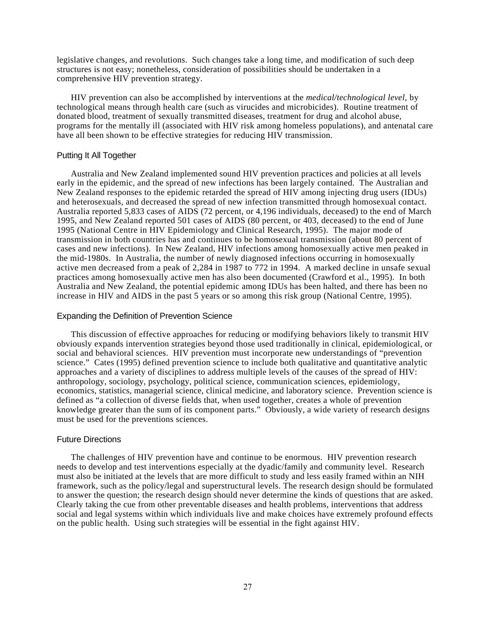legislative changes, and revolutions. Such changes take a long time, and modification of such deep structures is not easy; nonetheless, consideration of possibilities should be undertaken in a comprehensive HIV prevention strategy.

HIV prevention can also be accomplished by interventions at the *medical/technological level,* by technological means through health care (such as virucides and microbicides). Routine treatment of donated blood, treatment of sexually transmitted diseases, treatment for drug and alcohol abuse, programs for the mentally ill (associated with HIV risk among homeless populations), and antenatal care have all been shown to be effective strategies for reducing HIV transmission.

#### Putting It All Together

Australia and New Zealand implemented sound HIV prevention practices and policies at all levels early in the epidemic, and the spread of new infections has been largely contained. The Australian and New Zealand responses to the epidemic retarded the spread of HIV among injecting drug users (IDUs) and heterosexuals, and decreased the spread of new infection transmitted through homosexual contact. Australia reported 5,833 cases of AIDS (72 percent, or 4,196 individuals, deceased) to the end of March 1995, and New Zealand reported 501 cases of AIDS (80 percent, or 403, deceased) to the end of June 1995 (National Centre in HIV Epidemiology and Clinical Research, 1995). The major mode of transmission in both countries has and continues to be homosexual transmission (about 80 percent of cases and new infections). In New Zealand, HIV infections among homosexually active men peaked in the mid-1980s. In Australia, the number of newly diagnosed infections occurring in homosexually active men decreased from a peak of 2,284 in 1987 to 772 in 1994. A marked decline in unsafe sexual practices among homosexually active men has also been documented (Crawford et al., 1995). In both Australia and New Zealand, the potential epidemic among IDUs has been halted, and there has been no increase in HIV and AIDS in the past 5 years or so among this risk group (National Centre, 1995).

#### Expanding the Definition of Prevention Science

This discussion of effective approaches for reducing or modifying behaviors likely to transmit HIV obviously expands intervention strategies beyond those used traditionally in clinical, epidemiological, or social and behavioral sciences. HIV prevention must incorporate new understandings of "prevention science." Cates (1995) defined prevention science to include both qualitative and quantitative analytic approaches and a variety of disciplines to address multiple levels of the causes of the spread of HIV: anthropology, sociology, psychology, political science, communication sciences, epidemiology, economics, statistics, managerial science, clinical medicine, and laboratory science. Prevention science is defined as "a collection of diverse fields that, when used together, creates a whole of prevention knowledge greater than the sum of its component parts." Obviously, a wide variety of research designs must be used for the preventions sciences.

#### Future Directions

The challenges of HIV prevention have and continue to be enormous. HIV prevention research needs to develop and test interventions especially at the dyadic/family and community level. Research must also be initiated at the levels that are more difficult to study and less easily framed within an NIH framework, such as the policy/legal and superstructural levels. The research design should be formulated to answer the question; the research design should never determine the kinds of questions that are asked. Clearly taking the cue from other preventable diseases and health problems, interventions that address social and legal systems within which individuals live and make choices have extremely profound effects on the public health. Using such strategies will be essential in the fight against HIV.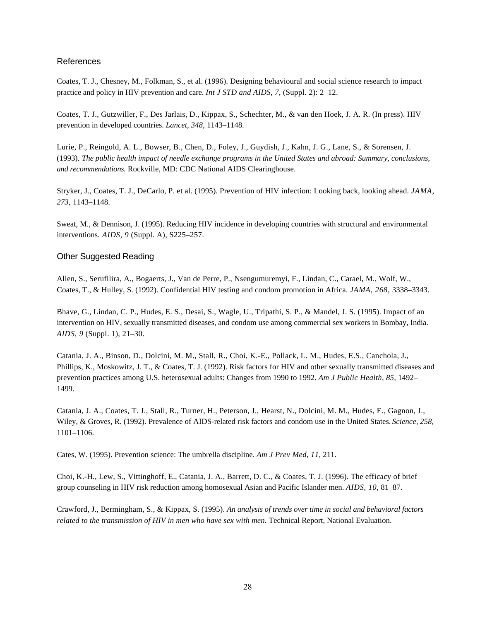#### References

Coates, T. J., Chesney, M., Folkman, S., et al. (1996). Designing behavioural and social science research to impact practice and policy in HIV prevention and care. *Int J STD and AIDS, 7,* (Suppl. 2): 2–12.

Coates, T. J., Gutzwiller, F., Des Jarlais, D., Kippax, S., Schechter, M., & van den Hoek, J. A. R. (In press). HIV prevention in developed countries. *Lancet, 348,* 1143–1148.

Lurie, P., Reingold, A. L., Bowser, B., Chen, D., Foley, J., Guydish, J., Kahn, J. G., Lane, S., & Sorensen, J. (1993). *The public health impact of needle exchange programs in the United States and abroad: Summary, conclusions, and recommendations.* Rockville, MD: CDC National AIDS Clearinghouse.

Stryker, J., Coates, T. J., DeCarlo, P. et al. (1995). Prevention of HIV infection: Looking back, looking ahead. *JAMA, 273,* 1143–1148.

Sweat, M., & Dennison, J. (1995). Reducing HIV incidence in developing countries with structural and environmental interventions. *AIDS, 9* (Suppl. A), S225–257.

#### Other Suggested Reading

Allen, S., Serufilira, A., Bogaerts, J., Van de Perre, P., Nsengumuremyi, F., Lindan, C., Carael, M., Wolf, W., Coates, T., & Hulley, S. (1992). Confidential HIV testing and condom promotion in Africa. *JAMA, 268,* 3338–3343.

Bhave, G., Lindan, C. P., Hudes, E. S., Desai, S., Wagle, U., Tripathi, S. P., & Mandel, J. S. (1995). Impact of an intervention on HIV, sexually transmitted diseases, and condom use among commercial sex workers in Bombay, India. *AIDS, 9* (Suppl. 1), 21–30.

Catania, J. A., Binson, D., Dolcini, M. M., Stall, R., Choi, K.-E., Pollack, L. M., Hudes, E.S., Canchola, J., Phillips, K., Moskowitz, J. T., & Coates, T. J. (1992). Risk factors for HIV and other sexually transmitted diseases and prevention practices among U.S. heterosexual adults: Changes from 1990 to 1992. *Am J Public Health, 85,* 1492– 1499.

Catania, J. A., Coates, T. J., Stall, R., Turner, H., Peterson, J., Hearst, N., Dolcini, M. M., Hudes, E., Gagnon, J., Wiley, & Groves, R. (1992). Prevalence of AIDS-related risk factors and condom use in the United States. *Science, 258,*  1101–1106.

Cates, W. (1995). Prevention science: The umbrella discipline. *Am J Prev Med, 11,* 211.

Choi, K.-H., Lew, S., Vittinghoff, E., Catania, J. A., Barrett, D. C., & Coates, T. J. (1996). The efficacy of brief group counseling in HIV risk reduction among homosexual Asian and Pacific Islander men. *AIDS, 10,* 81–87.

Crawford, J., Bermingham, S., & Kippax, S. (1995). *An analysis of trends over time in social and behavioral factors related to the transmission of HIV in men who have sex with men.* Technical Report, National Evaluation.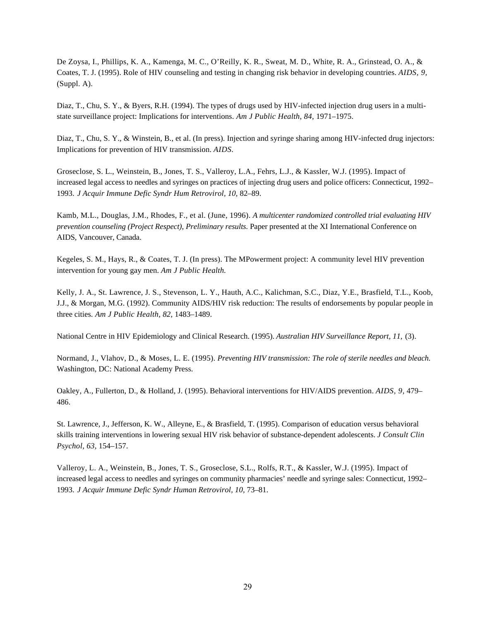De Zoysa, I., Phillips, K. A., Kamenga, M. C., O'Reilly, K. R., Sweat, M. D., White, R. A., Grinstead, O. A., & Coates, T. J. (1995). Role of HIV counseling and testing in changing risk behavior in developing countries. *AIDS, 9,*  (Suppl. A).

Diaz, T., Chu, S. Y., & Byers, R.H. (1994). The types of drugs used by HIV-infected injection drug users in a multistate surveillance project: Implications for interventions. *Am J Public Health, 84,* 1971–1975.

Diaz, T., Chu, S. Y., & Winstein, B., et al. (In press). Injection and syringe sharing among HIV-infected drug injectors: Implications for prevention of HIV transmission. *AIDS.* 

Groseclose, S. L., Weinstein, B., Jones, T. S., Valleroy, L.A., Fehrs, L.J., & Kassler, W.J. (1995). Impact of increased legal access to needles and syringes on practices of injecting drug users and police officers: Connecticut, 1992– 1993. *J Acquir Immune Defic Syndr Hum Retrovirol, 10,* 82–89.

Kamb, M.L., Douglas, J.M., Rhodes, F., et al. (June, 1996). *A multicenter randomized controlled trial evaluating HIV prevention counseling (Project Respect), Preliminary results.* Paper presented at the XI International Conference on AIDS, Vancouver, Canada.

Kegeles, S. M., Hays, R., & Coates, T. J. (In press). The MPowerment project: A community level HIV prevention intervention for young gay men. *Am J Public Health.* 

Kelly, J. A., St. Lawrence, J. S., Stevenson, L. Y., Hauth, A.C., Kalichman, S.C., Diaz, Y.E., Brasfield, T.L., Koob, J.J., & Morgan, M.G. (1992). Community AIDS/HIV risk reduction: The results of endorsements by popular people in three cities. *Am J Public Health, 82,* 1483–1489.

National Centre in HIV Epidemiology and Clinical Research. (1995). *Australian HIV Surveillance Report, 11,* (3).

Normand, J., Vlahov, D., & Moses, L. E. (1995). *Preventing HIV transmission: The role of sterile needles and bleach.*  Washington, DC: National Academy Press.

Oakley, A., Fullerton, D., & Holland, J. (1995). Behavioral interventions for HIV/AIDS prevention. *AIDS, 9,* 479– 486.

St. Lawrence, J., Jefferson, K. W., Alleyne, E., & Brasfield, T. (1995). Comparison of education versus behavioral skills training interventions in lowering sexual HIV risk behavior of substance-dependent adolescents. *J Consult Clin Psychol, 63,* 154–157.

Valleroy, L. A., Weinstein, B., Jones, T. S., Groseclose, S.L., Rolfs, R.T., & Kassler, W.J. (1995). Impact of increased legal access to needles and syringes on community pharmacies' needle and syringe sales: Connecticut, 1992– 1993. *J Acquir Immune Defic Syndr Human Retrovirol, 10,* 73–81.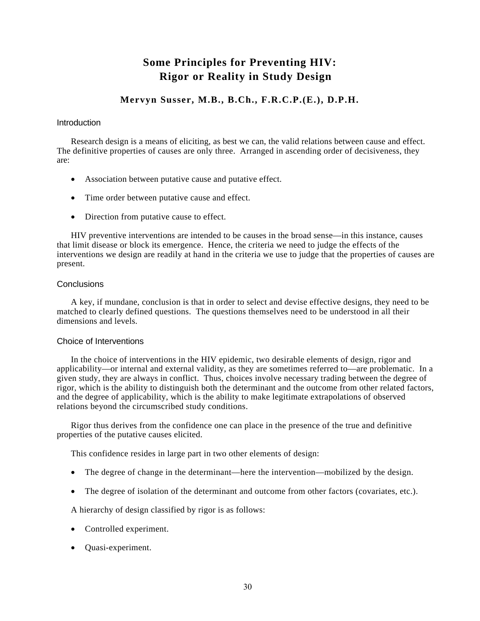# **Some Principles for Preventing HIV: Rigor or Reality in Study Design**

### **Mervyn Susser, M.B., B.Ch., F.R.C.P.(E.), D.P.H.**

#### <span id="page-32-0"></span>**Introduction**

Research design is a means of eliciting, as best we can, the valid relations between cause and effect. The definitive properties of causes are only three. Arranged in ascending order of decisiveness, they are:

- Association between putative cause and putative effect.
- Time order between putative cause and effect.
- Direction from putative cause to effect.

HIV preventive interventions are intended to be causes in the broad sense—in this instance, causes that limit disease or block its emergence. Hence, the criteria we need to judge the effects of the interventions we design are readily at hand in the criteria we use to judge that the properties of causes are present.

#### **Conclusions**

A key, if mundane, conclusion is that in order to select and devise effective designs, they need to be matched to clearly defined questions. The questions themselves need to be understood in all their dimensions and levels.

#### Choice of Interventions

In the choice of interventions in the HIV epidemic, two desirable elements of design, rigor and applicability—or internal and external validity, as they are sometimes referred to—are problematic. In a given study, they are always in conflict. Thus, choices involve necessary trading between the degree of rigor, which is the ability to distinguish both the determinant and the outcome from other related factors, and the degree of applicability, which is the ability to make legitimate extrapolations of observed relations beyond the circumscribed study conditions.

Rigor thus derives from the confidence one can place in the presence of the true and definitive properties of the putative causes elicited.

This confidence resides in large part in two other elements of design:

- The degree of change in the determinant—here the intervention—mobilized by the design.
- The degree of isolation of the determinant and outcome from other factors (covariates, etc.).

A hierarchy of design classified by rigor is as follows:

- Controlled experiment.
- Quasi-experiment.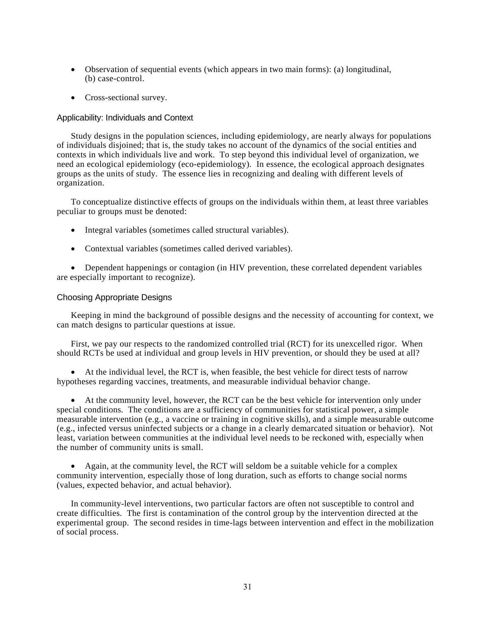- Observation of sequential events (which appears in two main forms): (a) longitudinal, (b) case-control.
- Cross-sectional survey.

#### Applicability: Individuals and Context

Study designs in the population sciences, including epidemiology, are nearly always for populations of individuals disjoined; that is, the study takes no account of the dynamics of the social entities and contexts in which individuals live and work. To step beyond this individual level of organization, we need an ecological epidemiology (eco-epidemiology). In essence, the ecological approach designates groups as the units of study. The essence lies in recognizing and dealing with different levels of organization.

To conceptualize distinctive effects of groups on the individuals within them, at least three variables peculiar to groups must be denoted:

- Integral variables (sometimes called structural variables).
- Contextual variables (sometimes called derived variables).

• Dependent happenings or contagion (in HIV prevention, these correlated dependent variables are especially important to recognize).

#### Choosing Appropriate Designs

Keeping in mind the background of possible designs and the necessity of accounting for context, we can match designs to particular questions at issue.

First, we pay our respects to the randomized controlled trial (RCT) for its unexcelled rigor. When should RCTs be used at individual and group levels in HIV prevention, or should they be used at all?

• At the individual level, the RCT is, when feasible, the best vehicle for direct tests of narrow hypotheses regarding vaccines, treatments, and measurable individual behavior change.

• At the community level, however, the RCT can be the best vehicle for intervention only under special conditions. The conditions are a sufficiency of communities for statistical power, a simple measurable intervention (e.g., a vaccine or training in cognitive skills), and a simple measurable outcome (e.g., infected versus uninfected subjects or a change in a clearly demarcated situation or behavior). Not least, variation between communities at the individual level needs to be reckoned with, especially when the number of community units is small.

• Again, at the community level, the RCT will seldom be a suitable vehicle for a complex community intervention, especially those of long duration, such as efforts to change social norms (values, expected behavior, and actual behavior).

In community-level interventions, two particular factors are often not susceptible to control and create difficulties. The first is contamination of the control group by the intervention directed at the experimental group. The second resides in time-lags between intervention and effect in the mobilization of social process.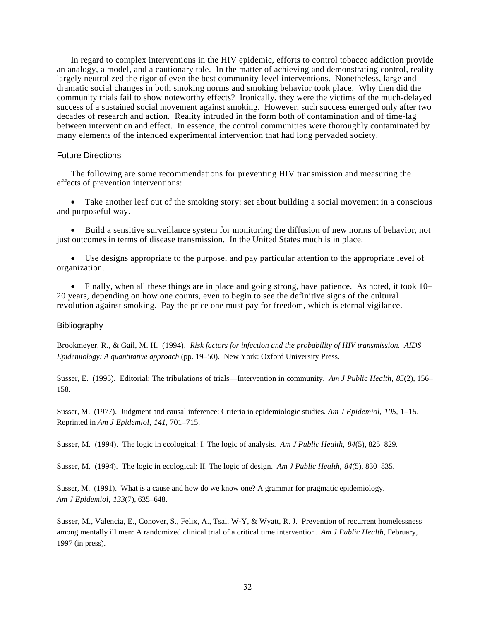In regard to complex interventions in the HIV epidemic, efforts to control tobacco addiction provide an analogy, a model, and a cautionary tale. In the matter of achieving and demonstrating control, reality largely neutralized the rigor of even the best community-level interventions. Nonetheless, large and dramatic social changes in both smoking norms and smoking behavior took place. Why then did the community trials fail to show noteworthy effects? Ironically, they were the victims of the much-delayed success of a sustained social movement against smoking. However, such success emerged only after two decades of research and action. Reality intruded in the form both of contamination and of time-lag between intervention and effect. In essence, the control communities were thoroughly contaminated by many elements of the intended experimental intervention that had long pervaded society.

#### Future Directions

The following are some recommendations for preventing HIV transmission and measuring the effects of prevention interventions:

• Take another leaf out of the smoking story: set about building a social movement in a conscious and purposeful way.

• Build a sensitive surveillance system for monitoring the diffusion of new norms of behavior, not just outcomes in terms of disease transmission. In the United States much is in place.

• Use designs appropriate to the purpose, and pay particular attention to the appropriate level of organization.

• Finally, when all these things are in place and going strong, have patience. As noted, it took 10– 20 years, depending on how one counts, even to begin to see the definitive signs of the cultural revolution against smoking. Pay the price one must pay for freedom, which is eternal vigilance.

#### Bibliography

Brookmeyer, R., & Gail, M. H. (1994). *Risk factors for infection and the probability of HIV transmission. AIDS Epidemiology: A quantitative approach* (pp. 19–50). New York: Oxford University Press.

Susser, E. (1995). Editorial: The tribulations of trials—Intervention in community. *Am J Public Health*, *85*(2), 156– 158.

Susser, M. (1977). Judgment and causal inference: Criteria in epidemiologic studies. *Am J Epidemiol*, *105*, 1–15. Reprinted in *Am J Epidemiol*, *141*, 701–715.

Susser, M. (1994). The logic in ecological: I. The logic of analysis. *Am J Public Health*, *84*(5), 825–829.

Susser, M. (1994). The logic in ecological: II. The logic of design. *Am J Public Health*, *84*(5), 830–835.

Susser, M. (1991). What is a cause and how do we know one? A grammar for pragmatic epidemiology. *Am J Epidemiol*, *133*(7), 635–648.

Susser, M., Valencia, E., Conover, S., Felix, A., Tsai, W-Y, & Wyatt, R. J. Prevention of recurrent homelessness among mentally ill men: A randomized clinical trial of a critical time intervention. *Am J Public Health*, February, 1997 (in press).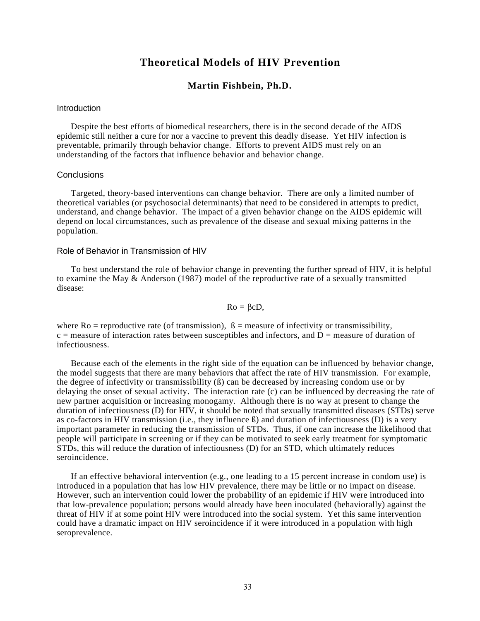### **Theoretical Models of HIV Prevention**

#### **Martin Fishbein, Ph.D.**

#### <span id="page-35-0"></span>**Introduction**

Despite the best efforts of biomedical researchers, there is in the second decade of the AIDS epidemic still neither a cure for nor a vaccine to prevent this deadly disease. Yet HIV infection is preventable, primarily through behavior change. Efforts to prevent AIDS must rely on an understanding of the factors that influence behavior and behavior change.

#### **Conclusions**

Targeted, theory-based interventions can change behavior. There are only a limited number of theoretical variables (or psychosocial determinants) that need to be considered in attempts to predict, understand, and change behavior. The impact of a given behavior change on the AIDS epidemic will depend on local circumstances, such as prevalence of the disease and sexual mixing patterns in the population.

#### Role of Behavior in Transmission of HIV

To best understand the role of behavior change in preventing the further spread of HIV, it is helpful to examine the May & Anderson (1987) model of the reproductive rate of a sexually transmitted disease:

#### $Ro = \beta cD$ ,

where  $Ro$  = reproductive rate (of transmission),  $\beta$  = measure of infectivity or transmissibility,  $c$  = measure of interaction rates between susceptibles and infectors, and  $D$  = measure of duration of infectiousness.

Because each of the elements in the right side of the equation can be influenced by behavior change, the model suggests that there are many behaviors that affect the rate of HIV transmission. For example, the degree of infectivity or transmissibility (ß) can be decreased by increasing condom use or by delaying the onset of sexual activity. The interaction rate (c) can be influenced by decreasing the rate of new partner acquisition or increasing monogamy. Although there is no way at present to change the duration of infectiousness (D) for HIV, it should be noted that sexually transmitted diseases (STDs) serve as co-factors in HIV transmission (i.e., they influence ß) and duration of infectiousness (D) is a very important parameter in reducing the transmission of STDs. Thus, if one can increase the likelihood that people will participate in screening or if they can be motivated to seek early treatment for symptomatic STDs, this will reduce the duration of infectiousness (D) for an STD, which ultimately reduces seroincidence.

If an effective behavioral intervention (e.g., one leading to a 15 percent increase in condom use) is introduced in a population that has low HIV prevalence, there may be little or no impact on disease. However, such an intervention could lower the probability of an epidemic if HIV were introduced into that low-prevalence population; persons would already have been inoculated (behaviorally) against the threat of HIV if at some point HIV were introduced into the social system. Yet this same intervention could have a dramatic impact on HIV seroincidence if it were introduced in a population with high seroprevalence.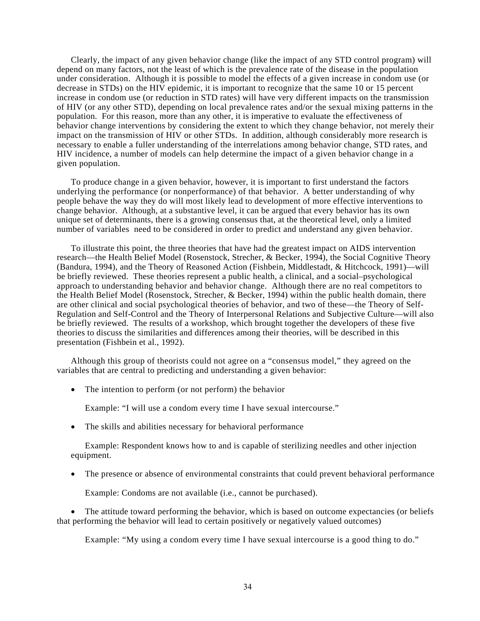Clearly, the impact of any given behavior change (like the impact of any STD control program) will depend on many factors, not the least of which is the prevalence rate of the disease in the population under consideration. Although it is possible to model the effects of a given increase in condom use (or decrease in STDs) on the HIV epidemic, it is important to recognize that the same 10 or 15 percent increase in condom use (or reduction in STD rates) will have very different impacts on the transmission of HIV (or any other STD), depending on local prevalence rates and/or the sexual mixing patterns in the population. For this reason, more than any other, it is imperative to evaluate the effectiveness of behavior change interventions by considering the extent to which they change behavior, not merely their impact on the transmission of HIV or other STDs. In addition, although considerably more research is necessary to enable a fuller understanding of the interrelations among behavior change, STD rates, and HIV incidence, a number of models can help determine the impact of a given behavior change in a given population.

To produce change in a given behavior, however, it is important to first understand the factors underlying the performance (or nonperformance) of that behavior. A better understanding of why people behave the way they do will most likely lead to development of more effective interventions to change behavior. Although, at a substantive level, it can be argued that every behavior has its own unique set of determinants, there is a growing consensus that, at the theoretical level, only a limited number of variables need to be considered in order to predict and understand any given behavior.

To illustrate this point, the three theories that have had the greatest impact on AIDS intervention research—the Health Belief Model (Rosenstock, Strecher, & Becker, 1994), the Social Cognitive Theory (Bandura, 1994), and the Theory of Reasoned Action (Fishbein, Middlestadt, & Hitchcock, 1991)—will be briefly reviewed. These theories represent a public health, a clinical, and a social–psychological approach to understanding behavior and behavior change. Although there are no real competitors to the Health Belief Model (Rosenstock, Strecher, & Becker, 1994) within the public health domain, there are other clinical and social psychological theories of behavior, and two of these—the Theory of Self-Regulation and Self-Control and the Theory of Interpersonal Relations and Subjective Culture—will also be briefly reviewed. The results of a workshop, which brought together the developers of these five theories to discuss the similarities and differences among their theories, will be described in this presentation (Fishbein et al., 1992).

Although this group of theorists could not agree on a "consensus model," they agreed on the variables that are central to predicting and understanding a given behavior:

• The intention to perform (or not perform) the behavior

Example: "I will use a condom every time I have sexual intercourse."

• The skills and abilities necessary for behavioral performance

Example: Respondent knows how to and is capable of sterilizing needles and other injection equipment.

• The presence or absence of environmental constraints that could prevent behavioral performance

Example: Condoms are not available (i.e., cannot be purchased).

• The attitude toward performing the behavior, which is based on outcome expectancies (or beliefs that performing the behavior will lead to certain positively or negatively valued outcomes)

Example: "My using a condom every time I have sexual intercourse is a good thing to do."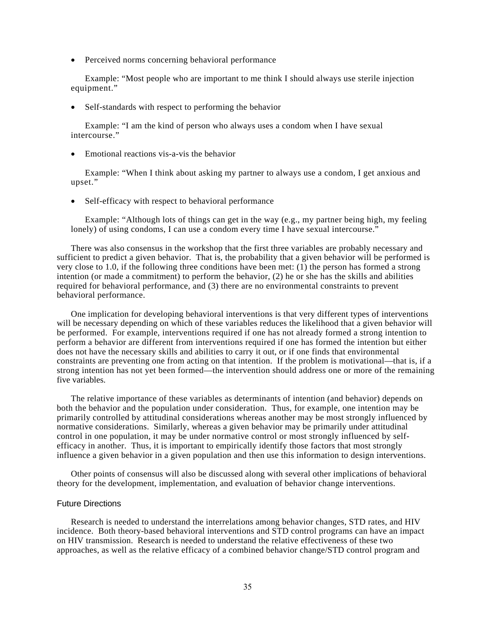• Perceived norms concerning behavioral performance

Example: "Most people who are important to me think I should always use sterile injection equipment."

• Self-standards with respect to performing the behavior

Example: "I am the kind of person who always uses a condom when I have sexual intercourse."

• Emotional reactions vis-a-vis the behavior

Example: "When I think about asking my partner to always use a condom, I get anxious and upset."

• Self-efficacy with respect to behavioral performance

Example: "Although lots of things can get in the way (e.g., my partner being high, my feeling lonely) of using condoms, I can use a condom every time I have sexual intercourse."

There was also consensus in the workshop that the first three variables are probably necessary and sufficient to predict a given behavior. That is, the probability that a given behavior will be performed is very close to 1.0, if the following three conditions have been met: (1) the person has formed a strong intention (or made a commitment) to perform the behavior, (2) he or she has the skills and abilities required for behavioral performance, and (3) there are no environmental constraints to prevent behavioral performance.

One implication for developing behavioral interventions is that very different types of interventions will be necessary depending on which of these variables reduces the likelihood that a given behavior will be performed. For example, interventions required if one has not already formed a strong intention to perform a behavior are different from interventions required if one has formed the intention but either does not have the necessary skills and abilities to carry it out, or if one finds that environmental constraints are preventing one from acting on that intention. If the problem is motivational—that is, if a strong intention has not yet been formed—the intervention should address one or more of the remaining five variables.

The relative importance of these variables as determinants of intention (and behavior) depends on both the behavior and the population under consideration. Thus, for example, one intention may be primarily controlled by attitudinal considerations whereas another may be most strongly influenced by normative considerations. Similarly, whereas a given behavior may be primarily under attitudinal control in one population, it may be under normative control or most strongly influenced by selfefficacy in another. Thus, it is important to empirically identify those factors that most strongly influence a given behavior in a given population and then use this information to design interventions.

Other points of consensus will also be discussed along with several other implications of behavioral theory for the development, implementation, and evaluation of behavior change interventions.

#### Future Directions

Research is needed to understand the interrelations among behavior changes, STD rates, and HIV incidence. Both theory-based behavioral interventions and STD control programs can have an impact on HIV transmission. Research is needed to understand the relative effectiveness of these two approaches, as well as the relative efficacy of a combined behavior change/STD control program and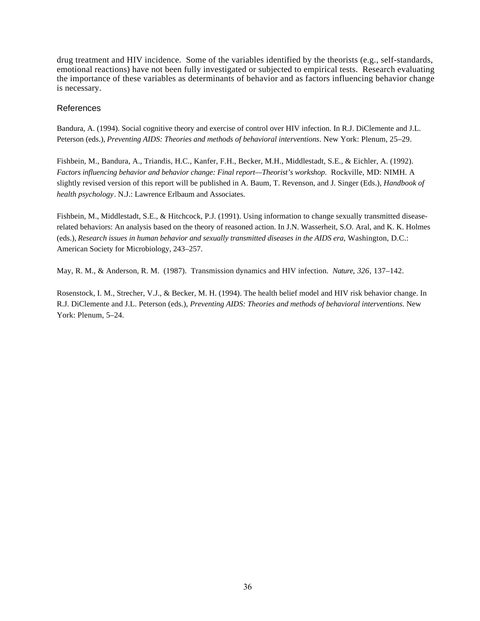drug treatment and HIV incidence. Some of the variables identified by the theorists (e.g., self-standards, emotional reactions) have not been fully investigated or subjected to empirical tests. Research evaluating the importance of these variables as determinants of behavior and as factors influencing behavior change is necessary.

## References

Bandura, A. (1994). Social cognitive theory and exercise of control over HIV infection. In R.J. DiClemente and J.L. Peterson (eds.), *Preventing AIDS: Theories and methods of behavioral interventions*. New York: Plenum, 25–29.

Fishbein, M., Bandura, A., Triandis, H.C., Kanfer, F.H., Becker, M.H., Middlestadt, S.E., & Eichler, A. (1992). *Factors influencing behavior and behavior change: Final report—Theorist's workshop*. Rockville, MD: NIMH. A slightly revised version of this report will be published in A. Baum, T. Revenson, and J. Singer (Eds.), *Handbook of health psychology*. N.J.: Lawrence Erlbaum and Associates.

Fishbein, M., Middlestadt, S.E., & Hitchcock, P.J. (1991). Using information to change sexually transmitted diseaserelated behaviors: An analysis based on the theory of reasoned action. In J.N. Wasserheit, S.O. Aral, and K. K. Holmes (eds.), *Research issues in human behavior and sexually transmitted diseases in the AIDS era*, Washington, D.C.: American Society for Microbiology, 243–257.

May, R. M., & Anderson, R. M. (1987). Transmission dynamics and HIV infection. *Nature*, *326*, 137–142.

Rosenstock, I. M., Strecher, V.J., & Becker, M. H. (1994). The health belief model and HIV risk behavior change. In R.J. DiClemente and J.L. Peterson (eds.), *Preventing AIDS: Theories and methods of behavioral interventions*. New York: Plenum, 5–24.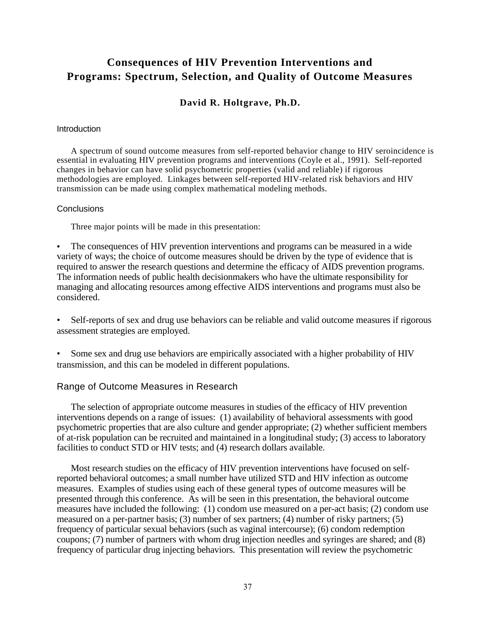# **Consequences of HIV Prevention Interventions and Programs: Spectrum, Selection, and Quality of Outcome Measures**

# **David R. Holtgrave, Ph.D.**

## **Introduction**

A spectrum of sound outcome measures from self-reported behavior change to HIV seroincidence is essential in evaluating HIV prevention programs and interventions (Coyle et al., 1991). Self-reported changes in behavior can have solid psychometric properties (valid and reliable) if rigorous methodologies are employed. Linkages between self-reported HIV-related risk behaviors and HIV transmission can be made using complex mathematical modeling methods.

## **Conclusions**

Three major points will be made in this presentation:

The consequences of HIV prevention interventions and programs can be measured in a wide variety of ways; the choice of outcome measures should be driven by the type of evidence that is required to answer the research questions and determine the efficacy of AIDS prevention programs. The information needs of public health decisionmakers who have the ultimate responsibility for managing and allocating resources among effective AIDS interventions and programs must also be considered.

• Self-reports of sex and drug use behaviors can be reliable and valid outcome measures if rigorous assessment strategies are employed.

• Some sex and drug use behaviors are empirically associated with a higher probability of HIV transmission, and this can be modeled in different populations.

## Range of Outcome Measures in Research

The selection of appropriate outcome measures in studies of the efficacy of HIV prevention interventions depends on a range of issues: (1) availability of behavioral assessments with good psychometric properties that are also culture and gender appropriate; (2) whether sufficient members of at-risk population can be recruited and maintained in a longitudinal study; (3) access to laboratory facilities to conduct STD or HIV tests; and (4) research dollars available.

Most research studies on the efficacy of HIV prevention interventions have focused on selfreported behavioral outcomes; a small number have utilized STD and HIV infection as outcome measures. Examples of studies using each of these general types of outcome measures will be presented through this conference. As will be seen in this presentation, the behavioral outcome measures have included the following: (1) condom use measured on a per-act basis; (2) condom use measured on a per-partner basis; (3) number of sex partners; (4) number of risky partners; (5) frequency of particular sexual behaviors (such as vaginal intercourse); (6) condom redemption coupons; (7) number of partners with whom drug injection needles and syringes are shared; and (8) frequency of particular drug injecting behaviors. This presentation will review the psychometric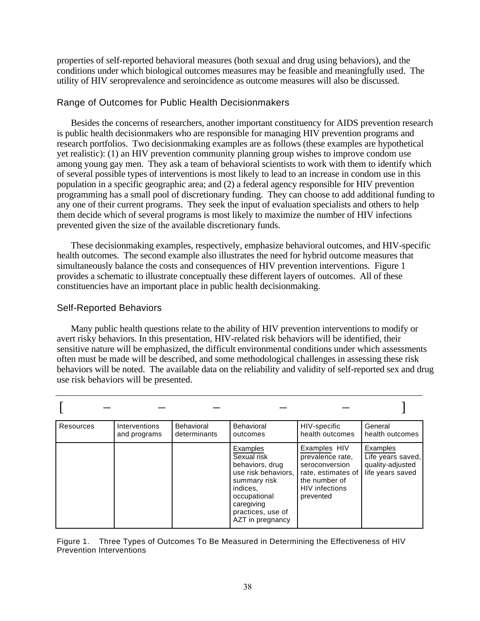properties of self-reported behavioral measures (both sexual and drug using behaviors), and the conditions under which biological outcomes measures may be feasible and meaningfully used. The utility of HIV seroprevalence and seroincidence as outcome measures will also be discussed.

# Range of Outcomes for Public Health Decisionmakers

Besides the concerns of researchers, another important constituency for AIDS prevention research is public health decisionmakers who are responsible for managing HIV prevention programs and research portfolios. Two decisionmaking examples are as follows (these examples are hypothetical yet realistic): (1) an HIV prevention community planning group wishes to improve condom use among young gay men. They ask a team of behavioral scientists to work with them to identify which of several possible types of interventions is most likely to lead to an increase in condom use in this population in a specific geographic area; and (2) a federal agency responsible for HIV prevention programming has a small pool of discretionary funding. They can choose to add additional funding to any one of their current programs. They seek the input of evaluation specialists and others to help them decide which of several programs is most likely to maximize the number of HIV infections prevented given the size of the available discretionary funds.

These decisionmaking examples, respectively, emphasize behavioral outcomes, and HIV-specific health outcomes. The second example also illustrates the need for hybrid outcome measures that simultaneously balance the costs and consequences of HIV prevention interventions. Figure 1 provides a schematic to illustrate conceptually these different layers of outcomes. All of these constituencies have an important place in public health decisionmaking.

# Self-Reported Behaviors

Many public health questions relate to the ability of HIV prevention interventions to modify or avert risky behaviors. In this presentation, HIV-related risk behaviors will be identified, their sensitive nature will be emphasized, the difficult environmental conditions under which assessments often must be made will be described, and some methodological challenges in assessing these risk behaviors will be noted. The available data on the reliability and validity of self-reported sex and drug use risk behaviors will be presented.

| <b>Resources</b> | Interventions<br>and programs | Behavioral<br>determinants | Behavioral<br>outcomes                                                                                                                                               | HIV-specific<br>health outcomes                                                                                                 | General<br>health outcomes                                            |
|------------------|-------------------------------|----------------------------|----------------------------------------------------------------------------------------------------------------------------------------------------------------------|---------------------------------------------------------------------------------------------------------------------------------|-----------------------------------------------------------------------|
|                  |                               |                            | Examples<br>Sexual risk<br>behaviors, drug<br>use risk behaviors,<br>summary risk<br>indices.<br>occupational<br>caregiving<br>practices, use of<br>AZT in pregnancy | Examples HIV<br>prevalence rate,<br>seroconversion<br>rate, estimates of<br>the number of<br><b>HIV</b> infections<br>prevented | Examples<br>Life years saved,<br>quality-adjusted<br>life years saved |

Figure 1. Three Types of Outcomes To Be Measured in Determining the Effectiveness of HIV Prevention Interventions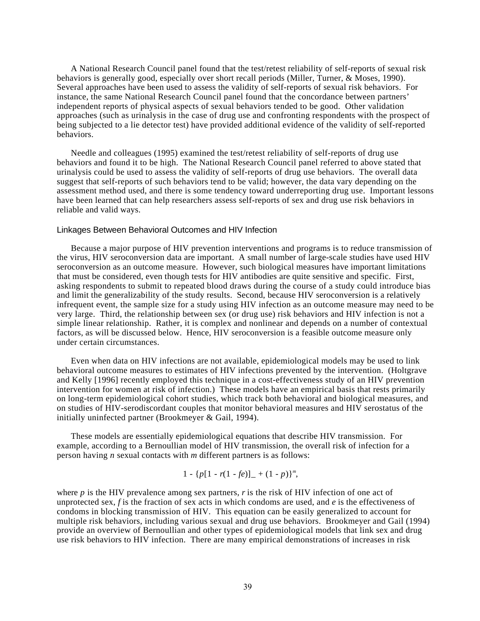A National Research Council panel found that the test/retest reliability of self-reports of sexual risk behaviors is generally good, especially over short recall periods (Miller, Turner, & Moses, 1990). Several approaches have been used to assess the validity of self-reports of sexual risk behaviors. For instance, the same National Research Council panel found that the concordance between partners' independent reports of physical aspects of sexual behaviors tended to be good. Other validation approaches (such as urinalysis in the case of drug use and confronting respondents with the prospect of being subjected to a lie detector test) have provided additional evidence of the validity of self-reported behaviors.

Needle and colleagues (1995) examined the test/retest reliability of self-reports of drug use behaviors and found it to be high. The National Research Council panel referred to above stated that urinalysis could be used to assess the validity of self-reports of drug use behaviors. The overall data suggest that self-reports of such behaviors tend to be valid; however, the data vary depending on the assessment method used, and there is some tendency toward underreporting drug use. Important lessons have been learned that can help researchers assess self-reports of sex and drug use risk behaviors in reliable and valid ways.

#### Linkages Between Behavioral Outcomes and HIV Infection

Because a major purpose of HIV prevention interventions and programs is to reduce transmission of the virus, HIV seroconversion data are important. A small number of large-scale studies have used HIV seroconversion as an outcome measure. However, such biological measures have important limitations that must be considered, even though tests for HIV antibodies are quite sensitive and specific. First, asking respondents to submit to repeated blood draws during the course of a study could introduce bias and limit the generalizability of the study results. Second, because HIV seroconversion is a relatively infrequent event, the sample size for a study using HIV infection as an outcome measure may need to be very large. Third, the relationship between sex (or drug use) risk behaviors and HIV infection is not a simple linear relationship. Rather, it is complex and nonlinear and depends on a number of contextual factors, as will be discussed below. Hence, HIV seroconversion is a feasible outcome measure only under certain circumstances.

Even when data on HIV infections are not available, epidemiological models may be used to link behavioral outcome measures to estimates of HIV infections prevented by the intervention. (Holtgrave and Kelly [1996] recently employed this technique in a cost-effectiveness study of an HIV prevention intervention for women at risk of infection.) These models have an empirical basis that rests primarily on long-term epidemiological cohort studies, which track both behavioral and biological measures, and on studies of HIV-serodiscordant couples that monitor behavioral measures and HIV serostatus of the initially uninfected partner (Brookmeyer & Gail, 1994).

These models are essentially epidemiological equations that describe HIV transmission. For example, according to a Bernoullian model of HIV transmission, the overall risk of infection for a person having *n* sexual contacts with *m* different partners is as follows:

$$
1 - \{p[1 - r(1 - fe)] - (1 - p)\}^m,
$$

where  $p$  is the HIV prevalence among sex partners,  $r$  is the risk of HIV infection of one act of unprotected sex, *f* is the fraction of sex acts in which condoms are used, and *e* is the effectiveness of condoms in blocking transmission of HIV. This equation can be easily generalized to account for multiple risk behaviors, including various sexual and drug use behaviors. Brookmeyer and Gail (1994) provide an overview of Bernoullian and other types of epidemiological models that link sex and drug use risk behaviors to HIV infection. There are many empirical demonstrations of increases in risk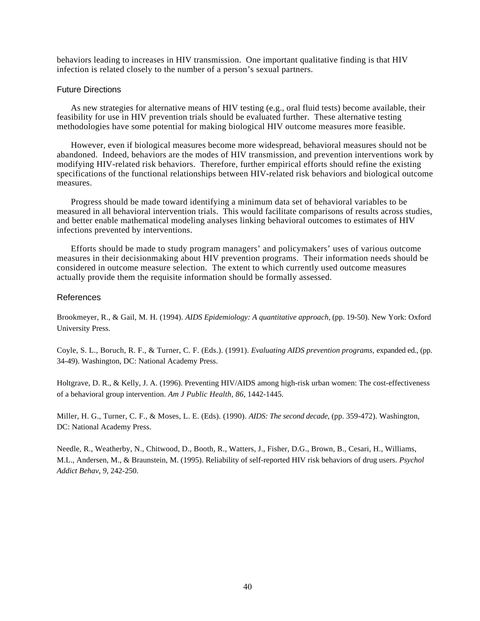behaviors leading to increases in HIV transmission. One important qualitative finding is that HIV infection is related closely to the number of a person's sexual partners.

#### Future Directions

As new strategies for alternative means of HIV testing (e.g., oral fluid tests) become available, their feasibility for use in HIV prevention trials should be evaluated further. These alternative testing methodologies have some potential for making biological HIV outcome measures more feasible.

However, even if biological measures become more widespread, behavioral measures should not be abandoned. Indeed, behaviors are the modes of HIV transmission, and prevention interventions work by modifying HIV-related risk behaviors. Therefore, further empirical efforts should refine the existing specifications of the functional relationships between HIV-related risk behaviors and biological outcome measures.

Progress should be made toward identifying a minimum data set of behavioral variables to be measured in all behavioral intervention trials. This would facilitate comparisons of results across studies, and better enable mathematical modeling analyses linking behavioral outcomes to estimates of HIV infections prevented by interventions.

Efforts should be made to study program managers' and policymakers' uses of various outcome measures in their decisionmaking about HIV prevention programs. Their information needs should be considered in outcome measure selection. The extent to which currently used outcome measures actually provide them the requisite information should be formally assessed.

## References

Brookmeyer, R., & Gail, M. H. (1994). *AIDS Epidemiology: A quantitative approach,* (pp. 19-50). New York: Oxford University Press.

Coyle, S. L., Boruch, R. F., & Turner, C. F. (Eds.). (1991). *Evaluating AIDS prevention programs,* expanded ed., (pp. 34-49). Washington, DC: National Academy Press.

Holtgrave, D. R., & Kelly, J. A. (1996). Preventing HIV/AIDS among high-risk urban women: The cost-effectiveness of a behavioral group intervention. *Am J Public Health, 86,* 1442-1445.

Miller, H. G., Turner, C. F., & Moses, L. E. (Eds). (1990). *AIDS: The second decade,* (pp. 359-472). Washington, DC: National Academy Press.

Needle, R., Weatherby, N., Chitwood, D., Booth, R., Watters, J., Fisher, D.G., Brown, B., Cesari, H., Williams, M.L., Andersen, M., & Braunstein, M. (1995). Reliability of self-reported HIV risk behaviors of drug users. *Psychol Addict Behav, 9,* 242-250.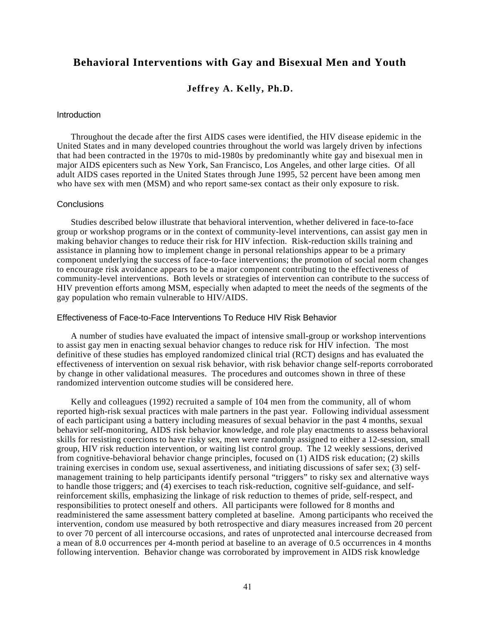# **Behavioral Interventions with Gay and Bisexual Men and Youth**

## **Jeffrey A. Kelly, Ph.D.**

#### **Introduction**

Throughout the decade after the first AIDS cases were identified, the HIV disease epidemic in the United States and in many developed countries throughout the world was largely driven by infections that had been contracted in the 1970s to mid-1980s by predominantly white gay and bisexual men in major AIDS epicenters such as New York, San Francisco, Los Angeles, and other large cities. Of all adult AIDS cases reported in the United States through June 1995, 52 percent have been among men who have sex with men (MSM) and who report same-sex contact as their only exposure to risk.

## **Conclusions**

Studies described below illustrate that behavioral intervention, whether delivered in face-to-face group or workshop programs or in the context of community-level interventions, can assist gay men in making behavior changes to reduce their risk for HIV infection. Risk-reduction skills training and assistance in planning how to implement change in personal relationships appear to be a primary component underlying the success of face-to-face interventions; the promotion of social norm changes to encourage risk avoidance appears to be a major component contributing to the effectiveness of community-level interventions. Both levels or strategies of intervention can contribute to the success of HIV prevention efforts among MSM, especially when adapted to meet the needs of the segments of the gay population who remain vulnerable to HIV/AIDS.

## Effectiveness of Face-to-Face Interventions To Reduce HIV Risk Behavior

A number of studies have evaluated the impact of intensive small-group or workshop interventions to assist gay men in enacting sexual behavior changes to reduce risk for HIV infection. The most definitive of these studies has employed randomized clinical trial (RCT) designs and has evaluated the effectiveness of intervention on sexual risk behavior, with risk behavior change self-reports corroborated by change in other validational measures. The procedures and outcomes shown in three of these randomized intervention outcome studies will be considered here.

Kelly and colleagues (1992) recruited a sample of 104 men from the community, all of whom reported high-risk sexual practices with male partners in the past year. Following individual assessment of each participant using a battery including measures of sexual behavior in the past 4 months, sexual behavior self-monitoring, AIDS risk behavior knowledge, and role play enactments to assess behavioral skills for resisting coercions to have risky sex, men were randomly assigned to either a 12-session, small group, HIV risk reduction intervention, or waiting list control group. The 12 weekly sessions, derived from cognitive-behavioral behavior change principles, focused on (1) AIDS risk education; (2) skills training exercises in condom use, sexual assertiveness, and initiating discussions of safer sex; (3) selfmanagement training to help participants identify personal "triggers" to risky sex and alternative ways to handle those triggers; and (4) exercises to teach risk-reduction, cognitive self-guidance, and selfreinforcement skills, emphasizing the linkage of risk reduction to themes of pride, self-respect, and responsibilities to protect oneself and others. All participants were followed for 8 months and readministered the same assessment battery completed at baseline. Among participants who received the intervention, condom use measured by both retrospective and diary measures increased from 20 percent to over 70 percent of all intercourse occasions, and rates of unprotected anal intercourse decreased from a mean of 8.0 occurrences per 4-month period at baseline to an average of 0.5 occurrences in 4 months following intervention. Behavior change was corroborated by improvement in AIDS risk knowledge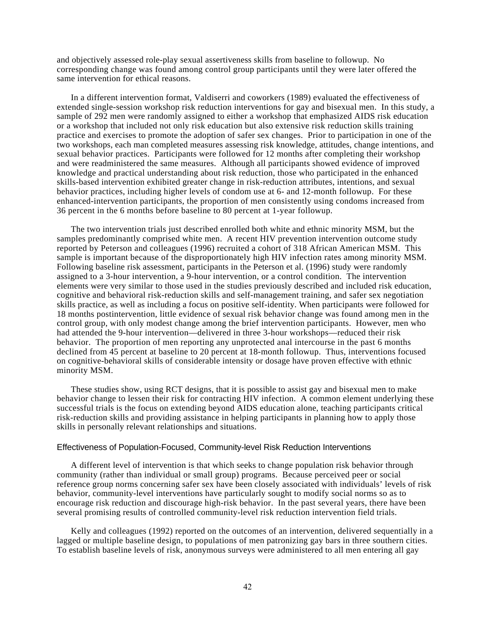and objectively assessed role-play sexual assertiveness skills from baseline to followup. No corresponding change was found among control group participants until they were later offered the same intervention for ethical reasons.

In a different intervention format, Valdiserri and coworkers (1989) evaluated the effectiveness of extended single-session workshop risk reduction interventions for gay and bisexual men. In this study, a sample of 292 men were randomly assigned to either a workshop that emphasized AIDS risk education or a workshop that included not only risk education but also extensive risk reduction skills training practice and exercises to promote the adoption of safer sex changes. Prior to participation in one of the two workshops, each man completed measures assessing risk knowledge, attitudes, change intentions, and sexual behavior practices. Participants were followed for 12 months after completing their workshop and were readministered the same measures. Although all participants showed evidence of improved knowledge and practical understanding about risk reduction, those who participated in the enhanced skills-based intervention exhibited greater change in risk-reduction attributes, intentions, and sexual behavior practices, including higher levels of condom use at 6- and 12-month followup. For these enhanced-intervention participants, the proportion of men consistently using condoms increased from 36 percent in the 6 months before baseline to 80 percent at 1-year followup.

The two intervention trials just described enrolled both white and ethnic minority MSM, but the samples predominantly comprised white men. A recent HIV prevention intervention outcome study reported by Peterson and colleagues (1996) recruited a cohort of 318 African American MSM. This sample is important because of the disproportionately high HIV infection rates among minority MSM. Following baseline risk assessment, participants in the Peterson et al. (1996) study were randomly assigned to a 3-hour intervention, a 9-hour intervention, or a control condition. The intervention elements were very similar to those used in the studies previously described and included risk education, cognitive and behavioral risk-reduction skills and self-management training, and safer sex negotiation skills practice, as well as including a focus on positive self-identity. When participants were followed for 18 months postintervention, little evidence of sexual risk behavior change was found among men in the control group, with only modest change among the brief intervention participants. However, men who had attended the 9-hour intervention—delivered in three 3-hour workshops—reduced their risk behavior. The proportion of men reporting any unprotected anal intercourse in the past 6 months declined from 45 percent at baseline to 20 percent at 18-month followup. Thus, interventions focused on cognitive-behavioral skills of considerable intensity or dosage have proven effective with ethnic minority MSM.

These studies show, using RCT designs, that it is possible to assist gay and bisexual men to make behavior change to lessen their risk for contracting HIV infection. A common element underlying these successful trials is the focus on extending beyond AIDS education alone, teaching participants critical risk-reduction skills and providing assistance in helping participants in planning how to apply those skills in personally relevant relationships and situations.

## Effectiveness of Population-Focused, Community-level Risk Reduction Interventions

A different level of intervention is that which seeks to change population risk behavior through community (rather than individual or small group) programs. Because perceived peer or social reference group norms concerning safer sex have been closely associated with individuals' levels of risk behavior, community-level interventions have particularly sought to modify social norms so as to encourage risk reduction and discourage high-risk behavior. In the past several years, there have been several promising results of controlled community-level risk reduction intervention field trials.

Kelly and colleagues (1992) reported on the outcomes of an intervention, delivered sequentially in a lagged or multiple baseline design, to populations of men patronizing gay bars in three southern cities. To establish baseline levels of risk, anonymous surveys were administered to all men entering all gay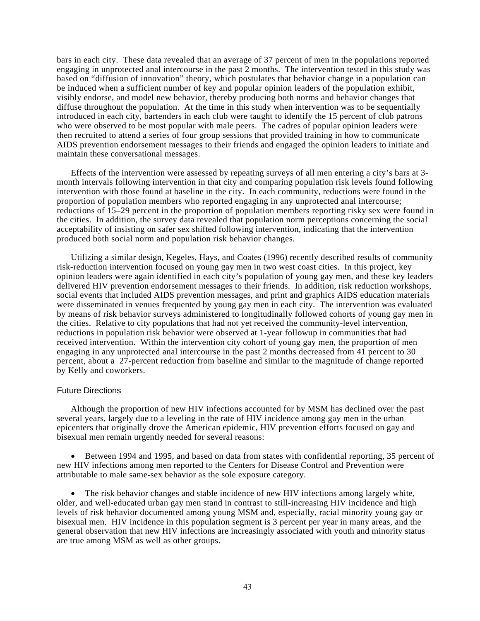bars in each city. These data revealed that an average of 37 percent of men in the populations reported engaging in unprotected anal intercourse in the past 2 months. The intervention tested in this study was based on "diffusion of innovation" theory, which postulates that behavior change in a population can be induced when a sufficient number of key and popular opinion leaders of the population exhibit, visibly endorse, and model new behavior, thereby producing both norms and behavior changes that diffuse throughout the population. At the time in this study when intervention was to be sequentially introduced in each city, bartenders in each club were taught to identify the 15 percent of club patrons who were observed to be most popular with male peers. The cadres of popular opinion leaders were then recruited to attend a series of four group sessions that provided training in how to communicate AIDS prevention endorsement messages to their friends and engaged the opinion leaders to initiate and maintain these conversational messages.

Effects of the intervention were assessed by repeating surveys of all men entering a city's bars at 3 month intervals following intervention in that city and comparing population risk levels found following intervention with those found at baseline in the city. In each community, reductions were found in the proportion of population members who reported engaging in any unprotected anal intercourse; reductions of 15–29 percent in the proportion of population members reporting risky sex were found in the cities. In addition, the survey data revealed that population norm perceptions concerning the social acceptability of insisting on safer sex shifted following intervention, indicating that the intervention produced both social norm and population risk behavior changes.

Utilizing a similar design, Kegeles, Hays, and Coates (1996) recently described results of community risk-reduction intervention focused on young gay men in two west coast cities. In this project, key opinion leaders were again identified in each city's population of young gay men, and these key leaders delivered HIV prevention endorsement messages to their friends. In addition, risk reduction workshops, social events that included AIDS prevention messages, and print and graphics AIDS education materials were disseminated in venues frequented by young gay men in each city. The intervention was evaluated by means of risk behavior surveys administered to longitudinally followed cohorts of young gay men in the cities. Relative to city populations that had not yet received the community-level intervention, reductions in population risk behavior were observed at 1-year followup in communities that had received intervention. Within the intervention city cohort of young gay men, the proportion of men engaging in any unprotected anal intercourse in the past 2 months decreased from 41 percent to 30 percent, about a 27-percent reduction from baseline and similar to the magnitude of change reported by Kelly and coworkers.

## Future Directions

Although the proportion of new HIV infections accounted for by MSM has declined over the past several years, largely due to a leveling in the rate of HIV incidence among gay men in the urban epicenters that originally drove the American epidemic, HIV prevention efforts focused on gay and bisexual men remain urgently needed for several reasons:

• Between 1994 and 1995, and based on data from states with confidential reporting, 35 percent of new HIV infections among men reported to the Centers for Disease Control and Prevention were attributable to male same-sex behavior as the sole exposure category.

• The risk behavior changes and stable incidence of new HIV infections among largely white, older, and well-educated urban gay men stand in contrast to still-increasing HIV incidence and high levels of risk behavior documented among young MSM and, especially, racial minority young gay or bisexual men. HIV incidence in this population segment is 3 percent per year in many areas, and the general observation that new HIV infections are increasingly associated with youth and minority status are true among MSM as well as other groups.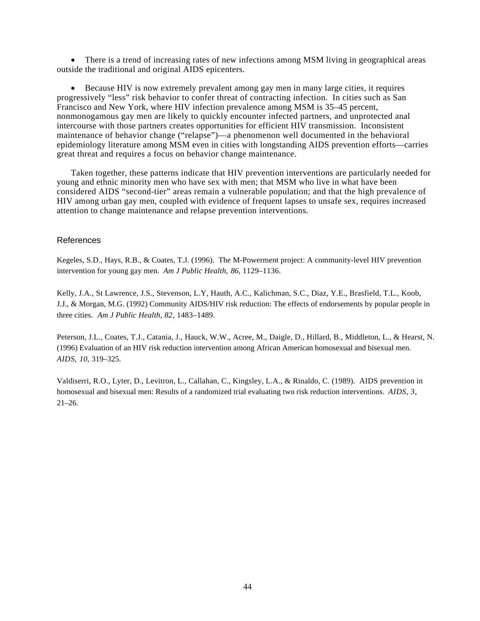• There is a trend of increasing rates of new infections among MSM living in geographical areas outside the traditional and original AIDS epicenters.

• Because HIV is now extremely prevalent among gay men in many large cities, it requires progressively "less" risk behavior to confer threat of contracting infection. In cities such as San Francisco and New York, where HIV infection prevalence among MSM is 35–45 percent, nonmonogamous gay men are likely to quickly encounter infected partners, and unprotected anal intercourse with those partners creates opportunities for efficient HIV transmission. Inconsistent maintenance of behavior change ("relapse")—a phenomenon well documented in the behavioral epidemiology literature among MSM even in cities with longstanding AIDS prevention efforts—carries great threat and requires a focus on behavior change maintenance.

Taken together, these patterns indicate that HIV prevention interventions are particularly needed for young and ethnic minority men who have sex with men; that MSM who live in what have been considered AIDS "second-tier" areas remain a vulnerable population; and that the high prevalence of HIV among urban gay men, coupled with evidence of frequent lapses to unsafe sex, requires increased attention to change maintenance and relapse prevention interventions.

## References

Kegeles, S.D., Hays, R.B., & Coates, T.J. (1996). The M-Powerment project: A community-level HIV prevention intervention for young gay men. *Am J Public Health*, *86*, 1129–1136.

Kelly, J.A., St Lawrence, J.S., Stevenson, L.Y, Hauth, A.C., Kalichman, S.C., Diaz, Y.E., Brasfield, T.L., Koob, J.J., & Morgan, M.G. (1992) Community AIDS/HIV risk reduction: The effects of endorsements by popular people in three cities. *Am J Public Health*, *82*, 1483–1489.

Peterson, J.L., Coates, T.J., Catania, J., Hauck, W.W., Acree, M., Daigle, D., Hillard, B., Middleton, L., & Hearst, N. (1996) Evaluation of an HIV risk reduction intervention among African American homosexual and bisexual men. *AIDS*, *10,* 319–325.

Valdiserri, R.O., Lyter, D., Levitron, L., Callahan, C., Kingsley, L.A., & Rinaldo, C. (1989). AIDS prevention in homosexual and bisexual men: Results of a randomized trial evaluating two risk reduction interventions. *AIDS*, *3*,  $21-26.$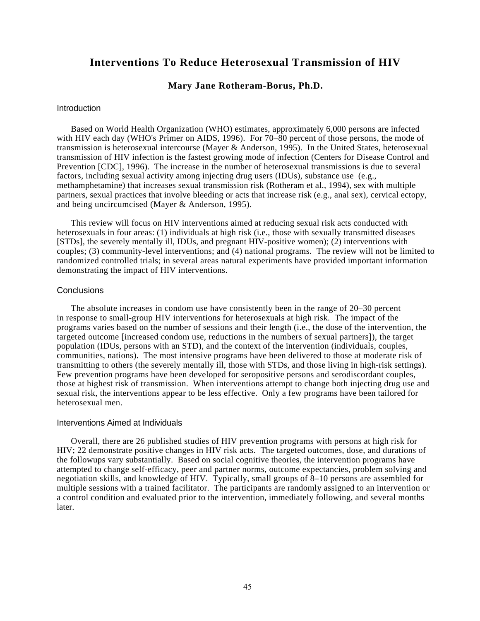# **Interventions To Reduce Heterosexual Transmission of HIV**

## **Mary Jane Rotheram-Borus, Ph.D.**

#### **Introduction**

Based on World Health Organization (WHO) estimates, approximately 6,000 persons are infected with HIV each day (WHO's Primer on AIDS, 1996). For  $70-80$  percent of those persons, the mode of transmission is heterosexual intercourse (Mayer & Anderson, 1995). In the United States, heterosexual transmission of HIV infection is the fastest growing mode of infection (Centers for Disease Control and Prevention [CDC], 1996). The increase in the number of heterosexual transmissions is due to several factors, including sexual activity among injecting drug users (IDUs), substance use (e.g., methamphetamine) that increases sexual transmission risk (Rotheram et al., 1994), sex with multiple partners, sexual practices that involve bleeding or acts that increase risk (e.g., anal sex), cervical ectopy, and being uncircumcised (Mayer & Anderson, 1995).

This review will focus on HIV interventions aimed at reducing sexual risk acts conducted with heterosexuals in four areas: (1) individuals at high risk (i.e., those with sexually transmitted diseases [STDs], the severely mentally ill, IDUs, and pregnant HIV-positive women); (2) interventions with couples; (3) community-level interventions; and (4) national programs. The review will not be limited to randomized controlled trials; in several areas natural experiments have provided important information demonstrating the impact of HIV interventions.

### **Conclusions**

The absolute increases in condom use have consistently been in the range of 20–30 percent in response to small-group HIV interventions for heterosexuals at high risk. The impact of the programs varies based on the number of sessions and their length (i.e., the dose of the intervention, the targeted outcome [increased condom use, reductions in the numbers of sexual partners]), the target population (IDUs, persons with an STD), and the context of the intervention (individuals, couples, communities, nations). The most intensive programs have been delivered to those at moderate risk of transmitting to others (the severely mentally ill, those with STDs, and those living in high-risk settings). Few prevention programs have been developed for seropositive persons and serodiscordant couples, those at highest risk of transmission. When interventions attempt to change both injecting drug use and sexual risk, the interventions appear to be less effective. Only a few programs have been tailored for heterosexual men.

#### Interventions Aimed at Individuals

Overall, there are 26 published studies of HIV prevention programs with persons at high risk for HIV; 22 demonstrate positive changes in HIV risk acts. The targeted outcomes, dose, and durations of the followups vary substantially. Based on social cognitive theories, the intervention programs have attempted to change self-efficacy, peer and partner norms, outcome expectancies, problem solving and negotiation skills, and knowledge of HIV. Typically, small groups of 8–10 persons are assembled for multiple sessions with a trained facilitator. The participants are randomly assigned to an intervention or a control condition and evaluated prior to the intervention, immediately following, and several months later.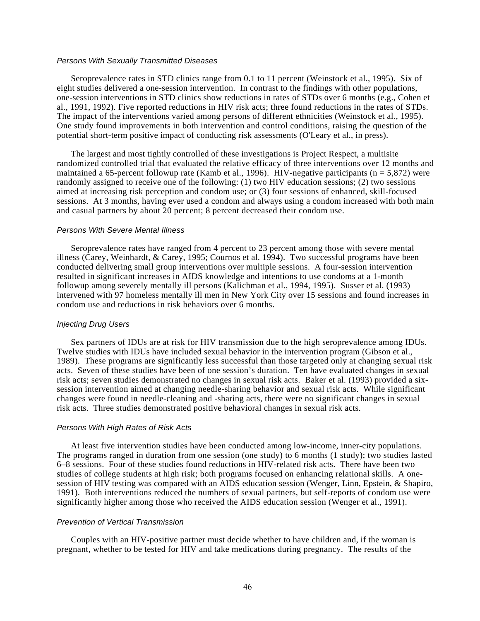#### *Persons With Sexually Transmitted Diseases*

Seroprevalence rates in STD clinics range from 0.1 to 11 percent (Weinstock et al., 1995). Six of eight studies delivered a one-session intervention. In contrast to the findings with other populations, one-session interventions in STD clinics show reductions in rates of STDs over 6 months (e.g., Cohen et al., 1991, 1992). Five reported reductions in HIV risk acts; three found reductions in the rates of STDs. The impact of the interventions varied among persons of different ethnicities (Weinstock et al., 1995). One study found improvements in both intervention and control conditions, raising the question of the potential short-term positive impact of conducting risk assessments (O'Leary et al., in press).

The largest and most tightly controlled of these investigations is Project Respect, a multisite randomized controlled trial that evaluated the relative efficacy of three interventions over 12 months and maintained a 65-percent followup rate (Kamb et al., 1996). HIV-negative participants ( $n = 5,872$ ) were randomly assigned to receive one of the following: (1) two HIV education sessions; (2) two sessions aimed at increasing risk perception and condom use; or (3) four sessions of enhanced, skill-focused sessions. At 3 months, having ever used a condom and always using a condom increased with both main and casual partners by about 20 percent; 8 percent decreased their condom use.

#### *Persons With Severe Mental Illness*

Seroprevalence rates have ranged from 4 percent to 23 percent among those with severe mental illness (Carey, Weinhardt, & Carey, 1995; Cournos et al. 1994). Two successful programs have been conducted delivering small group interventions over multiple sessions. A four-session intervention resulted in significant increases in AIDS knowledge and intentions to use condoms at a 1-month followup among severely mentally ill persons (Kalichman et al., 1994, 1995). Susser et al. (1993) intervened with 97 homeless mentally ill men in New York City over 15 sessions and found increases in condom use and reductions in risk behaviors over 6 months.

#### *Injecting Drug Users*

Sex partners of IDUs are at risk for HIV transmission due to the high seroprevalence among IDUs. Twelve studies with IDUs have included sexual behavior in the intervention program (Gibson et al., 1989). These programs are significantly less successful than those targeted only at changing sexual risk acts. Seven of these studies have been of one session's duration. Ten have evaluated changes in sexual risk acts; seven studies demonstrated no changes in sexual risk acts. Baker et al. (1993) provided a sixsession intervention aimed at changing needle-sharing behavior and sexual risk acts. While significant changes were found in needle-cleaning and -sharing acts, there were no significant changes in sexual risk acts. Three studies demonstrated positive behavioral changes in sexual risk acts.

#### *Persons With High Rates of Risk Acts*

At least five intervention studies have been conducted among low-income, inner-city populations. The programs ranged in duration from one session (one study) to 6 months (1 study); two studies lasted 6–8 sessions. Four of these studies found reductions in HIV-related risk acts. There have been two studies of college students at high risk; both programs focused on enhancing relational skills. A onesession of HIV testing was compared with an AIDS education session (Wenger, Linn, Epstein, & Shapiro, 1991). Both interventions reduced the numbers of sexual partners, but self-reports of condom use were significantly higher among those who received the AIDS education session (Wenger et al., 1991).

#### *Prevention of Vertical Transmission*

Couples with an HIV-positive partner must decide whether to have children and, if the woman is pregnant, whether to be tested for HIV and take medications during pregnancy. The results of the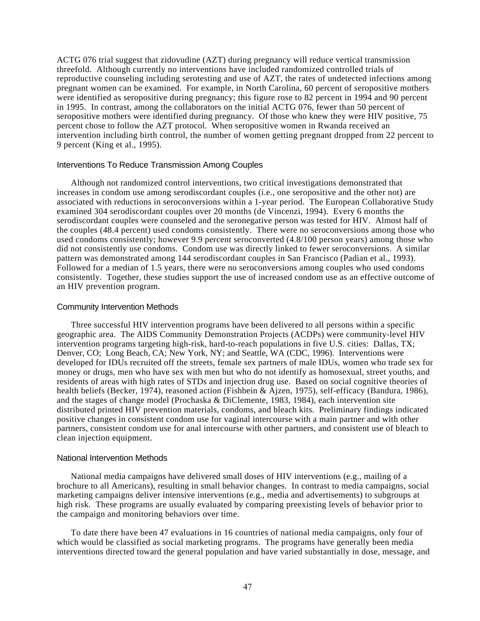ACTG 076 trial suggest that zidovudine (AZT) during pregnancy will reduce vertical transmission threefold. Although currently no interventions have included randomized controlled trials of reproductive counseling including serotesting and use of AZT, the rates of undetected infections among pregnant women can be examined. For example, in North Carolina, 60 percent of seropositive mothers were identified as seropositive during pregnancy; this figure rose to 82 percent in 1994 and 90 percent in 1995. In contrast, among the collaborators on the initial ACTG 076, fewer than 50 percent of seropositive mothers were identified during pregnancy. Of those who knew they were HIV positive, 75 percent chose to follow the AZT protocol. When seropositive women in Rwanda received an intervention including birth control, the number of women getting pregnant dropped from 22 percent to 9 percent (King et al., 1995).

#### Interventions To Reduce Transmission Among Couples

Although not randomized control interventions, two critical investigations demonstrated that increases in condom use among serodiscordant couples (i.e., one seropositive and the other not) are associated with reductions in seroconversions within a 1-year period. The European Collaborative Study examined 304 serodiscordant couples over 20 months (de Vincenzi, 1994). Every 6 months the serodiscordant couples were counseled and the seronegative person was tested for HIV. Almost half of the couples (48.4 percent) used condoms consistently. There were no seroconversions among those who used condoms consistently; however 9.9 percent seroconverted (4.8/100 person years) among those who did not consistently use condoms. Condom use was directly linked to fewer seroconversions. A similar pattern was demonstrated among 144 serodiscordant couples in San Francisco (Padian et al., 1993). Followed for a median of 1.5 years, there were no seroconversions among couples who used condoms consistently. Together, these studies support the use of increased condom use as an effective outcome of an HIV prevention program.

#### Community Intervention Methods

Three successful HIV intervention programs have been delivered to all persons within a specific geographic area. The AIDS Community Demonstration Projects (ACDPs) were community-level HIV intervention programs targeting high-risk, hard-to-reach populations in five U.S. cities: Dallas, TX; Denver, CO; Long Beach, CA; New York, NY; and Seattle, WA (CDC, 1996). Interventions were developed for IDUs recruited off the streets, female sex partners of male IDUs, women who trade sex for money or drugs, men who have sex with men but who do not identify as homosexual, street youths, and residents of areas with high rates of STDs and injection drug use. Based on social cognitive theories of health beliefs (Becker, 1974), reasoned action (Fishbein & Ajzen, 1975), self-efficacy (Bandura, 1986), and the stages of change model (Prochaska & DiClemente, 1983, 1984), each intervention site distributed printed HIV prevention materials, condoms, and bleach kits. Preliminary findings indicated positive changes in consistent condom use for vaginal intercourse with a main partner and with other partners, consistent condom use for anal intercourse with other partners, and consistent use of bleach to clean injection equipment.

#### National Intervention Methods

National media campaigns have delivered small doses of HIV interventions (e.g., mailing of a brochure to all Americans), resulting in small behavior changes. In contrast to media campaigns, social marketing campaigns deliver intensive interventions (e.g., media and advertisements) to subgroups at high risk. These programs are usually evaluated by comparing preexisting levels of behavior prior to the campaign and monitoring behaviors over time.

To date there have been 47 evaluations in 16 countries of national media campaigns, only four of which would be classified as social marketing programs. The programs have generally been media interventions directed toward the general population and have varied substantially in dose, message, and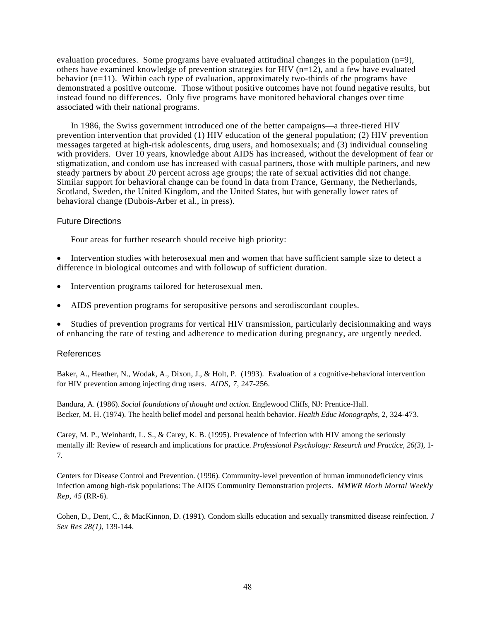evaluation procedures. Some programs have evaluated attitudinal changes in the population (n=9), others have examined knowledge of prevention strategies for HIV  $(n=12)$ , and a few have evaluated behavior (n=11). Within each type of evaluation, approximately two-thirds of the programs have demonstrated a positive outcome. Those without positive outcomes have not found negative results, but instead found no differences. Only five programs have monitored behavioral changes over time associated with their national programs.

In 1986, the Swiss government introduced one of the better campaigns—a three-tiered HIV prevention intervention that provided (1) HIV education of the general population; (2) HIV prevention messages targeted at high-risk adolescents, drug users, and homosexuals; and (3) individual counseling with providers. Over 10 years, knowledge about AIDS has increased, without the development of fear or stigmatization, and condom use has increased with casual partners, those with multiple partners, and new steady partners by about 20 percent across age groups; the rate of sexual activities did not change. Similar support for behavioral change can be found in data from France, Germany, the Netherlands, Scotland, Sweden, the United Kingdom, and the United States, but with generally lower rates of behavioral change (Dubois-Arber et al., in press).

## Future Directions

Four areas for further research should receive high priority:

• Intervention studies with heterosexual men and women that have sufficient sample size to detect a difference in biological outcomes and with followup of sufficient duration.

- Intervention programs tailored for heterosexual men.
- AIDS prevention programs for seropositive persons and serodiscordant couples.

• Studies of prevention programs for vertical HIV transmission, particularly decisionmaking and ways of enhancing the rate of testing and adherence to medication during pregnancy, are urgently needed.

## References

Baker, A., Heather, N., Wodak, A., Dixon, J., & Holt, P. (1993). Evaluation of a cognitive-behavioral intervention for HIV prevention among injecting drug users. *AIDS, 7*, 247-256.

Bandura, A. (1986). *Social foundations of thought and action.* Englewood Cliffs, NJ: Prentice-Hall. Becker, M. H. (1974). The health belief model and personal health behavior. *Health Educ Monographs,* 2, 324-473.

Carey, M. P., Weinhardt, L. S., & Carey, K. B. (1995). Prevalence of infection with HIV among the seriously mentally ill: Review of research and implications for practice. *Professional Psychology: Research and Practice, 26(3),* 1- 7.

Centers for Disease Control and Prevention. (1996). Community-level prevention of human immunodeficiency virus infection among high-risk populations: The AIDS Community Demonstration projects. *MMWR Morb Mortal Weekly Rep, 45* (RR-6).

Cohen, D., Dent, C., & MacKinnon, D. (1991). Condom skills education and sexually transmitted disease reinfection. *J Sex Res 28(1),* 139-144.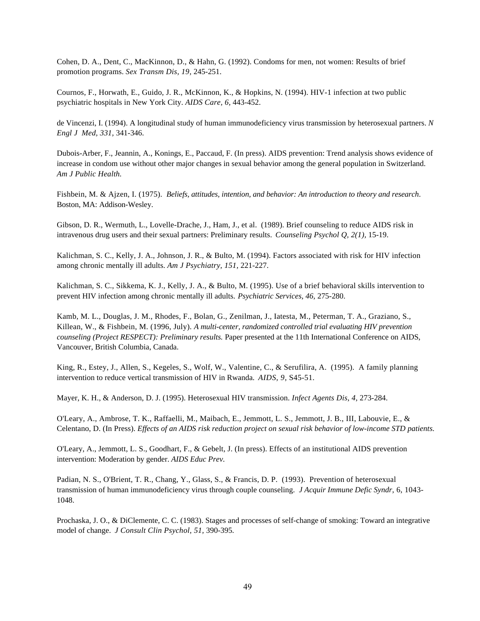Cohen, D. A., Dent, C., MacKinnon, D., & Hahn, G. (1992). Condoms for men, not women: Results of brief promotion programs. *Sex Transm Dis, 19,* 245-251.

Cournos, F., Horwath, E., Guido, J. R., McKinnon, K., & Hopkins, N. (1994). HIV-1 infection at two public psychiatric hospitals in New York City. *AIDS Care, 6,* 443-452.

de Vincenzi, I. (1994). A longitudinal study of human immunodeficiency virus transmission by heterosexual partners. *N Engl J Med, 331,* 341-346.

Dubois-Arber, F., Jeannin, A., Konings, E., Paccaud, F. (In press). AIDS prevention: Trend analysis shows evidence of increase in condom use without other major changes in sexual behavior among the general population in Switzerland. *Am J Public Health.* 

Fishbein, M. & Ajzen, I. (1975). *Beliefs, attitudes, intention, and behavior: An introduction to theory and research*. Boston, MA: Addison-Wesley.

Gibson, D. R., Wermuth, L., Lovelle-Drache, J., Ham, J., et al. (1989). Brief counseling to reduce AIDS risk in intravenous drug users and their sexual partners: Preliminary results. *Counseling Psychol Q, 2(1),* 15-19.

Kalichman, S. C., Kelly, J. A., Johnson, J. R., & Bulto, M. (1994). Factors associated with risk for HIV infection among chronic mentally ill adults. *Am J Psychiatry, 151,* 221-227.

Kalichman, S. C., Sikkema, K. J., Kelly, J. A., & Bulto, M. (1995). Use of a brief behavioral skills intervention to prevent HIV infection among chronic mentally ill adults. *Psychiatric Services, 46,* 275-280.

Kamb, M. L., Douglas, J. M., Rhodes, F., Bolan, G., Zenilman, J., Iatesta, M., Peterman, T. A., Graziano, S., Killean, W., & Fishbein, M. (1996, July). *A multi-center, randomized controlled trial evaluating HIV prevention counseling (Project RESPECT): Preliminary results.* Paper presented at the 11th International Conference on AIDS, Vancouver, British Columbia, Canada.

King, R., Estey, J., Allen, S., Kegeles, S., Wolf, W., Valentine, C., & Serufilira, A. (1995). A family planning intervention to reduce vertical transmission of HIV in Rwanda. *AIDS*, *9*, S45-51.

Mayer, K. H., & Anderson, D. J. (1995). Heterosexual HIV transmission. *Infect Agents Dis, 4,* 273-284.

O'Leary, A., Ambrose, T. K., Raffaelli, M., Maibach, E., Jemmott, L. S., Jemmott, J. B., III, Labouvie, E., & Celentano, D. (In Press). *Effects of an AIDS risk reduction project on sexual risk behavior of low-income STD patients.* 

O'Leary, A., Jemmott, L. S., Goodhart, F., & Gebelt, J. (In press). Effects of an institutional AIDS prevention intervention: Moderation by gender. *AIDS Educ Prev.* 

Padian, N. S., O'Brient, T. R., Chang, Y., Glass, S., & Francis, D. P. (1993). Prevention of heterosexual transmission of human immunodeficiency virus through couple counseling. *J Acquir Immune Defic Syndr*, 6, 1043- 1048.

Prochaska, J. O., & DiClemente, C. C. (1983). Stages and processes of self-change of smoking: Toward an integrative model of change. *J Consult Clin Psychol, 51,* 390-395.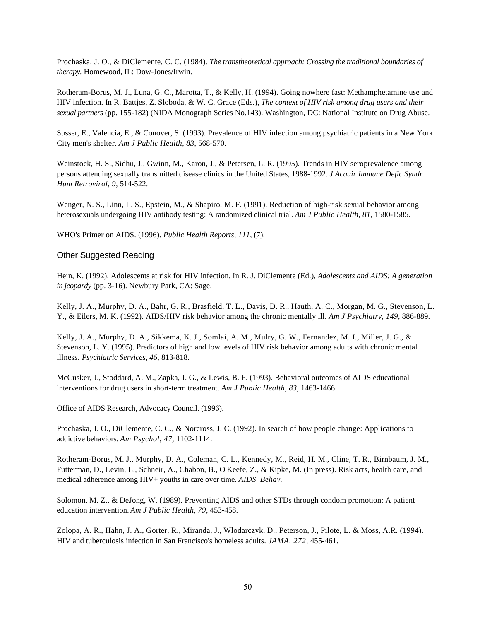Prochaska, J. O., & DiClemente, C. C. (1984). *The transtheoretical approach: Crossing the traditional boundaries of therapy.* Homewood, IL: Dow-Jones/Irwin.

Rotheram-Borus, M. J., Luna, G. C., Marotta, T., & Kelly, H. (1994). Going nowhere fast: Methamphetamine use and HIV infection. In R. Battjes, Z. Sloboda, & W. C. Grace (Eds.), *The context of HIV risk among drug users and their sexual partners* (pp. 155-182) (NIDA Monograph Series No.143). Washington, DC: National Institute on Drug Abuse.

Susser, E., Valencia, E., & Conover, S. (1993). Prevalence of HIV infection among psychiatric patients in a New York City men's shelter. *Am J Public Health, 83,* 568-570.

Weinstock, H. S., Sidhu, J., Gwinn, M., Karon, J., & Petersen, L. R. (1995). Trends in HIV seroprevalence among persons attending sexually transmitted disease clinics in the United States, 1988-1992. *J Acquir Immune Defic Syndr Hum Retrovirol, 9,* 514-522.

Wenger, N. S., Linn, L. S., Epstein, M., & Shapiro, M. F. (1991). Reduction of high-risk sexual behavior among heterosexuals undergoing HIV antibody testing: A randomized clinical trial. *Am J Public Health, 81,* 1580-1585.

WHO's Primer on AIDS. (1996). *Public Health Reports, 111,* (7).

## Other Suggested Reading

Hein, K. (1992). Adolescents at risk for HIV infection. In R. J. DiClemente (Ed.), *Adolescents and AIDS: A generation in jeopardy* (pp. 3-16). Newbury Park, CA: Sage.

Kelly, J. A., Murphy, D. A., Bahr, G. R., Brasfield, T. L., Davis, D. R., Hauth, A. C., Morgan, M. G., Stevenson, L. Y., & Eilers, M. K. (1992). AIDS/HIV risk behavior among the chronic mentally ill. *Am J Psychiatry, 149,* 886-889.

Kelly, J. A., Murphy, D. A., Sikkema, K. J., Somlai, A. M., Mulry, G. W., Fernandez, M. I., Miller, J. G., & Stevenson, L. Y. (1995). Predictors of high and low levels of HIV risk behavior among adults with chronic mental illness. *Psychiatric Services, 46,* 813-818.

McCusker, J., Stoddard, A. M., Zapka, J. G., & Lewis, B. F. (1993). Behavioral outcomes of AIDS educational interventions for drug users in short-term treatment. *Am J Public Health, 83,* 1463-1466.

Office of AIDS Research, Advocacy Council. (1996).

Prochaska, J. O., DiClemente, C. C., & Norcross, J. C. (1992). In search of how people change: Applications to addictive behaviors. *Am Psychol, 47,* 1102-1114.

Rotheram-Borus, M. J., Murphy, D. A., Coleman, C. L., Kennedy, M., Reid, H. M., Cline, T. R., Birnbaum, J. M., Futterman, D., Levin, L., Schneir, A., Chabon, B., O'Keefe, Z., & Kipke, M. (In press). Risk acts, health care, and medical adherence among HIV+ youths in care over time. *AIDS Behav.* 

Solomon, M. Z., & DeJong, W. (1989). Preventing AIDS and other STDs through condom promotion: A patient education intervention. *Am J Public Health, 79,* 453-458.

Zolopa, A. R., Hahn, J. A., Gorter, R., Miranda, J., Wlodarczyk, D., Peterson, J., Pilote, L. & Moss, A.R. (1994). HIV and tuberculosis infection in San Francisco's homeless adults. *JAMA, 272,* 455-461.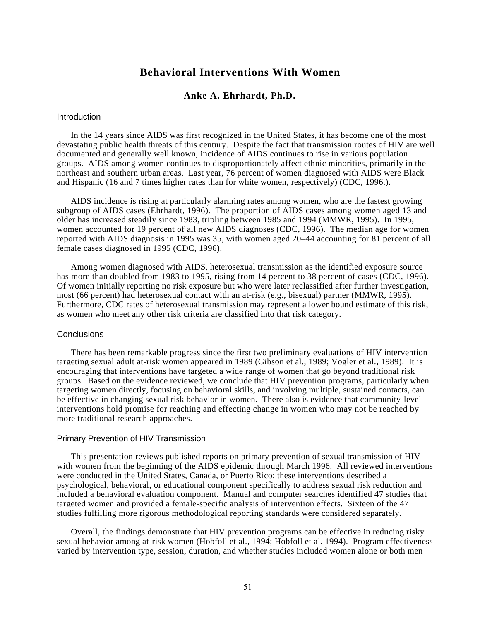# **Behavioral Interventions With Women**

## **Anke A. Ehrhardt, Ph.D.**

### **Introduction**

In the 14 years since AIDS was first recognized in the United States, it has become one of the most devastating public health threats of this century. Despite the fact that transmission routes of HIV are well documented and generally well known, incidence of AIDS continues to rise in various population groups. AIDS among women continues to disproportionately affect ethnic minorities, primarily in the northeast and southern urban areas. Last year, 76 percent of women diagnosed with AIDS were Black and Hispanic (16 and 7 times higher rates than for white women, respectively) (CDC, 1996.).

AIDS incidence is rising at particularly alarming rates among women, who are the fastest growing subgroup of AIDS cases (Ehrhardt, 1996). The proportion of AIDS cases among women aged 13 and older has increased steadily since 1983, tripling between 1985 and 1994 (MMWR, 1995). In 1995, women accounted for 19 percent of all new AIDS diagnoses (CDC, 1996). The median age for women reported with AIDS diagnosis in 1995 was 35, with women aged 20–44 accounting for 81 percent of all female cases diagnosed in 1995 (CDC, 1996).

Among women diagnosed with AIDS, heterosexual transmission as the identified exposure source has more than doubled from 1983 to 1995, rising from 14 percent to 38 percent of cases (CDC, 1996). Of women initially reporting no risk exposure but who were later reclassified after further investigation, most (66 percent) had heterosexual contact with an at-risk (e.g., bisexual) partner (MMWR, 1995). Furthermore, CDC rates of heterosexual transmission may represent a lower bound estimate of this risk, as women who meet any other risk criteria are classified into that risk category.

### **Conclusions**

There has been remarkable progress since the first two preliminary evaluations of HIV intervention targeting sexual adult at-risk women appeared in 1989 (Gibson et al., 1989; Vogler et al., 1989). It is encouraging that interventions have targeted a wide range of women that go beyond traditional risk groups. Based on the evidence reviewed, we conclude that HIV prevention programs, particularly when targeting women directly, focusing on behavioral skills, and involving multiple, sustained contacts, can be effective in changing sexual risk behavior in women. There also is evidence that community-level interventions hold promise for reaching and effecting change in women who may not be reached by more traditional research approaches.

#### Primary Prevention of HIV Transmission

This presentation reviews published reports on primary prevention of sexual transmission of HIV with women from the beginning of the AIDS epidemic through March 1996. All reviewed interventions were conducted in the United States, Canada, or Puerto Rico; these interventions described a psychological, behavioral, or educational component specifically to address sexual risk reduction and included a behavioral evaluation component. Manual and computer searches identified 47 studies that targeted women and provided a female-specific analysis of intervention effects. Sixteen of the 47 studies fulfilling more rigorous methodological reporting standards were considered separately.

Overall, the findings demonstrate that HIV prevention programs can be effective in reducing risky sexual behavior among at-risk women (Hobfoll et al., 1994; Hobfoll et al. 1994). Program effectiveness varied by intervention type, session, duration, and whether studies included women alone or both men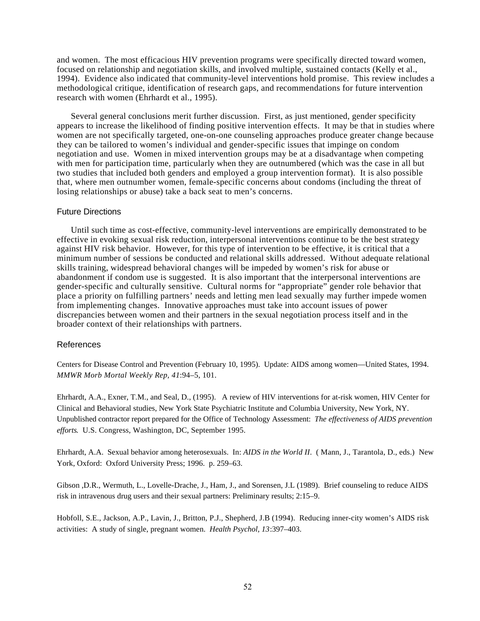and women. The most efficacious HIV prevention programs were specifically directed toward women, focused on relationship and negotiation skills, and involved multiple, sustained contacts (Kelly et al., 1994). Evidence also indicated that community-level interventions hold promise. This review includes a methodological critique, identification of research gaps, and recommendations for future intervention research with women (Ehrhardt et al., 1995).

Several general conclusions merit further discussion. First, as just mentioned, gender specificity appears to increase the likelihood of finding positive intervention effects. It may be that in studies where women are not specifically targeted, one-on-one counseling approaches produce greater change because they can be tailored to women's individual and gender-specific issues that impinge on condom negotiation and use. Women in mixed intervention groups may be at a disadvantage when competing with men for participation time, particularly when they are outnumbered (which was the case in all but two studies that included both genders and employed a group intervention format). It is also possible that, where men outnumber women, female-specific concerns about condoms (including the threat of losing relationships or abuse) take a back seat to men's concerns.

## Future Directions

Until such time as cost-effective, community-level interventions are empirically demonstrated to be effective in evoking sexual risk reduction, interpersonal interventions continue to be the best strategy against HIV risk behavior. However, for this type of intervention to be effective, it is critical that a minimum number of sessions be conducted and relational skills addressed. Without adequate relational skills training, widespread behavioral changes will be impeded by women's risk for abuse or abandonment if condom use is suggested. It is also important that the interpersonal interventions are gender-specific and culturally sensitive. Cultural norms for "appropriate" gender role behavior that place a priority on fulfilling partners' needs and letting men lead sexually may further impede women from implementing changes. Innovative approaches must take into account issues of power discrepancies between women and their partners in the sexual negotiation process itself and in the broader context of their relationships with partners.

## References

Centers for Disease Control and Prevention (February 10, 1995). Update: AIDS among women—United States, 1994. *MMWR Morb Mortal Weekly Rep, 41*:94–5, 101.

Ehrhardt, A.A., Exner, T.M., and Seal, D., (1995). A review of HIV interventions for at-risk women, HIV Center for Clinical and Behavioral studies, New York State Psychiatric Institute and Columbia University, New York, NY. Unpublished contractor report prepared for the Office of Technology Assessment: *The effectiveness of AIDS prevention efforts*. U.S. Congress, Washington, DC, September 1995.

Ehrhardt, A.A. Sexual behavior among heterosexuals. In: *AIDS in the World II*. ( Mann, J., Tarantola, D., eds.) New York, Oxford: Oxford University Press; 1996. p. 259–63.

Gibson ,D.R., Wermuth, L., Lovelle-Drache, J., Ham, J., and Sorensen, J.L (1989). Brief counseling to reduce AIDS risk in intravenous drug users and their sexual partners: Preliminary results; 2:15–9.

Hobfoll, S.E., Jackson, A.P., Lavin, J., Britton, P.J., Shepherd, J.B (1994). Reducing inner-city women's AIDS risk activities: A study of single, pregnant women. *Health Psychol, 13*:397–403.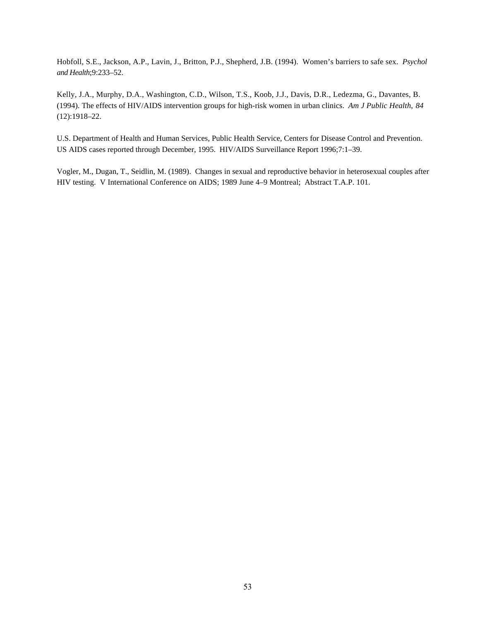Hobfoll, S.E., Jackson, A.P., Lavin, J., Britton, P.J., Shepherd, J.B. (1994). Women's barriers to safe sex. *Psychol and Health*;9:233–52.

Kelly, J.A., Murphy, D.A., Washington, C.D., Wilson, T.S., Koob, J.J., Davis, D.R., Ledezma, G., Davantes, B. (1994). The effects of HIV/AIDS intervention groups for high-risk women in urban clinics. *Am J Public Health*, *84*  (12):1918–22.

U.S. Department of Health and Human Services, Public Health Service, Centers for Disease Control and Prevention. US AIDS cases reported through December, 1995. HIV/AIDS Surveillance Report 1996;7:1–39.

Vogler, M., Dugan, T., Seidlin, M. (1989). Changes in sexual and reproductive behavior in heterosexual couples after HIV testing. V International Conference on AIDS; 1989 June 4–9 Montreal; Abstract T.A.P. 101.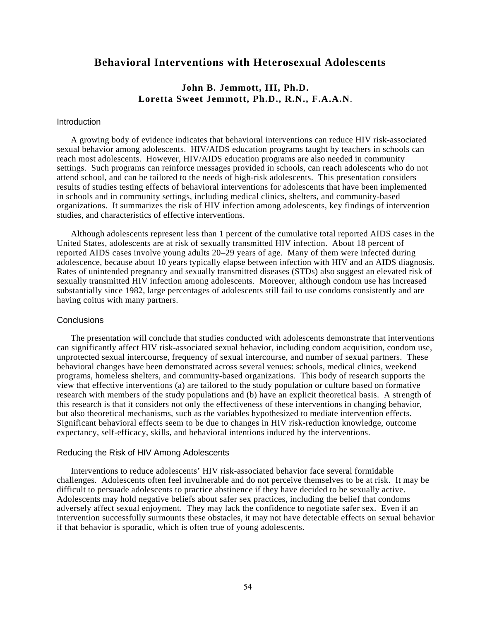# **Behavioral Interventions with Heterosexual Adolescents**

## **John B. Jemmott, III, Ph.D. Loretta Sweet Jemmott, Ph.D., R.N., F.A.A.N**.

## **Introduction**

A growing body of evidence indicates that behavioral interventions can reduce HIV risk-associated sexual behavior among adolescents. HIV/AIDS education programs taught by teachers in schools can reach most adolescents. However, HIV/AIDS education programs are also needed in community settings. Such programs can reinforce messages provided in schools, can reach adolescents who do not attend school, and can be tailored to the needs of high-risk adolescents. This presentation considers results of studies testing effects of behavioral interventions for adolescents that have been implemented in schools and in community settings, including medical clinics, shelters, and community-based organizations. It summarizes the risk of HIV infection among adolescents, key findings of intervention studies, and characteristics of effective interventions.

Although adolescents represent less than 1 percent of the cumulative total reported AIDS cases in the United States, adolescents are at risk of sexually transmitted HIV infection. About 18 percent of reported AIDS cases involve young adults 20–29 years of age. Many of them were infected during adolescence, because about 10 years typically elapse between infection with HIV and an AIDS diagnosis. Rates of unintended pregnancy and sexually transmitted diseases (STDs) also suggest an elevated risk of sexually transmitted HIV infection among adolescents. Moreover, although condom use has increased substantially since 1982, large percentages of adolescents still fail to use condoms consistently and are having coitus with many partners.

#### **Conclusions**

The presentation will conclude that studies conducted with adolescents demonstrate that interventions can significantly affect HIV risk-associated sexual behavior, including condom acquisition, condom use, unprotected sexual intercourse, frequency of sexual intercourse, and number of sexual partners. These behavioral changes have been demonstrated across several venues: schools, medical clinics, weekend programs, homeless shelters, and community-based organizations. This body of research supports the view that effective interventions (a) are tailored to the study population or culture based on formative research with members of the study populations and (b) have an explicit theoretical basis. A strength of this research is that it considers not only the effectiveness of these interventions in changing behavior, but also theoretical mechanisms, such as the variables hypothesized to mediate intervention effects. Significant behavioral effects seem to be due to changes in HIV risk-reduction knowledge, outcome expectancy, self-efficacy, skills, and behavioral intentions induced by the interventions.

#### Reducing the Risk of HIV Among Adolescents

Interventions to reduce adolescents' HIV risk-associated behavior face several formidable challenges. Adolescents often feel invulnerable and do not perceive themselves to be at risk. It may be difficult to persuade adolescents to practice abstinence if they have decided to be sexually active. Adolescents may hold negative beliefs about safer sex practices, including the belief that condoms adversely affect sexual enjoyment. They may lack the confidence to negotiate safer sex. Even if an intervention successfully surmounts these obstacles, it may not have detectable effects on sexual behavior if that behavior is sporadic, which is often true of young adolescents.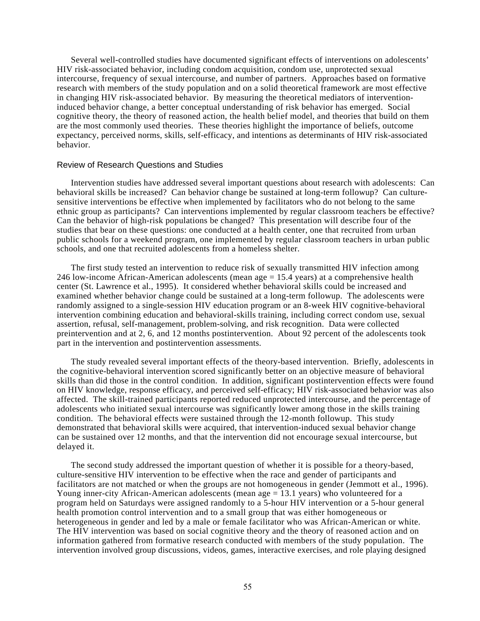Several well-controlled studies have documented significant effects of interventions on adolescents' HIV risk-associated behavior, including condom acquisition, condom use, unprotected sexual intercourse, frequency of sexual intercourse, and number of partners. Approaches based on formative research with members of the study population and on a solid theoretical framework are most effective in changing HIV risk-associated behavior. By measuring the theoretical mediators of interventioninduced behavior change, a better conceptual understanding of risk behavior has emerged. Social cognitive theory, the theory of reasoned action, the health belief model, and theories that build on them are the most commonly used theories. These theories highlight the importance of beliefs, outcome expectancy, perceived norms, skills, self-efficacy, and intentions as determinants of HIV risk-associated behavior.

#### Review of Research Questions and Studies

Intervention studies have addressed several important questions about research with adolescents: Can behavioral skills be increased? Can behavior change be sustained at long-term followup? Can culturesensitive interventions be effective when implemented by facilitators who do not belong to the same ethnic group as participants? Can interventions implemented by regular classroom teachers be effective? Can the behavior of high-risk populations be changed? This presentation will describe four of the studies that bear on these questions: one conducted at a health center, one that recruited from urban public schools for a weekend program, one implemented by regular classroom teachers in urban public schools, and one that recruited adolescents from a homeless shelter.

The first study tested an intervention to reduce risk of sexually transmitted HIV infection among 246 low-income African-American adolescents (mean age  $= 15.4$  years) at a comprehensive health center (St. Lawrence et al., 1995). It considered whether behavioral skills could be increased and examined whether behavior change could be sustained at a long-term followup. The adolescents were randomly assigned to a single-session HIV education program or an 8-week HIV cognitive-behavioral intervention combining education and behavioral-skills training, including correct condom use, sexual assertion, refusal, self-management, problem-solving, and risk recognition. Data were collected preintervention and at 2, 6, and 12 months postintervention. About 92 percent of the adolescents took part in the intervention and postintervention assessments.

The study revealed several important effects of the theory-based intervention. Briefly, adolescents in the cognitive-behavioral intervention scored significantly better on an objective measure of behavioral skills than did those in the control condition. In addition, significant postintervention effects were found on HIV knowledge, response efficacy, and perceived self-efficacy; HIV risk-associated behavior was also affected. The skill-trained participants reported reduced unprotected intercourse, and the percentage of adolescents who initiated sexual intercourse was significantly lower among those in the skills training condition. The behavioral effects were sustained through the 12-month followup. This study demonstrated that behavioral skills were acquired, that intervention-induced sexual behavior change can be sustained over 12 months, and that the intervention did not encourage sexual intercourse, but delayed it.

The second study addressed the important question of whether it is possible for a theory-based, culture-sensitive HIV intervention to be effective when the race and gender of participants and facilitators are not matched or when the groups are not homogeneous in gender (Jemmott et al., 1996). Young inner-city African-American adolescents (mean age = 13.1 years) who volunteered for a program held on Saturdays were assigned randomly to a 5-hour HIV intervention or a 5-hour general health promotion control intervention and to a small group that was either homogeneous or heterogeneous in gender and led by a male or female facilitator who was African-American or white. The HIV intervention was based on social cognitive theory and the theory of reasoned action and on information gathered from formative research conducted with members of the study population. The intervention involved group discussions, videos, games, interactive exercises, and role playing designed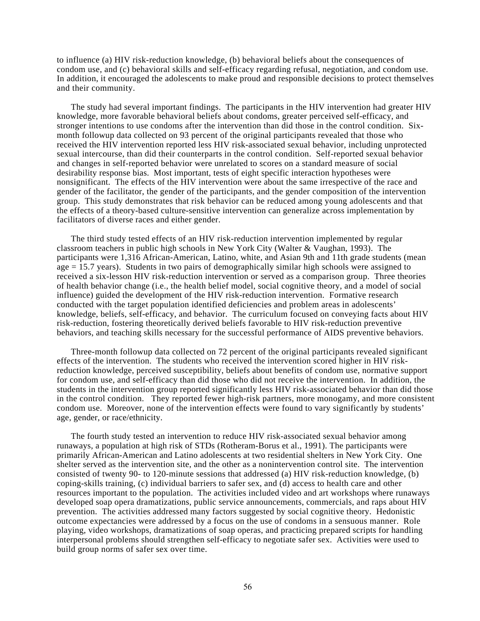to influence (a) HIV risk-reduction knowledge, (b) behavioral beliefs about the consequences of condom use, and (c) behavioral skills and self-efficacy regarding refusal, negotiation, and condom use. In addition, it encouraged the adolescents to make proud and responsible decisions to protect themselves and their community.

The study had several important findings. The participants in the HIV intervention had greater HIV knowledge, more favorable behavioral beliefs about condoms, greater perceived self-efficacy, and stronger intentions to use condoms after the intervention than did those in the control condition. Sixmonth followup data collected on 93 percent of the original participants revealed that those who received the HIV intervention reported less HIV risk-associated sexual behavior, including unprotected sexual intercourse, than did their counterparts in the control condition. Self-reported sexual behavior and changes in self-reported behavior were unrelated to scores on a standard measure of social desirability response bias. Most important, tests of eight specific interaction hypotheses were nonsignificant. The effects of the HIV intervention were about the same irrespective of the race and gender of the facilitator, the gender of the participants, and the gender composition of the intervention group. This study demonstrates that risk behavior can be reduced among young adolescents and that the effects of a theory-based culture-sensitive intervention can generalize across implementation by facilitators of diverse races and either gender.

The third study tested effects of an HIV risk-reduction intervention implemented by regular classroom teachers in public high schools in New York City (Walter & Vaughan, 1993). The participants were 1,316 African-American, Latino, white, and Asian 9th and 11th grade students (mean age = 15.7 years). Students in two pairs of demographically similar high schools were assigned to received a six-lesson HIV risk-reduction intervention or served as a comparison group. Three theories of health behavior change (i.e., the health belief model, social cognitive theory, and a model of social influence) guided the development of the HIV risk-reduction intervention. Formative research conducted with the target population identified deficiencies and problem areas in adolescents' knowledge, beliefs, self-efficacy, and behavior. The curriculum focused on conveying facts about HIV risk-reduction, fostering theoretically derived beliefs favorable to HIV risk-reduction preventive behaviors, and teaching skills necessary for the successful performance of AIDS preventive behaviors.

Three-month followup data collected on 72 percent of the original participants revealed significant effects of the intervention. The students who received the intervention scored higher in HIV riskreduction knowledge, perceived susceptibility, beliefs about benefits of condom use, normative support for condom use, and self-efficacy than did those who did not receive the intervention. In addition, the students in the intervention group reported significantly less HIV risk-associated behavior than did those in the control condition. They reported fewer high-risk partners, more monogamy, and more consistent condom use. Moreover, none of the intervention effects were found to vary significantly by students' age, gender, or race/ethnicity.

The fourth study tested an intervention to reduce HIV risk-associated sexual behavior among runaways, a population at high risk of STDs (Rotheram-Borus et al., 1991). The participants were primarily African-American and Latino adolescents at two residential shelters in New York City. One shelter served as the intervention site, and the other as a nonintervention control site. The intervention consisted of twenty 90- to 120-minute sessions that addressed (a) HIV risk-reduction knowledge, (b) coping-skills training, (c) individual barriers to safer sex, and (d) access to health care and other resources important to the population. The activities included video and art workshops where runaways developed soap opera dramatizations, public service announcements, commercials, and raps about HIV prevention. The activities addressed many factors suggested by social cognitive theory. Hedonistic outcome expectancies were addressed by a focus on the use of condoms in a sensuous manner. Role playing, video workshops, dramatizations of soap operas, and practicing prepared scripts for handling interpersonal problems should strengthen self-efficacy to negotiate safer sex. Activities were used to build group norms of safer sex over time.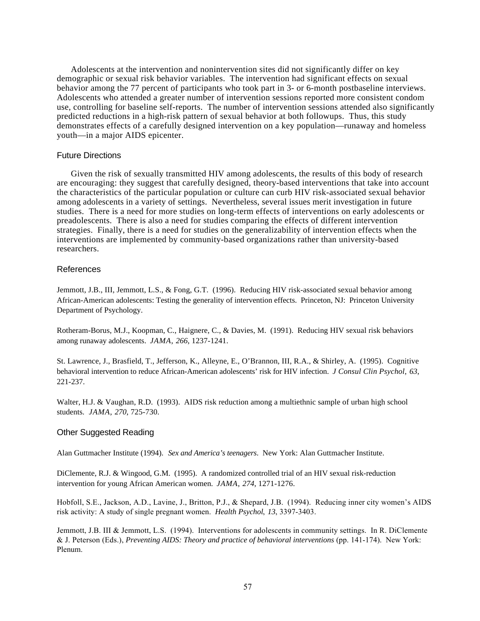Adolescents at the intervention and nonintervention sites did not significantly differ on key demographic or sexual risk behavior variables. The intervention had significant effects on sexual behavior among the 77 percent of participants who took part in 3- or 6-month postbaseline interviews. Adolescents who attended a greater number of intervention sessions reported more consistent condom use, controlling for baseline self-reports. The number of intervention sessions attended also significantly predicted reductions in a high-risk pattern of sexual behavior at both followups. Thus, this study demonstrates effects of a carefully designed intervention on a key population—runaway and homeless youth—in a major AIDS epicenter.

#### Future Directions

Given the risk of sexually transmitted HIV among adolescents, the results of this body of research are encouraging: they suggest that carefully designed, theory-based interventions that take into account the characteristics of the particular population or culture can curb HIV risk-associated sexual behavior among adolescents in a variety of settings. Nevertheless, several issues merit investigation in future studies. There is a need for more studies on long-term effects of interventions on early adolescents or preadolescents. There is also a need for studies comparing the effects of different intervention strategies. Finally, there is a need for studies on the generalizability of intervention effects when the interventions are implemented by community-based organizations rather than university-based researchers.

#### References

Jemmott, J.B., III, Jemmott, L.S., & Fong, G.T. (1996). Reducing HIV risk-associated sexual behavior among African-American adolescents: Testing the generality of intervention effects. Princeton, NJ: Princeton University Department of Psychology.

Rotheram-Borus, M.J., Koopman, C., Haignere, C., & Davies, M. (1991). Reducing HIV sexual risk behaviors among runaway adolescents. *JAMA*, *266*, 1237-1241.

St. Lawrence, J., Brasfield, T., Jefferson, K., Alleyne, E., O'Brannon, III, R.A., & Shirley, A. (1995). Cognitive behavioral intervention to reduce African-American adolescents' risk for HIV infection. *J Consul Clin Psychol*, *63*, 221-237.

Walter, H.J. & Vaughan, R.D. (1993). AIDS risk reduction among a multiethnic sample of urban high school students. *JAMA*, *270*, 725-730.

## Other Suggested Reading

Alan Guttmacher Institute (1994). *Sex and America's teenagers*. New York: Alan Guttmacher Institute.

DiClemente, R.J. & Wingood, G.M. (1995). A randomized controlled trial of an HIV sexual risk-reduction intervention for young African American women. *JAMA*, *274*, 1271-1276.

Hobfoll, S.E., Jackson, A.D., Lavine, J., Britton, P.J., & Shepard, J.B. (1994). Reducing inner city women's AIDS risk activity: A study of single pregnant women. *Health Psychol*, *13*, 3397-3403.

Jemmott, J.B. III & Jemmott, L.S. (1994). Interventions for adolescents in community settings. In R. DiClemente & J. Peterson (Eds.), *Preventing AIDS: Theory and practice of behavioral interventions* (pp. 141-174). New York: Plenum.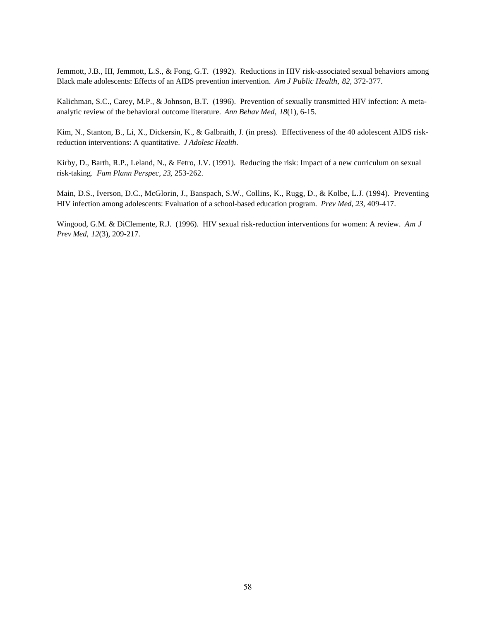Jemmott, J.B., III, Jemmott, L.S., & Fong, G.T. (1992). Reductions in HIV risk-associated sexual behaviors among Black male adolescents: Effects of an AIDS prevention intervention. *Am J Public Health*, *82*, 372-377.

Kalichman, S.C., Carey, M.P., & Johnson, B.T. (1996). Prevention of sexually transmitted HIV infection: A metaanalytic review of the behavioral outcome literature. *Ann Behav Med*, *18*(1), 6-15.

Kim, N., Stanton, B., Li, X., Dickersin, K., & Galbraith, J. (in press). Effectiveness of the 40 adolescent AIDS riskreduction interventions: A quantitative. *J Adolesc Health*.

Kirby, D., Barth, R.P., Leland, N., & Fetro, J.V. (1991). Reducing the risk: Impact of a new curriculum on sexual risk-taking. *Fam Plann Perspec, 23*, 253-262.

Main, D.S., Iverson, D.C., McGlorin, J., Banspach, S.W., Collins, K., Rugg, D., & Kolbe, L.J. (1994). Preventing HIV infection among adolescents: Evaluation of a school-based education program. *Prev Med, 23*, 409-417.

Wingood, G.M. & DiClemente, R.J. (1996). HIV sexual risk-reduction interventions for women: A review. *Am J Prev Med*, *12*(3), 209-217.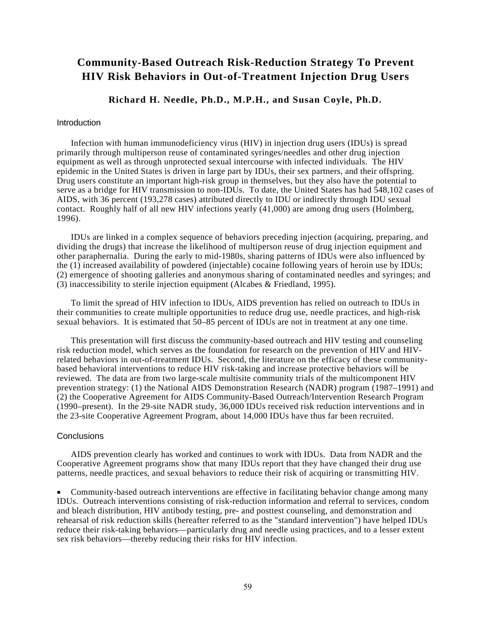# **Community-Based Outreach Risk-Reduction Strategy To Prevent HIV Risk Behaviors in Out-of-Treatment Injection Drug Users**

# **Richard H. Needle, Ph.D., M.P.H., and Susan Coyle, Ph.D.**

#### **Introduction**

Infection with human immunodeficiency virus (HIV) in injection drug users (IDUs) is spread primarily through multiperson reuse of contaminated syringes/needles and other drug injection equipment as well as through unprotected sexual intercourse with infected individuals. The HIV epidemic in the United States is driven in large part by IDUs, their sex partners, and their offspring. Drug users constitute an important high-risk group in themselves, but they also have the potential to serve as a bridge for HIV transmission to non-IDUs. To date, the United States has had 548,102 cases of AIDS, with 36 percent (193,278 cases) attributed directly to IDU or indirectly through IDU sexual contact. Roughly half of all new HIV infections yearly (41,000) are among drug users (Holmberg, 1996).

IDUs are linked in a complex sequence of behaviors preceding injection (acquiring, preparing, and dividing the drugs) that increase the likelihood of multiperson reuse of drug injection equipment and other paraphernalia. During the early to mid-1980s, sharing patterns of IDUs were also influenced by the (1) increased availability of powdered (injectable) cocaine following years of heroin use by IDUs; (2) emergence of shooting galleries and anonymous sharing of contaminated needles and syringes; and (3) inaccessibility to sterile injection equipment (Alcabes & Friedland, 1995).

To limit the spread of HIV infection to IDUs, AIDS prevention has relied on outreach to IDUs in their communities to create multiple opportunities to reduce drug use, needle practices, and high-risk sexual behaviors. It is estimated that 50–85 percent of IDUs are not in treatment at any one time.

This presentation will first discuss the community-based outreach and HIV testing and counseling risk reduction model, which serves as the foundation for research on the prevention of HIV and HIVrelated behaviors in out-of-treatment IDUs. Second, the literature on the efficacy of these communitybased behavioral interventions to reduce HIV risk-taking and increase protective behaviors will be reviewed. The data are from two large-scale multisite community trials of the multicomponent HIV prevention strategy: (1) the National AIDS Demonstration Research (NADR) program (1987–1991) and (2) the Cooperative Agreement for AIDS Community-Based Outreach/Intervention Research Program (1990–present). In the 29-site NADR study, 36,000 IDUs received risk reduction interventions and in the 23-site Cooperative Agreement Program, about 14,000 IDUs have thus far been recruited.

#### **Conclusions**

AIDS prevention clearly has worked and continues to work with IDUs. Data from NADR and the Cooperative Agreement programs show that many IDUs report that they have changed their drug use patterns, needle practices, and sexual behaviors to reduce their risk of acquiring or transmitting HIV.

• Community-based outreach interventions are effective in facilitating behavior change among many IDUs. Outreach interventions consisting of risk-reduction information and referral to services, condom and bleach distribution, HIV antibody testing, pre- and posttest counseling, and demonstration and rehearsal of risk reduction skills (hereafter referred to as the "standard intervention") have helped IDUs reduce their risk-taking behaviors—particularly drug and needle using practices, and to a lesser extent sex risk behaviors—thereby reducing their risks for HIV infection.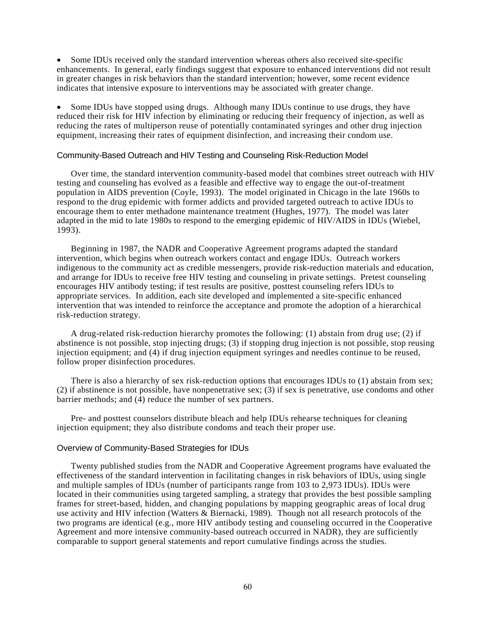• Some IDUs received only the standard intervention whereas others also received site-specific enhancements. In general, early findings suggest that exposure to enhanced interventions did not result in greater changes in risk behaviors than the standard intervention; however, some recent evidence indicates that intensive exposure to interventions may be associated with greater change.

• Some IDUs have stopped using drugs. Although many IDUs continue to use drugs, they have reduced their risk for HIV infection by eliminating or reducing their frequency of injection, as well as reducing the rates of multiperson reuse of potentially contaminated syringes and other drug injection equipment, increasing their rates of equipment disinfection, and increasing their condom use.

## Community-Based Outreach and HIV Testing and Counseling Risk-Reduction Model

Over time, the standard intervention community-based model that combines street outreach with HIV testing and counseling has evolved as a feasible and effective way to engage the out-of-treatment population in AIDS prevention (Coyle, 1993). The model originated in Chicago in the late 1960s to respond to the drug epidemic with former addicts and provided targeted outreach to active IDUs to encourage them to enter methadone maintenance treatment (Hughes, 1977). The model was later adapted in the mid to late 1980s to respond to the emerging epidemic of HIV/AIDS in IDUs (Wiebel, 1993).

Beginning in 1987, the NADR and Cooperative Agreement programs adapted the standard intervention, which begins when outreach workers contact and engage IDUs. Outreach workers indigenous to the community act as credible messengers, provide risk-reduction materials and education, and arrange for IDUs to receive free HIV testing and counseling in private settings. Pretest counseling encourages HIV antibody testing; if test results are positive, posttest counseling refers IDUs to appropriate services. In addition, each site developed and implemented a site-specific enhanced intervention that was intended to reinforce the acceptance and promote the adoption of a hierarchical risk-reduction strategy.

A drug-related risk-reduction hierarchy promotes the following: (1) abstain from drug use; (2) if abstinence is not possible, stop injecting drugs; (3) if stopping drug injection is not possible, stop reusing injection equipment; and (4) if drug injection equipment syringes and needles continue to be reused, follow proper disinfection procedures.

There is also a hierarchy of sex risk-reduction options that encourages IDUs to (1) abstain from sex; (2) if abstinence is not possible, have nonpenetrative sex; (3) if sex is penetrative, use condoms and other barrier methods; and (4) reduce the number of sex partners.

Pre- and posttest counselors distribute bleach and help IDUs rehearse techniques for cleaning injection equipment; they also distribute condoms and teach their proper use.

## Overview of Community-Based Strategies for IDUs

Twenty published studies from the NADR and Cooperative Agreement programs have evaluated the effectiveness of the standard intervention in facilitating changes in risk behaviors of IDUs, using single and multiple samples of IDUs (number of participants range from 103 to 2,973 IDUs). IDUs were located in their communities using targeted sampling, a strategy that provides the best possible sampling frames for street-based, hidden, and changing populations by mapping geographic areas of local drug use activity and HIV infection (Watters & Biernacki, 1989). Though not all research protocols of the two programs are identical (e.g., more HIV antibody testing and counseling occurred in the Cooperative Agreement and more intensive community-based outreach occurred in NADR), they are sufficiently comparable to support general statements and report cumulative findings across the studies.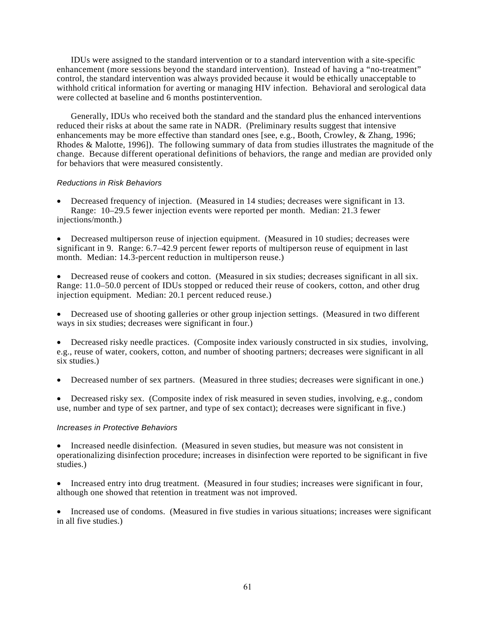IDUs were assigned to the standard intervention or to a standard intervention with a site-specific enhancement (more sessions beyond the standard intervention). Instead of having a "no-treatment" control, the standard intervention was always provided because it would be ethically unacceptable to withhold critical information for averting or managing HIV infection. Behavioral and serological data were collected at baseline and 6 months postintervention.

Generally, IDUs who received both the standard and the standard plus the enhanced interventions reduced their risks at about the same rate in NADR. (Preliminary results suggest that intensive enhancements may be more effective than standard ones [see, e.g., Booth, Crowley, & Zhang, 1996; Rhodes & Malotte, 1996]). The following summary of data from studies illustrates the magnitude of the change. Because different operational definitions of behaviors, the range and median are provided only for behaviors that were measured consistently.

## *Reductions in Risk Behaviors*

• Decreased frequency of injection. (Measured in 14 studies; decreases were significant in 13. Range: 10–29.5 fewer injection events were reported per month. Median: 21.3 fewer injections/month.)

• Decreased multiperson reuse of injection equipment. (Measured in 10 studies; decreases were significant in 9. Range: 6.7–42.9 percent fewer reports of multiperson reuse of equipment in last month. Median: 14.3-percent reduction in multiperson reuse.)

• Decreased reuse of cookers and cotton. (Measured in six studies; decreases significant in all six. Range: 11.0–50.0 percent of IDUs stopped or reduced their reuse of cookers, cotton, and other drug injection equipment. Median: 20.1 percent reduced reuse.)

• Decreased use of shooting galleries or other group injection settings. (Measured in two different ways in six studies; decreases were significant in four.)

• Decreased risky needle practices. (Composite index variously constructed in six studies, involving, e.g., reuse of water, cookers, cotton, and number of shooting partners; decreases were significant in all six studies.)

• Decreased number of sex partners. (Measured in three studies; decreases were significant in one.)

• Decreased risky sex. (Composite index of risk measured in seven studies, involving, e.g., condom use, number and type of sex partner, and type of sex contact); decreases were significant in five.)

## *Increases in Protective Behaviors*

• Increased needle disinfection. (Measured in seven studies, but measure was not consistent in operationalizing disinfection procedure; increases in disinfection were reported to be significant in five studies.)

• Increased entry into drug treatment. (Measured in four studies; increases were significant in four, although one showed that retention in treatment was not improved.

• Increased use of condoms. (Measured in five studies in various situations; increases were significant in all five studies.)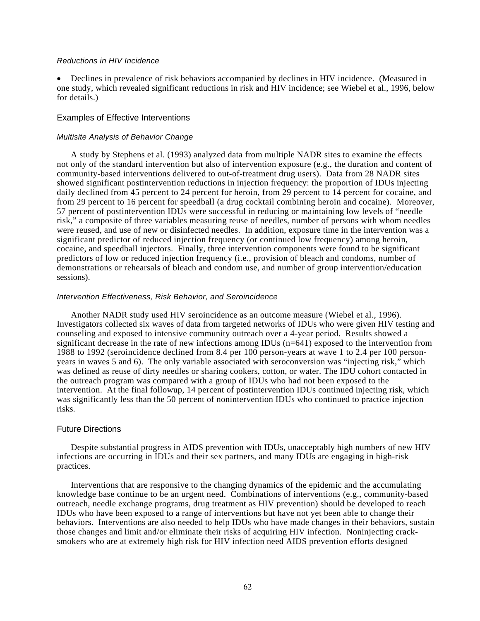#### *Reductions in HIV Incidence*

• Declines in prevalence of risk behaviors accompanied by declines in HIV incidence. (Measured in one study, which revealed significant reductions in risk and HIV incidence; see Wiebel et al., 1996, below for details.)

#### Examples of Effective Interventions

#### *Multisite Analysis of Behavior Change*

A study by Stephens et al. (1993) analyzed data from multiple NADR sites to examine the effects not only of the standard intervention but also of intervention exposure (e.g., the duration and content of community-based interventions delivered to out-of-treatment drug users). Data from 28 NADR sites showed significant postintervention reductions in injection frequency: the proportion of IDUs injecting daily declined from 45 percent to 24 percent for heroin, from 29 percent to 14 percent for cocaine, and from 29 percent to 16 percent for speedball (a drug cocktail combining heroin and cocaine). Moreover, 57 percent of postintervention IDUs were successful in reducing or maintaining low levels of "needle risk," a composite of three variables measuring reuse of needles, number of persons with whom needles were reused, and use of new or disinfected needles. In addition, exposure time in the intervention was a significant predictor of reduced injection frequency (or continued low frequency) among heroin, cocaine, and speedball injectors. Finally, three intervention components were found to be significant predictors of low or reduced injection frequency (i.e., provision of bleach and condoms, number of demonstrations or rehearsals of bleach and condom use, and number of group intervention/education sessions).

#### *Intervention Effectiveness, Risk Behavior, and Seroincidence*

Another NADR study used HIV seroincidence as an outcome measure (Wiebel et al., 1996). Investigators collected six waves of data from targeted networks of IDUs who were given HIV testing and counseling and exposed to intensive community outreach over a 4-year period. Results showed a significant decrease in the rate of new infections among IDUs (n=641) exposed to the intervention from 1988 to 1992 (seroincidence declined from 8.4 per 100 person-years at wave 1 to 2.4 per 100 personyears in waves 5 and 6). The only variable associated with seroconversion was "injecting risk," which was defined as reuse of dirty needles or sharing cookers, cotton, or water. The IDU cohort contacted in the outreach program was compared with a group of IDUs who had not been exposed to the intervention. At the final followup, 14 percent of postintervention IDUs continued injecting risk, which was significantly less than the 50 percent of nonintervention IDUs who continued to practice injection risks.

### Future Directions

Despite substantial progress in AIDS prevention with IDUs, unacceptably high numbers of new HIV infections are occurring in IDUs and their sex partners, and many IDUs are engaging in high-risk practices.

Interventions that are responsive to the changing dynamics of the epidemic and the accumulating knowledge base continue to be an urgent need. Combinations of interventions (e.g., community-based outreach, needle exchange programs, drug treatment as HIV prevention) should be developed to reach IDUs who have been exposed to a range of interventions but have not yet been able to change their behaviors. Interventions are also needed to help IDUs who have made changes in their behaviors, sustain those changes and limit and/or eliminate their risks of acquiring HIV infection. Noninjecting cracksmokers who are at extremely high risk for HIV infection need AIDS prevention efforts designed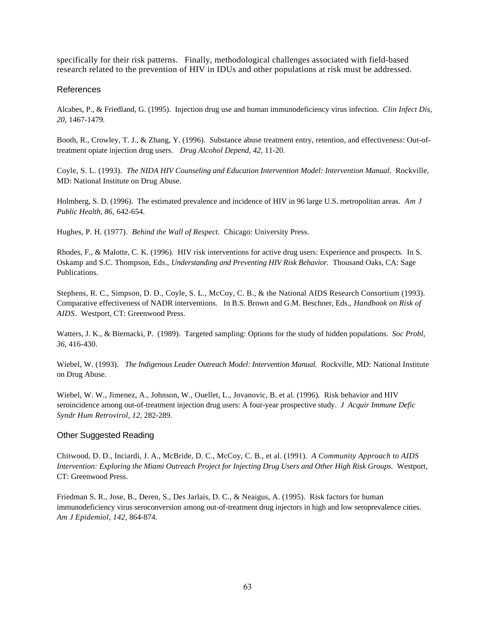specifically for their risk patterns. Finally, methodological challenges associated with field-based research related to the prevention of HIV in IDUs and other populations at risk must be addressed.

## References

Alcabes, P., & Friedland, G. (1995). Injection drug use and human immunodeficiency virus infection. *Clin Infect Dis, 20,* 1467-1479.

Booth, R., Crowley, T. J., & Zhang, Y. (1996). Substance abuse treatment entry, retention, and effectiveness: Out-oftreatment opiate injection drug users. *Drug Alcohol Depend, 42,* 11-20.

Coyle, S. L. (1993). *The NIDA HIV Counseling and Education Intervention Model: Intervention Manual.* Rockville, MD: National Institute on Drug Abuse.

Holmberg, S. D. (1996). The estimated prevalence and incidence of HIV in 96 large U.S. metropolitan areas. *Am J Public Health, 86,* 642-654.

Hughes, P. H. (1977). *Behind the Wall of Respect.* Chicago: University Press.

Rhodes, F., & Malotte, C. K. (1996). HIV risk interventions for active drug users: Experience and prospects. In S. Oskamp and S.C. Thompson, Eds., *Understanding and Preventing HIV Risk Behavior.* Thousand Oaks, CA: Sage Publications.

Stephens, R. C., Simpson, D. D., Coyle, S. L., McCoy, C. B., & the National AIDS Research Consortium (1993). Comparative effectiveness of NADR interventions. In B.S. Brown and G.M. Beschner, Eds., *Handbook on Risk of AIDS*. Westport, CT: Greenwood Press.

Watters, J. K., & Biernacki, P. (1989). Targeted sampling: Options for the study of hidden populations. *Soc Probl, 36*, 416-430.

Wiebel, W. (1993). *The Indigenous Leader Outreach Model: Intervention Manual.* Rockville, MD: National Institute on Drug Abuse.

Wiebel, W. W., Jimenez, A., Johnson, W., Ouellet, L., Jovanovic, B. et al. (1996). Risk behavior and HIV seroincidence among out-of-treatment injection drug users: A four-year prospective study. *J Acquir Immune Defic Syndr Hum Retrovirol, 12,* 282-289.

## Other Suggested Reading

Chitwood, D. D., Inciardi, J. A., McBride, D. C., McCoy, C. B., et al. (1991). *A Community Approach to AIDS Intervention: Exploring the Miami Outreach Project for Injecting Drug Users and Other High Risk Groups.* Westport, CT: Greenwood Press.

Friedman S. R., Jose, B., Deren, S., Des Jarlais, D. C., & Neaigus, A. (1995). Risk factors for human immunodeficiency virus seroconversion among out-of-treatment drug injectors in high and low seroprevalence cities. *Am J Epidemiol, 142,* 864-874.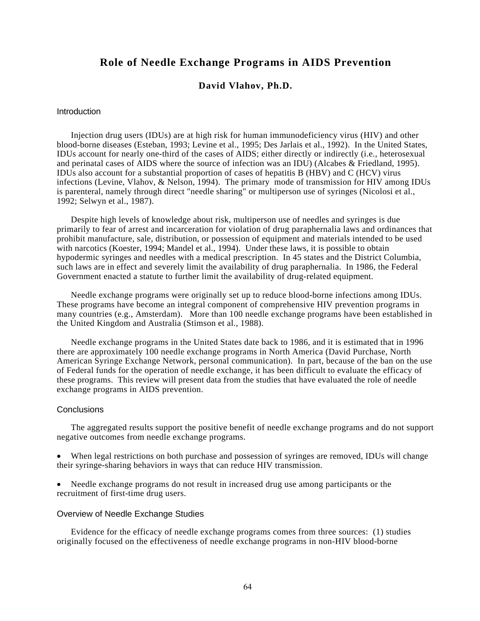# **Role of Needle Exchange Programs in AIDS Prevention**

## **David Vlahov, Ph.D.**

## **Introduction**

Injection drug users (IDUs) are at high risk for human immunodeficiency virus (HIV) and other blood-borne diseases (Esteban, 1993; Levine et al., 1995; Des Jarlais et al., 1992). In the United States, IDUs account for nearly one-third of the cases of AIDS; either directly or indirectly (i.e., heterosexual and perinatal cases of AIDS where the source of infection was an IDU) (Alcabes & Friedland, 1995). IDUs also account for a substantial proportion of cases of hepatitis B (HBV) and C (HCV) virus infections (Levine, Vlahov, & Nelson, 1994). The primary mode of transmission for HIV among IDUs is parenteral, namely through direct "needle sharing" or multiperson use of syringes (Nicolosi et al., 1992; Selwyn et al., 1987).

Despite high levels of knowledge about risk, multiperson use of needles and syringes is due primarily to fear of arrest and incarceration for violation of drug paraphernalia laws and ordinances that prohibit manufacture, sale, distribution, or possession of equipment and materials intended to be used with narcotics (Koester, 1994; Mandel et al., 1994). Under these laws, it is possible to obtain hypodermic syringes and needles with a medical prescription. In 45 states and the District Columbia, such laws are in effect and severely limit the availability of drug paraphernalia. In 1986, the Federal Government enacted a statute to further limit the availability of drug-related equipment.

Needle exchange programs were originally set up to reduce blood-borne infections among IDUs. These programs have become an integral component of comprehensive HIV prevention programs in many countries (e.g., Amsterdam). More than 100 needle exchange programs have been established in the United Kingdom and Australia (Stimson et al., 1988).

Needle exchange programs in the United States date back to 1986, and it is estimated that in 1996 there are approximately 100 needle exchange programs in North America (David Purchase, North American Syringe Exchange Network, personal communication). In part, because of the ban on the use of Federal funds for the operation of needle exchange, it has been difficult to evaluate the efficacy of these programs. This review will present data from the studies that have evaluated the role of needle exchange programs in AIDS prevention.

## **Conclusions**

The aggregated results support the positive benefit of needle exchange programs and do not support negative outcomes from needle exchange programs.

• When legal restrictions on both purchase and possession of syringes are removed, IDUs will change their syringe-sharing behaviors in ways that can reduce HIV transmission.

• Needle exchange programs do not result in increased drug use among participants or the recruitment of first-time drug users.

#### Overview of Needle Exchange Studies

Evidence for the efficacy of needle exchange programs comes from three sources: (1) studies originally focused on the effectiveness of needle exchange programs in non-HIV blood-borne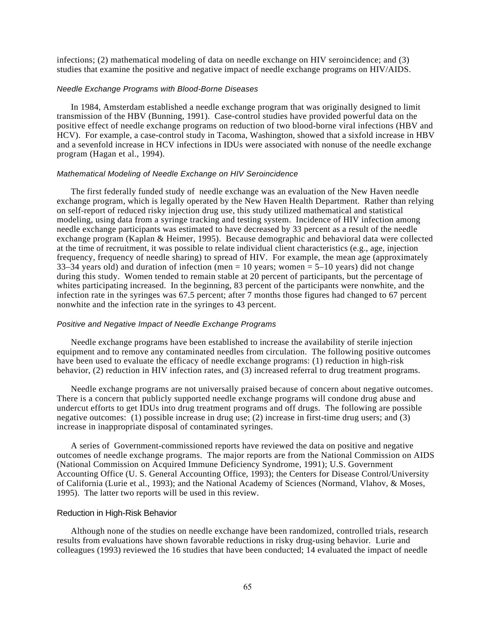infections; (2) mathematical modeling of data on needle exchange on HIV seroincidence; and (3) studies that examine the positive and negative impact of needle exchange programs on HIV/AIDS.

#### *Needle Exchange Programs with Blood-Borne Diseases*

In 1984, Amsterdam established a needle exchange program that was originally designed to limit transmission of the HBV (Bunning, 1991). Case-control studies have provided powerful data on the positive effect of needle exchange programs on reduction of two blood-borne viral infections (HBV and HCV). For example, a case-control study in Tacoma, Washington, showed that a sixfold increase in HBV and a sevenfold increase in HCV infections in IDUs were associated with nonuse of the needle exchange program (Hagan et al., 1994).

#### *Mathematical Modeling of Needle Exchange on HIV Seroincidence*

The first federally funded study of needle exchange was an evaluation of the New Haven needle exchange program, which is legally operated by the New Haven Health Department. Rather than relying on self-report of reduced risky injection drug use, this study utilized mathematical and statistical modeling, using data from a syringe tracking and testing system. Incidence of HIV infection among needle exchange participants was estimated to have decreased by 33 percent as a result of the needle exchange program (Kaplan & Heimer, 1995). Because demographic and behavioral data were collected at the time of recruitment, it was possible to relate individual client characteristics (e.g., age, injection frequency, frequency of needle sharing) to spread of HIV. For example, the mean age (approximately 33–34 years old) and duration of infection (men =  $10$  years; women =  $5-10$  years) did not change during this study. Women tended to remain stable at 20 percent of participants, but the percentage of whites participating increased. In the beginning, 83 percent of the participants were nonwhite, and the infection rate in the syringes was 67.5 percent; after 7 months those figures had changed to 67 percent nonwhite and the infection rate in the syringes to 43 percent.

#### *Positive and Negative Impact of Needle Exchange Programs*

Needle exchange programs have been established to increase the availability of sterile injection equipment and to remove any contaminated needles from circulation. The following positive outcomes have been used to evaluate the efficacy of needle exchange programs: (1) reduction in high-risk behavior, (2) reduction in HIV infection rates, and (3) increased referral to drug treatment programs.

Needle exchange programs are not universally praised because of concern about negative outcomes. There is a concern that publicly supported needle exchange programs will condone drug abuse and undercut efforts to get IDUs into drug treatment programs and off drugs. The following are possible negative outcomes: (1) possible increase in drug use; (2) increase in first-time drug users; and (3) increase in inappropriate disposal of contaminated syringes.

A series of Government-commissioned reports have reviewed the data on positive and negative outcomes of needle exchange programs. The major reports are from the National Commission on AIDS (National Commission on Acquired Immune Deficiency Syndrome, 1991); U.S. Government Accounting Office (U. S. General Accounting Office, 1993); the Centers for Disease Control/University of California (Lurie et al., 1993); and the National Academy of Sciences (Normand, Vlahov, & Moses, 1995). The latter two reports will be used in this review.

#### Reduction in High-Risk Behavior

Although none of the studies on needle exchange have been randomized, controlled trials, research results from evaluations have shown favorable reductions in risky drug-using behavior. Lurie and colleagues (1993) reviewed the 16 studies that have been conducted; 14 evaluated the impact of needle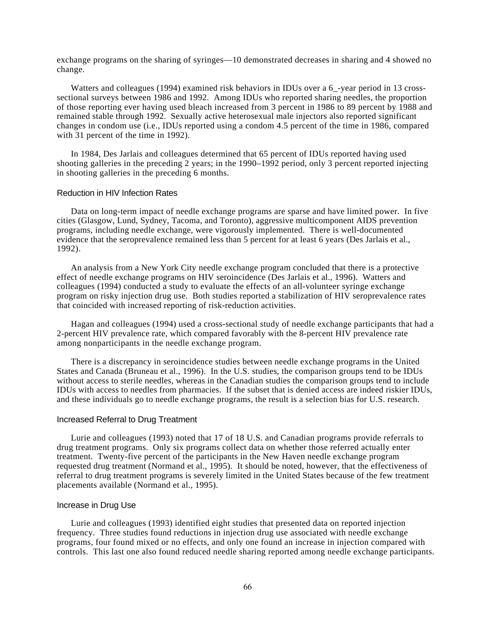exchange programs on the sharing of syringes—10 demonstrated decreases in sharing and 4 showed no change.

Watters and colleagues (1994) examined risk behaviors in IDUs over a 6\_-year period in 13 crosssectional surveys between 1986 and 1992. Among IDUs who reported sharing needles, the proportion of those reporting ever having used bleach increased from 3 percent in 1986 to 89 percent by 1988 and remained stable through 1992. Sexually active heterosexual male injectors also reported significant changes in condom use (i.e., IDUs reported using a condom 4.5 percent of the time in 1986, compared with 31 percent of the time in 1992).

In 1984, Des Jarlais and colleagues determined that 65 percent of IDUs reported having used shooting galleries in the preceding 2 years; in the 1990–1992 period, only 3 percent reported injecting in shooting galleries in the preceding 6 months.

#### Reduction in HIV Infection Rates

Data on long-term impact of needle exchange programs are sparse and have limited power. In five cities (Glasgow, Lund, Sydney, Tacoma, and Toronto), aggressive multicomponent AIDS prevention programs, including needle exchange, were vigorously implemented. There is well-documented evidence that the seroprevalence remained less than 5 percent for at least 6 years (Des Jarlais et al., 1992).

An analysis from a New York City needle exchange program concluded that there is a protective effect of needle exchange programs on HIV seroincidence (Des Jarlais et al., 1996). Watters and colleagues (1994) conducted a study to evaluate the effects of an all-volunteer syringe exchange program on risky injection drug use. Both studies reported a stabilization of HIV seroprevalence rates that coincided with increased reporting of risk-reduction activities.

Hagan and colleagues (1994) used a cross-sectional study of needle exchange participants that had a 2-percent HIV prevalence rate, which compared favorably with the 8-percent HIV prevalence rate among nonparticipants in the needle exchange program.

There is a discrepancy in seroincidence studies between needle exchange programs in the United States and Canada (Bruneau et al., 1996). In the U.S. studies, the comparison groups tend to be IDUs without access to sterile needles, whereas in the Canadian studies the comparison groups tend to include IDUs with access to needles from pharmacies. If the subset that is denied access are indeed riskier IDUs, and these individuals go to needle exchange programs, the result is a selection bias for U.S. research.

## Increased Referral to Drug Treatment

Lurie and colleagues (1993) noted that 17 of 18 U.S. and Canadian programs provide referrals to drug treatment programs. Only six programs collect data on whether those referred actually enter treatment. Twenty-five percent of the participants in the New Haven needle exchange program requested drug treatment (Normand et al., 1995). It should be noted, however, that the effectiveness of referral to drug treatment programs is severely limited in the United States because of the few treatment placements available (Normand et al., 1995).

#### Increase in Drug Use

Lurie and colleagues (1993) identified eight studies that presented data on reported injection frequency. Three studies found reductions in injection drug use associated with needle exchange programs, four found mixed or no effects, and only one found an increase in injection compared with controls. This last one also found reduced needle sharing reported among needle exchange participants.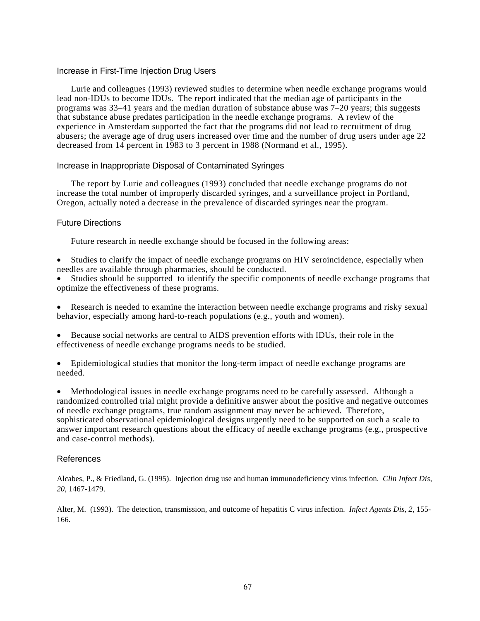## Increase in First-Time Injection Drug Users

Lurie and colleagues (1993) reviewed studies to determine when needle exchange programs would lead non-IDUs to become IDUs. The report indicated that the median age of participants in the programs was 33–41 years and the median duration of substance abuse was 7–20 years; this suggests that substance abuse predates participation in the needle exchange programs. A review of the experience in Amsterdam supported the fact that the programs did not lead to recruitment of drug abusers; the average age of drug users increased over time and the number of drug users under age 22 decreased from 14 percent in 1983 to 3 percent in 1988 (Normand et al., 1995).

## Increase in Inappropriate Disposal of Contaminated Syringes

The report by Lurie and colleagues (1993) concluded that needle exchange programs do not increase the total number of improperly discarded syringes, and a surveillance project in Portland, Oregon, actually noted a decrease in the prevalence of discarded syringes near the program.

## Future Directions

Future research in needle exchange should be focused in the following areas:

• Studies to clarify the impact of needle exchange programs on HIV seroincidence, especially when needles are available through pharmacies, should be conducted.

• Studies should be supported to identify the specific components of needle exchange programs that optimize the effectiveness of these programs.

• Research is needed to examine the interaction between needle exchange programs and risky sexual behavior, especially among hard-to-reach populations (e.g., youth and women).

- Because social networks are central to AIDS prevention efforts with IDUs, their role in the effectiveness of needle exchange programs needs to be studied.
- Epidemiological studies that monitor the long-term impact of needle exchange programs are needed.

• Methodological issues in needle exchange programs need to be carefully assessed. Although a randomized controlled trial might provide a definitive answer about the positive and negative outcomes of needle exchange programs, true random assignment may never be achieved. Therefore, sophisticated observational epidemiological designs urgently need to be supported on such a scale to answer important research questions about the efficacy of needle exchange programs (e.g., prospective and case-control methods).

## References

Alcabes, P., & Friedland, G. (1995). Injection drug use and human immunodeficiency virus infection. *Clin Infect Dis, 20*, 1467-1479.

Alter, M. (1993). The detection, transmission, and outcome of hepatitis C virus infection. *Infect Agents Dis, 2*, 155- 166.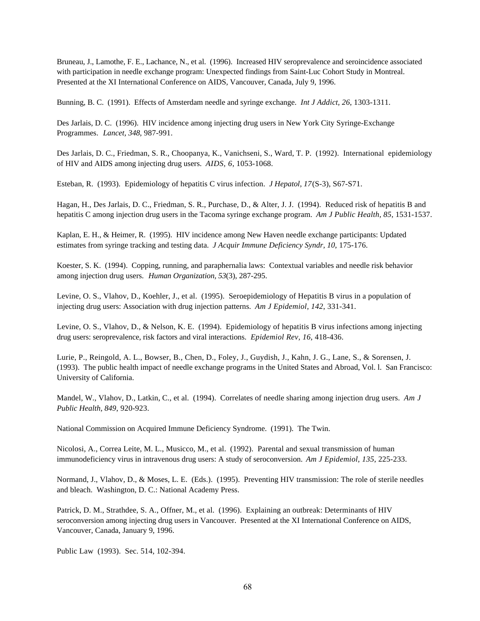Bruneau, J., Lamothe, F. E., Lachance, N., et al. (1996). Increased HIV seroprevalence and seroincidence associated with participation in needle exchange program: Unexpected findings from Saint-Luc Cohort Study in Montreal. Presented at the XI International Conference on AIDS, Vancouver, Canada, July 9, 1996.

Bunning, B. C. (1991). Effects of Amsterdam needle and syringe exchange. *Int J Addict, 26*, 1303-1311.

Des Jarlais, D. C. (1996). HIV incidence among injecting drug users in New York City Syringe-Exchange Programmes. *Lancet, 348*, 987-991.

Des Jarlais, D. C., Friedman, S. R., Choopanya, K., Vanichseni, S., Ward, T. P. (1992). International epidemiology of HIV and AIDS among injecting drug users. *AIDS, 6*, 1053-1068.

Esteban, R. (1993). Epidemiology of hepatitis C virus infection. *J Hepatol, 17*(S-3), S67-S71.

Hagan, H., Des Jarlais, D. C., Friedman, S. R., Purchase, D., & Alter, J. J. (1994). Reduced risk of hepatitis B and hepatitis C among injection drug users in the Tacoma syringe exchange program. *Am J Public Health, 85*, 1531-1537.

Kaplan, E. H., & Heimer, R. (1995). HIV incidence among New Haven needle exchange participants: Updated estimates from syringe tracking and testing data. *J Acquir Immune Deficiency Syndr, 10*, 175-176.

Koester, S. K. (1994). Copping, running, and paraphernalia laws: Contextual variables and needle risk behavior among injection drug users. *Human Organization, 53*(3), 287-295.

Levine, O. S., Vlahov, D., Koehler, J., et al. (1995). Seroepidemiology of Hepatitis B virus in a population of injecting drug users: Association with drug injection patterns. *Am J Epidemiol, 142*, 331-341.

Levine, O. S., Vlahov, D., & Nelson, K. E. (1994). Epidemiology of hepatitis B virus infections among injecting drug users: seroprevalence, risk factors and viral interactions. *Epidemiol Rev, 16*, 418-436.

Lurie, P., Reingold, A. L., Bowser, B., Chen, D., Foley, J., Guydish, J., Kahn, J. G., Lane, S., & Sorensen, J. (1993). The public health impact of needle exchange programs in the United States and Abroad, Vol. l. San Francisco: University of California.

Mandel, W., Vlahov, D., Latkin, C., et al. (1994). Correlates of needle sharing among injection drug users. *Am J Public Health, 849*, 920-923.

National Commission on Acquired Immune Deficiency Syndrome. (1991). The Twin.

Nicolosi, A., Correa Leite, M. L., Musicco, M., et al. (1992). Parental and sexual transmission of human immunodeficiency virus in intravenous drug users: A study of seroconversion. *Am J Epidemiol, 135*, 225-233.

Normand, J., Vlahov, D., & Moses, L. E. (Eds.). (1995). Preventing HIV transmission: The role of sterile needles and bleach. Washington, D. C.: National Academy Press.

Patrick, D. M., Strathdee, S. A., Offner, M., et al. (1996). Explaining an outbreak: Determinants of HIV seroconversion among injecting drug users in Vancouver. Presented at the XI International Conference on AIDS, Vancouver, Canada, January 9, 1996.

Public Law (1993). Sec. 514, 102-394.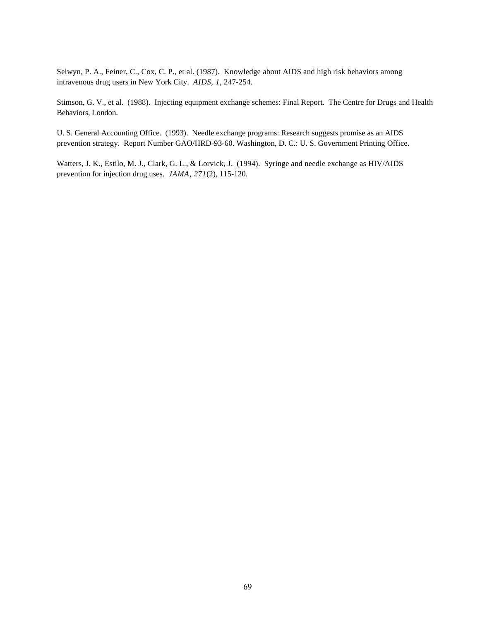Selwyn, P. A., Feiner, C., Cox, C. P., et al. (1987). Knowledge about AIDS and high risk behaviors among intravenous drug users in New York City. *AIDS, 1*, 247-254.

Stimson, G. V., et al. (1988). Injecting equipment exchange schemes: Final Report. The Centre for Drugs and Health Behaviors, London.

U. S. General Accounting Office. (1993). Needle exchange programs: Research suggests promise as an AIDS prevention strategy. Report Number GAO/HRD-93-60. Washington, D. C.: U. S. Government Printing Office.

Watters, J. K., Estilo, M. J., Clark, G. L., & Lorvick, J. (1994). Syringe and needle exchange as HIV/AIDS prevention for injection drug uses. *JAMA, 271*(2), 115-120.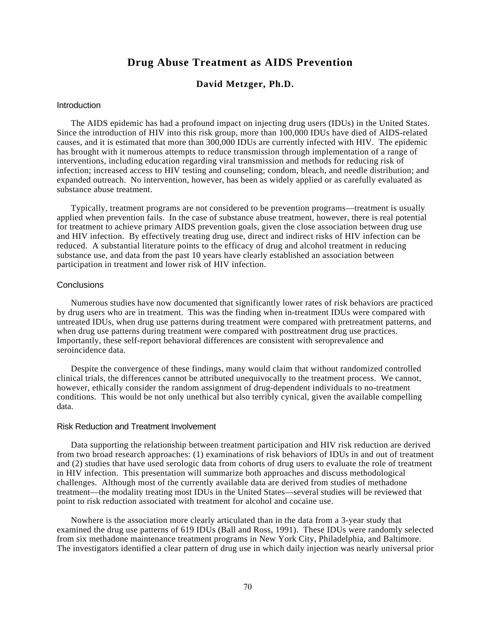# **Drug Abuse Treatment as AIDS Prevention**

## **David Metzger, Ph.D.**

## **Introduction**

The AIDS epidemic has had a profound impact on injecting drug users (IDUs) in the United States. Since the introduction of HIV into this risk group, more than 100,000 IDUs have died of AIDS-related causes, and it is estimated that more than 300,000 IDUs are currently infected with HIV. The epidemic has brought with it numerous attempts to reduce transmission through implementation of a range of interventions, including education regarding viral transmission and methods for reducing risk of infection; increased access to HIV testing and counseling; condom, bleach, and needle distribution; and expanded outreach. No intervention, however, has been as widely applied or as carefully evaluated as substance abuse treatment.

Typically, treatment programs are not considered to be prevention programs—treatment is usually applied when prevention fails. In the case of substance abuse treatment, however, there is real potential for treatment to achieve primary AIDS prevention goals, given the close association between drug use and HIV infection. By effectively treating drug use, direct and indirect risks of HIV infection can be reduced. A substantial literature points to the efficacy of drug and alcohol treatment in reducing substance use, and data from the past 10 years have clearly established an association between participation in treatment and lower risk of HIV infection.

## **Conclusions**

Numerous studies have now documented that significantly lower rates of risk behaviors are practiced by drug users who are in treatment. This was the finding when in-treatment IDUs were compared with untreated IDUs, when drug use patterns during treatment were compared with pretreatment patterns, and when drug use patterns during treatment were compared with posttreatment drug use practices. Importantly, these self-report behavioral differences are consistent with seroprevalence and seroincidence data.

Despite the convergence of these findings, many would claim that without randomized controlled clinical trials, the differences cannot be attributed unequivocally to the treatment process. We cannot, however, ethically consider the random assignment of drug-dependent individuals to no-treatment conditions. This would be not only unethical but also terribly cynical, given the available compelling data.

## Risk Reduction and Treatment Involvement

Data supporting the relationship between treatment participation and HIV risk reduction are derived from two broad research approaches: (1) examinations of risk behaviors of IDUs in and out of treatment and (2) studies that have used serologic data from cohorts of drug users to evaluate the role of treatment in HIV infection. This presentation will summarize both approaches and discuss methodological challenges. Although most of the currently available data are derived from studies of methadone treatment—the modality treating most IDUs in the United States—several studies will be reviewed that point to risk reduction associated with treatment for alcohol and cocaine use.

Nowhere is the association more clearly articulated than in the data from a 3-year study that examined the drug use patterns of 619 IDUs (Ball and Ross, 1991). These IDUs were randomly selected from six methadone maintenance treatment programs in New York City, Philadelphia, and Baltimore. The investigators identified a clear pattern of drug use in which daily injection was nearly universal prior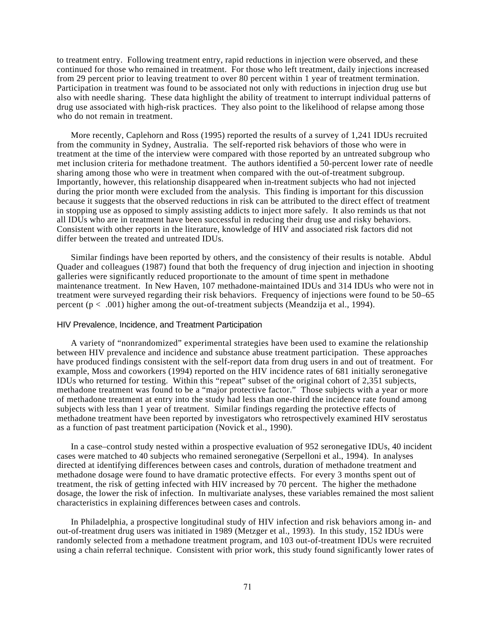to treatment entry. Following treatment entry, rapid reductions in injection were observed, and these continued for those who remained in treatment. For those who left treatment, daily injections increased from 29 percent prior to leaving treatment to over 80 percent within 1 year of treatment termination. Participation in treatment was found to be associated not only with reductions in injection drug use but also with needle sharing. These data highlight the ability of treatment to interrupt individual patterns of drug use associated with high-risk practices. They also point to the likelihood of relapse among those who do not remain in treatment.

More recently, Caplehorn and Ross (1995) reported the results of a survey of 1,241 IDUs recruited from the community in Sydney, Australia. The self-reported risk behaviors of those who were in treatment at the time of the interview were compared with those reported by an untreated subgroup who met inclusion criteria for methadone treatment. The authors identified a 50-percent lower rate of needle sharing among those who were in treatment when compared with the out-of-treatment subgroup. Importantly, however, this relationship disappeared when in-treatment subjects who had not injected during the prior month were excluded from the analysis. This finding is important for this discussion because it suggests that the observed reductions in risk can be attributed to the direct effect of treatment in stopping use as opposed to simply assisting addicts to inject more safely. It also reminds us that not all IDUs who are in treatment have been successful in reducing their drug use and risky behaviors. Consistent with other reports in the literature, knowledge of HIV and associated risk factors did not differ between the treated and untreated IDUs.

Similar findings have been reported by others, and the consistency of their results is notable. Abdul Quader and colleagues (1987) found that both the frequency of drug injection and injection in shooting galleries were significantly reduced proportionate to the amount of time spent in methadone maintenance treatment. In New Haven, 107 methadone-maintained IDUs and 314 IDUs who were not in treatment were surveyed regarding their risk behaviors. Frequency of injections were found to be 50–65 percent (p < .001) higher among the out-of-treatment subjects (Meandzija et al., 1994).

#### HIV Prevalence, Incidence, and Treatment Participation

A variety of "nonrandomized" experimental strategies have been used to examine the relationship between HIV prevalence and incidence and substance abuse treatment participation. These approaches have produced findings consistent with the self-report data from drug users in and out of treatment. For example, Moss and coworkers (1994) reported on the HIV incidence rates of 681 initially seronegative IDUs who returned for testing. Within this "repeat" subset of the original cohort of 2,351 subjects, methadone treatment was found to be a "major protective factor." Those subjects with a year or more of methadone treatment at entry into the study had less than one-third the incidence rate found among subjects with less than 1 year of treatment. Similar findings regarding the protective effects of methadone treatment have been reported by investigators who retrospectively examined HIV serostatus as a function of past treatment participation (Novick et al., 1990).

In a case–control study nested within a prospective evaluation of 952 seronegative IDUs, 40 incident cases were matched to 40 subjects who remained seronegative (Serpelloni et al., 1994). In analyses directed at identifying differences between cases and controls, duration of methadone treatment and methadone dosage were found to have dramatic protective effects. For every 3 months spent out of treatment, the risk of getting infected with HIV increased by 70 percent. The higher the methadone dosage, the lower the risk of infection. In multivariate analyses, these variables remained the most salient characteristics in explaining differences between cases and controls.

In Philadelphia, a prospective longitudinal study of HIV infection and risk behaviors among in- and out-of-treatment drug users was initiated in 1989 (Metzger et al., 1993). In this study, 152 IDUs were randomly selected from a methadone treatment program, and 103 out-of-treatment IDUs were recruited using a chain referral technique. Consistent with prior work, this study found significantly lower rates of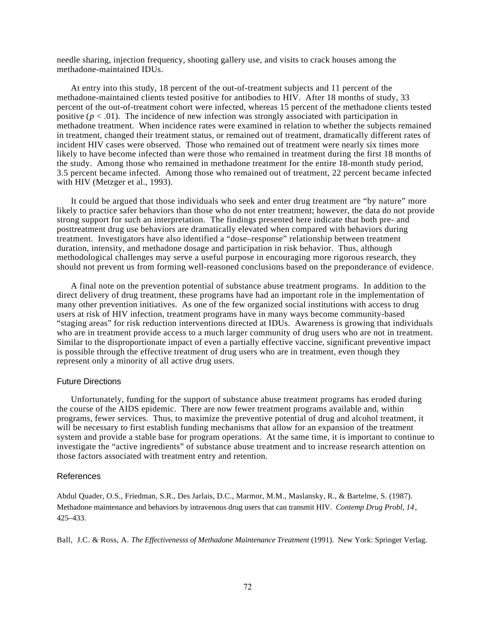needle sharing, injection frequency, shooting gallery use, and visits to crack houses among the methadone-maintained IDUs.

At entry into this study, 18 percent of the out-of-treatment subjects and 11 percent of the methadone-maintained clients tested positive for antibodies to HIV. After 18 months of study, 33 percent of the out-of-treatment cohort were infected, whereas 15 percent of the methadone clients tested positive ( $p < .01$ ). The incidence of new infection was strongly associated with participation in methadone treatment. When incidence rates were examined in relation to whether the subjects remained in treatment, changed their treatment status, or remained out of treatment, dramatically different rates of incident HIV cases were observed. Those who remained out of treatment were nearly six times more likely to have become infected than were those who remained in treatment during the first 18 months of the study. Among those who remained in methadone treatment for the entire 18-month study period, 3.5 percent became infected. Among those who remained out of treatment, 22 percent became infected with HIV (Metzger et al., 1993).

It could be argued that those individuals who seek and enter drug treatment are "by nature" more likely to practice safer behaviors than those who do not enter treatment; however, the data do not provide strong support for such an interpretation. The findings presented here indicate that both pre- and posttreatment drug use behaviors are dramatically elevated when compared with behaviors during treatment. Investigators have also identified a "dose–response" relationship between treatment duration, intensity, and methadone dosage and participation in risk behavior. Thus, although methodological challenges may serve a useful purpose in encouraging more rigorous research, they should not prevent us from forming well-reasoned conclusions based on the preponderance of evidence.

A final note on the prevention potential of substance abuse treatment programs. In addition to the direct delivery of drug treatment, these programs have had an important role in the implementation of many other prevention initiatives. As one of the few organized social institutions with access to drug users at risk of HIV infection, treatment programs have in many ways become community-based "staging areas" for risk reduction interventions directed at IDUs. Awareness is growing that individuals who are in treatment provide access to a much larger community of drug users who are not in treatment. Similar to the disproportionate impact of even a partially effective vaccine, significant preventive impact is possible through the effective treatment of drug users who are in treatment, even though they represent only a minority of all active drug users.

## Future Directions

Unfortunately, funding for the support of substance abuse treatment programs has eroded during the course of the AIDS epidemic. There are now fewer treatment programs available and, within programs, fewer services. Thus, to maximize the preventive potential of drug and alcohol treatment, it will be necessary to first establish funding mechanisms that allow for an expansion of the treatment system and provide a stable base for program operations. At the same time, it is important to continue to investigate the "active ingredients" of substance abuse treatment and to increase research attention on those factors associated with treatment entry and retention.

## References

Abdul Quader, O.S., Friedman, S.R., Des Jarlais, D.C., Marmor, M.M., Maslansky, R., & Bartelme, S. (1987). Methadone maintenance and behaviors by intravenous drug users that can transmit HIV. *Contemp Drug Probl, 14*, 425–433.

Ball, J.C. & Ross, A. *The Effectivenesss of Methadone Maintenance Treatment* (1991). New York: Springer Verlag.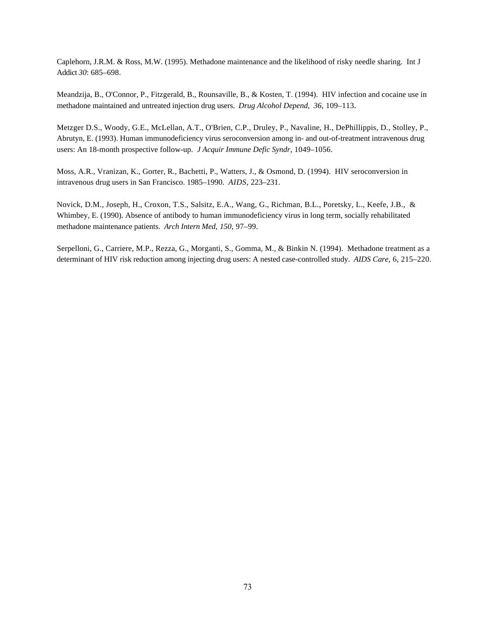Caplehorn, J.R.M. & Ross, M.W. (1995). Methadone maintenance and the likelihood of risky needle sharing. Int J Addict *30*: 685–698.

Meandzija, B., O'Connor, P., Fitzgerald, B., Rounsaville, B., & Kosten, T. (1994). HIV infection and cocaine use in methadone maintained and untreated injection drug users. *Drug Alcohol Depend, 36*, 109–113.

Metzger D.S., Woody, G.E., McLellan, A.T., O'Brien, C.P., Druley, P., Navaline, H., DePhillippis, D., Stolley, P., Abrutyn, E. (1993). Human immunodeficiency virus seroconversion among in- and out-of-treatment intravenous drug users: An 18-month prospective follow-up. *J Acquir Immune Defic Syndr*, 1049–1056.

Moss, A.R., Vranizan, K., Gorter, R., Bachetti, P., Watters, J., & Osmond, D. (1994). HIV seroconversion in intravenous drug users in San Francisco. 1985–1990. *AIDS,* 223–231.

Novick, D.M., Joseph, H., Croxon, T.S., Salsitz, E.A., Wang, G., Richman, B.L., Poretsky, L., Keefe, J.B., & Whimbey, E. (1990). Absence of antibody to human immunodeficiency virus in long term, socially rehabilitated methadone maintenance patients. *Arch Intern Med, 150*, 97–99.

Serpelloni, G., Carriere, M.P., Rezza, G., Morganti, S., Gomma, M., & Binkin N. (1994). Methadone treatment as a determinant of HIV risk reduction among injecting drug users: A nested case-controlled study. *AIDS Care,* 6, 215–220.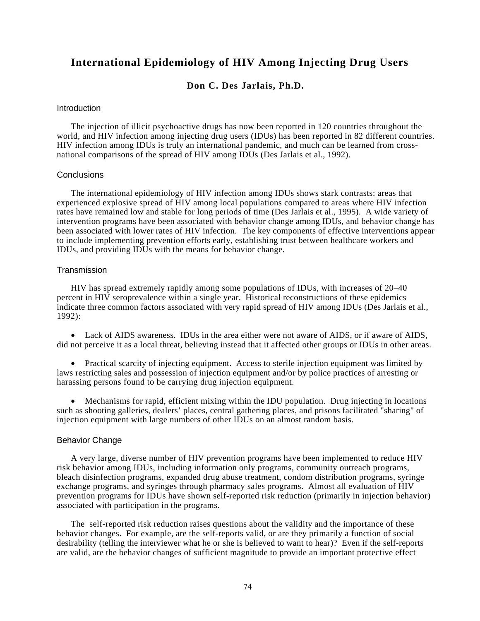# **International Epidemiology of HIV Among Injecting Drug Users**

## **Don C. Des Jarlais, Ph.D.**

## **Introduction**

The injection of illicit psychoactive drugs has now been reported in 120 countries throughout the world, and HIV infection among injecting drug users (IDUs) has been reported in 82 different countries. HIV infection among IDUs is truly an international pandemic, and much can be learned from crossnational comparisons of the spread of HIV among IDUs (Des Jarlais et al., 1992).

## **Conclusions**

The international epidemiology of HIV infection among IDUs shows stark contrasts: areas that experienced explosive spread of HIV among local populations compared to areas where HIV infection rates have remained low and stable for long periods of time (Des Jarlais et al., 1995). A wide variety of intervention programs have been associated with behavior change among IDUs, and behavior change has been associated with lower rates of HIV infection. The key components of effective interventions appear to include implementing prevention efforts early, establishing trust between healthcare workers and IDUs, and providing IDUs with the means for behavior change.

## **Transmission**

HIV has spread extremely rapidly among some populations of IDUs, with increases of 20–40 percent in HIV seroprevalence within a single year. Historical reconstructions of these epidemics indicate three common factors associated with very rapid spread of HIV among IDUs (Des Jarlais et al., 1992):

• Lack of AIDS awareness. IDUs in the area either were not aware of AIDS, or if aware of AIDS, did not perceive it as a local threat, believing instead that it affected other groups or IDUs in other areas.

• Practical scarcity of injecting equipment. Access to sterile injection equipment was limited by laws restricting sales and possession of injection equipment and/or by police practices of arresting or harassing persons found to be carrying drug injection equipment.

• Mechanisms for rapid, efficient mixing within the IDU population. Drug injecting in locations such as shooting galleries, dealers' places, central gathering places, and prisons facilitated "sharing" of injection equipment with large numbers of other IDUs on an almost random basis.

## Behavior Change

A very large, diverse number of HIV prevention programs have been implemented to reduce HIV risk behavior among IDUs, including information only programs, community outreach programs, bleach disinfection programs, expanded drug abuse treatment, condom distribution programs, syringe exchange programs, and syringes through pharmacy sales programs. Almost all evaluation of HIV prevention programs for IDUs have shown self-reported risk reduction (primarily in injection behavior) associated with participation in the programs.

The self-reported risk reduction raises questions about the validity and the importance of these behavior changes. For example, are the self-reports valid, or are they primarily a function of social desirability (telling the interviewer what he or she is believed to want to hear)? Even if the self-reports are valid, are the behavior changes of sufficient magnitude to provide an important protective effect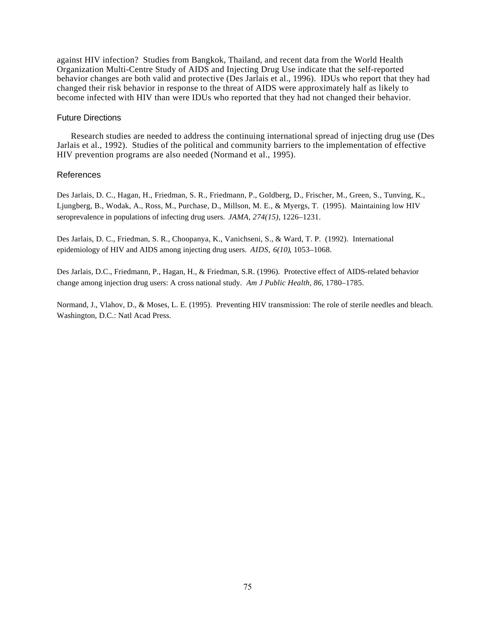against HIV infection? Studies from Bangkok, Thailand, and recent data from the World Health Organization Multi-Centre Study of AIDS and Injecting Drug Use indicate that the self-reported behavior changes are both valid and protective (Des Jarlais et al., 1996). IDUs who report that they had changed their risk behavior in response to the threat of AIDS were approximately half as likely to become infected with HIV than were IDUs who reported that they had not changed their behavior.

## Future Directions

Research studies are needed to address the continuing international spread of injecting drug use (Des Jarlais et al., 1992). Studies of the political and community barriers to the implementation of effective HIV prevention programs are also needed (Normand et al., 1995).

## References

Des Jarlais, D. C., Hagan, H., Friedman, S. R., Friedmann, P., Goldberg, D., Frischer, M., Green, S., Tunving, K., Ljungberg, B., Wodak, A., Ross, M., Purchase, D., Millson, M. E., & Myergs, T. (1995). Maintaining low HIV seroprevalence in populations of infecting drug users. *JAMA, 274(15)*, 1226–1231.

Des Jarlais, D. C., Friedman, S. R., Choopanya, K., Vanichseni, S., & Ward, T. P. (1992). International epidemiology of HIV and AIDS among injecting drug users. *AIDS*, *6(10)*, 1053–1068.

Des Jarlais, D.C., Friedmann, P., Hagan, H., & Friedman, S.R. (1996). Protective effect of AIDS-related behavior change among injection drug users: A cross national study. *Am J Public Health, 86*, 1780–1785.

Normand, J., Vlahov, D., & Moses, L. E. (1995). Preventing HIV transmission: The role of sterile needles and bleach. Washington, D.C.: Natl Acad Press.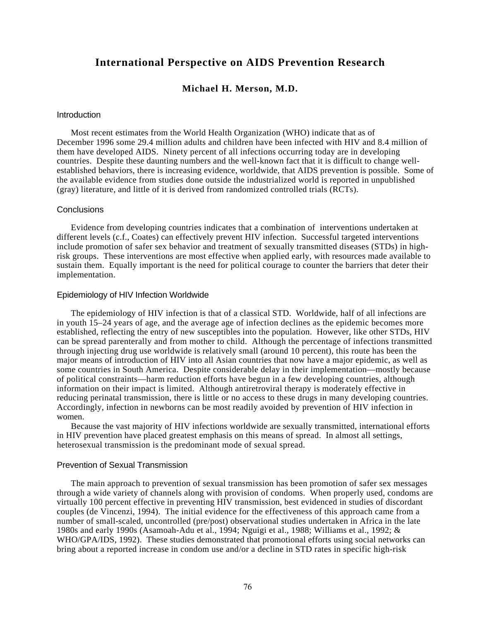## **International Perspective on AIDS Prevention Research**

## **Michael H. Merson, M.D.**

#### **Introduction**

Most recent estimates from the World Health Organization (WHO) indicate that as of December 1996 some 29.4 million adults and children have been infected with HIV and 8.4 million of them have developed AIDS. Ninety percent of all infections occurring today are in developing countries. Despite these daunting numbers and the well-known fact that it is difficult to change wellestablished behaviors, there is increasing evidence, worldwide, that AIDS prevention is possible. Some of the available evidence from studies done outside the industrialized world is reported in unpublished (gray) literature, and little of it is derived from randomized controlled trials (RCTs).

## **Conclusions**

Evidence from developing countries indicates that a combination of interventions undertaken at different levels (c.f., Coates) can effectively prevent HIV infection. Successful targeted interventions include promotion of safer sex behavior and treatment of sexually transmitted diseases (STDs) in highrisk groups. These interventions are most effective when applied early, with resources made available to sustain them. Equally important is the need for political courage to counter the barriers that deter their implementation.

## Epidemiology of HIV Infection Worldwide

The epidemiology of HIV infection is that of a classical STD. Worldwide, half of all infections are in youth 15–24 years of age, and the average age of infection declines as the epidemic becomes more established, reflecting the entry of new susceptibles into the population. However, like other STDs, HIV can be spread parenterally and from mother to child. Although the percentage of infections transmitted through injecting drug use worldwide is relatively small (around 10 percent), this route has been the major means of introduction of HIV into all Asian countries that now have a major epidemic, as well as some countries in South America. Despite considerable delay in their implementation—mostly because of political constraints—harm reduction efforts have begun in a few developing countries, although information on their impact is limited. Although antiretroviral therapy is moderately effective in reducing perinatal transmission, there is little or no access to these drugs in many developing countries. Accordingly, infection in newborns can be most readily avoided by prevention of HIV infection in women.

Because the vast majority of HIV infections worldwide are sexually transmitted, international efforts in HIV prevention have placed greatest emphasis on this means of spread. In almost all settings, heterosexual transmission is the predominant mode of sexual spread.

## Prevention of Sexual Transmission

The main approach to prevention of sexual transmission has been promotion of safer sex messages through a wide variety of channels along with provision of condoms. When properly used, condoms are virtually 100 percent effective in preventing HIV transmission, best evidenced in studies of discordant couples (de Vincenzi, 1994). The initial evidence for the effectiveness of this approach came from a number of small-scaled, uncontrolled (pre/post) observational studies undertaken in Africa in the late 1980s and early 1990s (Asamoah-Adu et al., 1994; Nguigi et al., 1988; Williams et al., 1992; & WHO/GPA/IDS, 1992). These studies demonstrated that promotional efforts using social networks can bring about a reported increase in condom use and/or a decline in STD rates in specific high-risk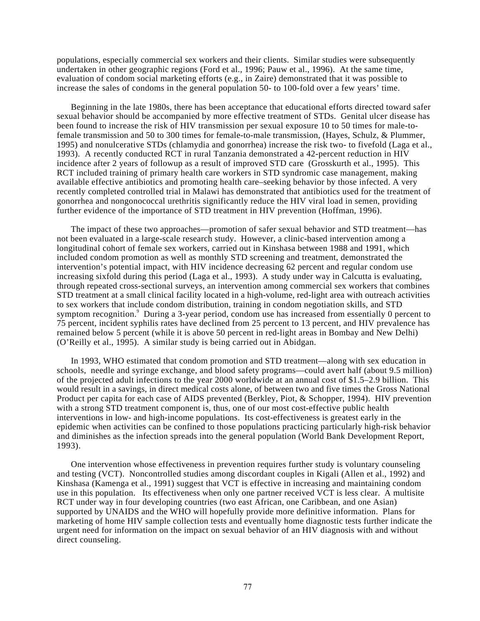populations, especially commercial sex workers and their clients. Similar studies were subsequently undertaken in other geographic regions (Ford et al., 1996; Pauw et al., 1996). At the same time, evaluation of condom social marketing efforts (e.g., in Zaire) demonstrated that it was possible to increase the sales of condoms in the general population 50- to 100-fold over a few years' time.

Beginning in the late 1980s, there has been acceptance that educational efforts directed toward safer sexual behavior should be accompanied by more effective treatment of STDs. Genital ulcer disease has been found to increase the risk of HIV transmission per sexual exposure 10 to 50 times for male-tofemale transmission and 50 to 300 times for female-to-male transmission, (Hayes, Schulz, & Plummer, 1995) and nonulcerative STDs (chlamydia and gonorrhea) increase the risk two- to fivefold (Laga et al., 1993). A recently conducted RCT in rural Tanzania demonstrated a 42-percent reduction in HIV incidence after 2 years of followup as a result of improved STD care (Grosskurth et al., 1995). This RCT included training of primary health care workers in STD syndromic case management, making available effective antibiotics and promoting health care–seeking behavior by those infected. A very recently completed controlled trial in Malawi has demonstrated that antibiotics used for the treatment of gonorrhea and nongonococcal urethritis significantly reduce the HIV viral load in semen, providing further evidence of the importance of STD treatment in HIV prevention (Hoffman, 1996).

The impact of these two approaches—promotion of safer sexual behavior and STD treatment—has not been evaluated in a large-scale research study. However, a clinic-based intervention among a longitudinal cohort of female sex workers, carried out in Kinshasa between 1988 and 1991, which included condom promotion as well as monthly STD screening and treatment, demonstrated the intervention's potential impact, with HIV incidence decreasing 62 percent and regular condom use increasing sixfold during this period (Laga et al., 1993). A study under way in Calcutta is evaluating, through repeated cross-sectional surveys, an intervention among commercial sex workers that combines STD treatment at a small clinical facility located in a high-volume, red-light area with outreach activities to sex workers that include condom distribution, training in condom negotiation skills, and STD symptom recognition.<sup>9</sup> During a 3-year period, condom use has increased from essentially 0 percent to 75 percent, incident syphilis rates have declined from 25 percent to 13 percent, and HIV prevalence has remained below 5 percent (while it is above 50 percent in red-light areas in Bombay and New Delhi) (O'Reilly et al., 1995). A similar study is being carried out in Abidgan.

In 1993, WHO estimated that condom promotion and STD treatment—along with sex education in schools, needle and syringe exchange, and blood safety programs—could avert half (about 9.5 million) of the projected adult infections to the year 2000 worldwide at an annual cost of \$1.5–2.9 billion. This would result in a savings, in direct medical costs alone, of between two and five times the Gross National Product per capita for each case of AIDS prevented (Berkley, Piot, & Schopper, 1994). HIV prevention with a strong STD treatment component is, thus, one of our most cost-effective public health interventions in low- and high-income populations. Its cost-effectiveness is greatest early in the epidemic when activities can be confined to those populations practicing particularly high-risk behavior and diminishes as the infection spreads into the general population (World Bank Development Report, 1993).

One intervention whose effectiveness in prevention requires further study is voluntary counseling and testing (VCT). Noncontrolled studies among discordant couples in Kigali (Allen et al., 1992) and Kinshasa (Kamenga et al., 1991) suggest that VCT is effective in increasing and maintaining condom use in this population. Its effectiveness when only one partner received VCT is less clear. A multisite RCT under way in four developing countries (two east African, one Caribbean, and one Asian) supported by UNAIDS and the WHO will hopefully provide more definitive information. Plans for marketing of home HIV sample collection tests and eventually home diagnostic tests further indicate the urgent need for information on the impact on sexual behavior of an HIV diagnosis with and without direct counseling.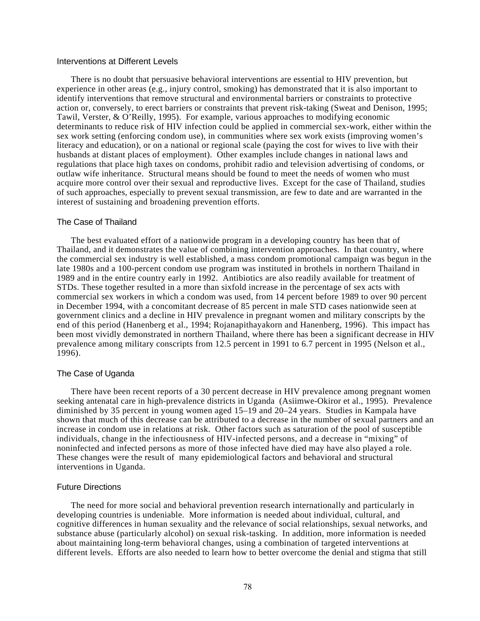## Interventions at Different Levels

There is no doubt that persuasive behavioral interventions are essential to HIV prevention, but experience in other areas (e.g., injury control, smoking) has demonstrated that it is also important to identify interventions that remove structural and environmental barriers or constraints to protective action or, conversely, to erect barriers or constraints that prevent risk-taking (Sweat and Denison, 1995; Tawil, Verster, & O'Reilly, 1995). For example, various approaches to modifying economic determinants to reduce risk of HIV infection could be applied in commercial sex-work, either within the sex work setting (enforcing condom use), in communities where sex work exists (improving women's literacy and education), or on a national or regional scale (paying the cost for wives to live with their husbands at distant places of employment). Other examples include changes in national laws and regulations that place high taxes on condoms, prohibit radio and television advertising of condoms, or outlaw wife inheritance. Structural means should be found to meet the needs of women who must acquire more control over their sexual and reproductive lives. Except for the case of Thailand, studies of such approaches, especially to prevent sexual transmission, are few to date and are warranted in the interest of sustaining and broadening prevention efforts.

#### The Case of Thailand

The best evaluated effort of a nationwide program in a developing country has been that of Thailand, and it demonstrates the value of combining intervention approaches. In that country, where the commercial sex industry is well established, a mass condom promotional campaign was begun in the late 1980s and a 100-percent condom use program was instituted in brothels in northern Thailand in 1989 and in the entire country early in 1992. Antibiotics are also readily available for treatment of STDs. These together resulted in a more than sixfold increase in the percentage of sex acts with commercial sex workers in which a condom was used, from 14 percent before 1989 to over 90 percent in December 1994, with a concomitant decrease of 85 percent in male STD cases nationwide seen at government clinics and a decline in HIV prevalence in pregnant women and military conscripts by the end of this period (Hanenberg et al., 1994; Rojanapithayakorn and Hanenberg, 1996). This impact has been most vividly demonstrated in northern Thailand, where there has been a significant decrease in HIV prevalence among military conscripts from 12.5 percent in 1991 to 6.7 percent in 1995 (Nelson et al., 1996).

## The Case of Uganda

There have been recent reports of a 30 percent decrease in HIV prevalence among pregnant women seeking antenatal care in high-prevalence districts in Uganda (Asiimwe-Okiror et al., 1995). Prevalence diminished by 35 percent in young women aged 15–19 and 20–24 years. Studies in Kampala have shown that much of this decrease can be attributed to a decrease in the number of sexual partners and an increase in condom use in relations at risk. Other factors such as saturation of the pool of susceptible individuals, change in the infectiousness of HIV-infected persons, and a decrease in "mixing" of noninfected and infected persons as more of those infected have died may have also played a role. These changes were the result of many epidemiological factors and behavioral and structural interventions in Uganda.

## Future Directions

The need for more social and behavioral prevention research internationally and particularly in developing countries is undeniable. More information is needed about individual, cultural, and cognitive differences in human sexuality and the relevance of social relationships, sexual networks, and substance abuse (particularly alcohol) on sexual risk-tasking. In addition, more information is needed about maintaining long-term behavioral changes, using a combination of targeted interventions at different levels. Efforts are also needed to learn how to better overcome the denial and stigma that still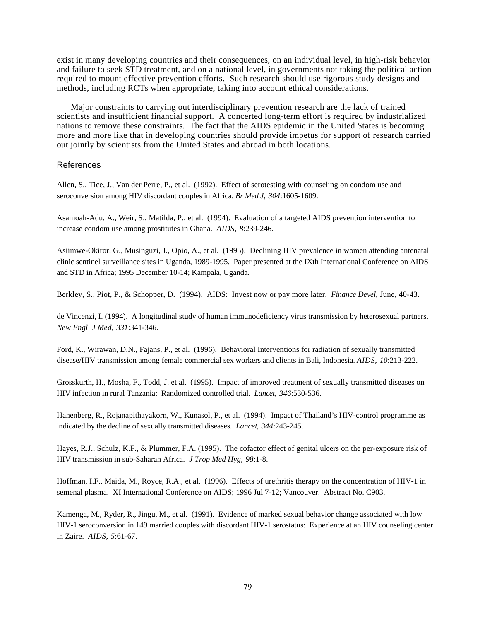exist in many developing countries and their consequences, on an individual level, in high-risk behavior and failure to seek STD treatment, and on a national level, in governments not taking the political action required to mount effective prevention efforts. Such research should use rigorous study designs and methods, including RCTs when appropriate, taking into account ethical considerations.

Major constraints to carrying out interdisciplinary prevention research are the lack of trained scientists and insufficient financial support. A concerted long-term effort is required by industrialized nations to remove these constraints. The fact that the AIDS epidemic in the United States is becoming more and more like that in developing countries should provide impetus for support of research carried out jointly by scientists from the United States and abroad in both locations.

## References

Allen, S., Tice, J., Van der Perre, P., et al. (1992). Effect of serotesting with counseling on condom use and seroconversion among HIV discordant couples in Africa. *Br Med J*, *304*:1605-1609.

Asamoah-Adu, A., Weir, S., Matilda, P., et al. (1994). Evaluation of a targeted AIDS prevention intervention to increase condom use among prostitutes in Ghana. *AIDS*, *8*:239-246.

Asiimwe-Okiror, G., Musinguzi, J., Opio, A., et al. (1995). Declining HIV prevalence in women attending antenatal clinic sentinel surveillance sites in Uganda, 1989-1995. Paper presented at the IXth International Conference on AIDS and STD in Africa; 1995 December 10-14; Kampala, Uganda.

Berkley, S., Piot, P., & Schopper, D. (1994). AIDS: Invest now or pay more later. *Finance Devel*, June, 40-43.

de Vincenzi, I. (1994). A longitudinal study of human immunodeficiency virus transmission by heterosexual partners. *New Engl J Med*, *331*:341-346.

Ford, K., Wirawan, D.N., Fajans, P., et al. (1996). Behavioral Interventions for radiation of sexually transmitted disease/HIV transmission among female commercial sex workers and clients in Bali, Indonesia. *AIDS*, *10*:213-222.

Grosskurth, H., Mosha, F., Todd, J. et al. (1995). Impact of improved treatment of sexually transmitted diseases on HIV infection in rural Tanzania: Randomized controlled trial. *Lancet*, *346*:530-536.

Hanenberg, R., Rojanapithayakorn, W., Kunasol, P., et al. (1994). Impact of Thailand's HIV-control programme as indicated by the decline of sexually transmitted diseases. *Lancet*, *344*:243-245.

Hayes, R.J., Schulz, K.F., & Plummer, F.A. (1995). The cofactor effect of genital ulcers on the per-exposure risk of HIV transmission in sub-Saharan Africa. *J Trop Med Hyg*, *98*:1-8.

Hoffman, I.F., Maida, M., Royce, R.A., et al. (1996). Effects of urethritis therapy on the concentration of HIV-1 in semenal plasma. XI International Conference on AIDS; 1996 Jul 7-12; Vancouver. Abstract No. C903.

Kamenga, M., Ryder, R., Jingu, M., et al. (1991). Evidence of marked sexual behavior change associated with low HIV-1 seroconversion in 149 married couples with discordant HIV-1 serostatus: Experience at an HIV counseling center in Zaire. *AIDS*, *5*:61-67.